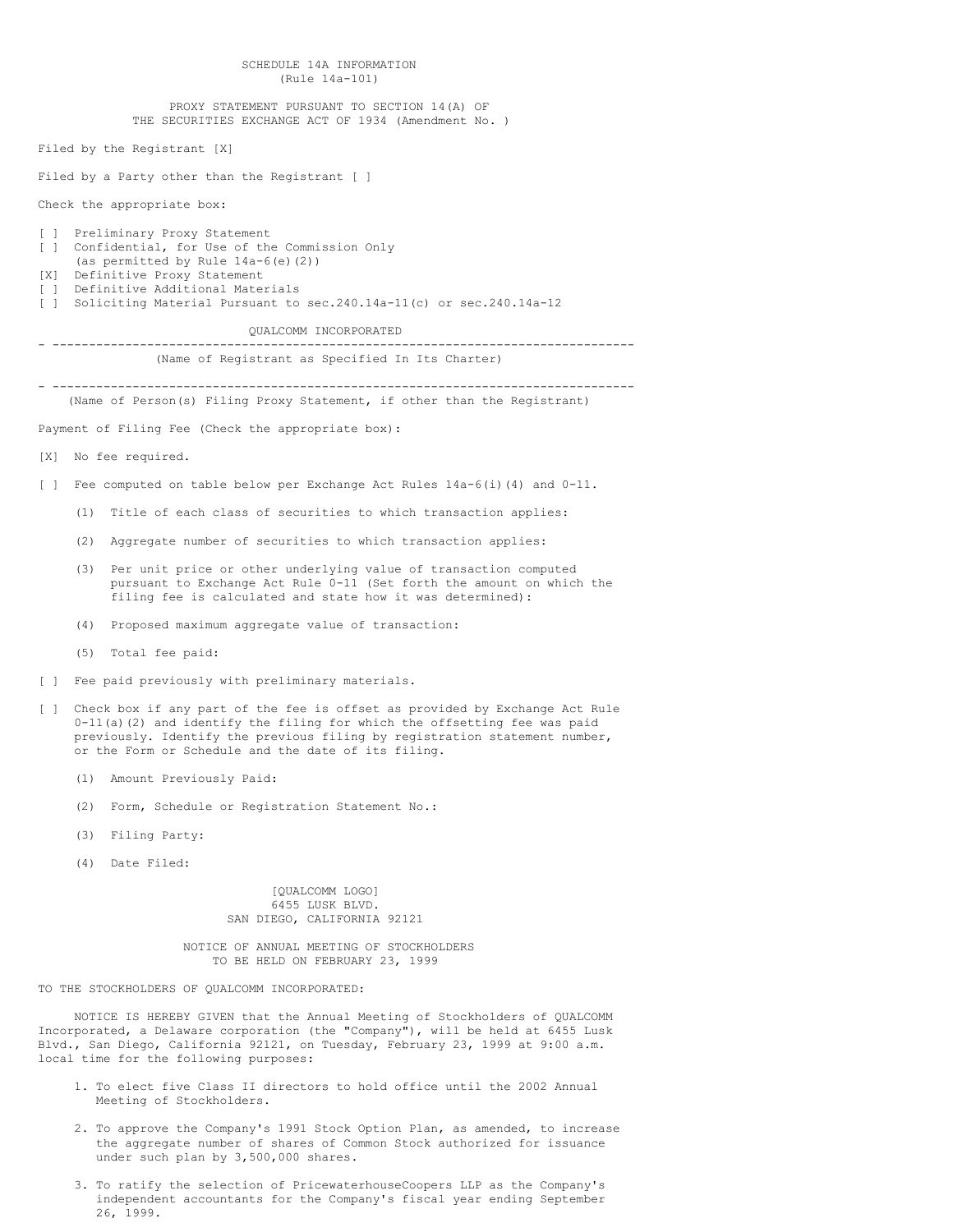SCHEDULE 14A INFORMATION (Rule 14a-101) PROXY STATEMENT PURSUANT TO SECTION 14(A) OF THE SECURITIES EXCHANGE ACT OF 1934 (Amendment No. ) Filed by the Registrant [X] Filed by a Party other than the Registrant [ ] Check the appropriate box: [ ] Preliminary Proxy Statement [ ] Confidential, for Use of the Commission Only (as permitted by Rule 14a-6(e)(2)) [X] Definitive Proxy Statement [ ] Definitive Additional Materials [ ] Soliciting Material Pursuant to sec.240.14a-11(c) or sec.240.14a-12 QUALCOMM INCORPORATED - -------------------------------------------------------------------------------- (Name of Registrant as Specified In Its Charter) - -------------------------------------------------------------------------------- (Name of Person(s) Filing Proxy Statement, if other than the Registrant) Payment of Filing Fee (Check the appropriate box): [X] No fee required. [ ] Fee computed on table below per Exchange Act Rules  $14a-6$ (i)(4) and  $0-11$ . (1) Title of each class of securities to which transaction applies: (2) Aggregate number of securities to which transaction applies: (3) Per unit price or other underlying value of transaction computed pursuant to Exchange Act Rule 0-11 (Set forth the amount on which the filing fee is calculated and state how it was determined): (4) Proposed maximum aggregate value of transaction: (5) Total fee paid: [ ] Fee paid previously with preliminary materials. [ ] Check box if any part of the fee is offset as provided by Exchange Act Rule  $0-11$ (a)(2) and identify the filing for which the offsetting fee was paid previously. Identify the previous filing by registration statement number, or the Form or Schedule and the date of its filing. (1) Amount Previously Paid: (2) Form, Schedule or Registration Statement No.:

- (3) Filing Party:
- (4) Date Filed:

[QUALCOMM LOGO] 6455 LUSK BLVD. SAN DIEGO, CALIFORNIA 92121

NOTICE OF ANNUAL MEETING OF STOCKHOLDERS TO BE HELD ON FEBRUARY 23, 1999

TO THE STOCKHOLDERS OF QUALCOMM INCORPORATED:

NOTICE IS HEREBY GIVEN that the Annual Meeting of Stockholders of QUALCOMM Incorporated, a Delaware corporation (the "Company"), will be held at 6455 Lusk Blvd., San Diego, California 92121, on Tuesday, February 23, 1999 at 9:00 a.m. local time for the following purposes:

- 1. To elect five Class II directors to hold office until the 2002 Annual Meeting of Stockholders.
- 2. To approve the Company's 1991 Stock Option Plan, as amended, to increase the aggregate number of shares of Common Stock authorized for issuance under such plan by 3,500,000 shares.
- 3. To ratify the selection of PricewaterhouseCoopers LLP as the Company's independent accountants for the Company's fiscal year ending September 26, 1999.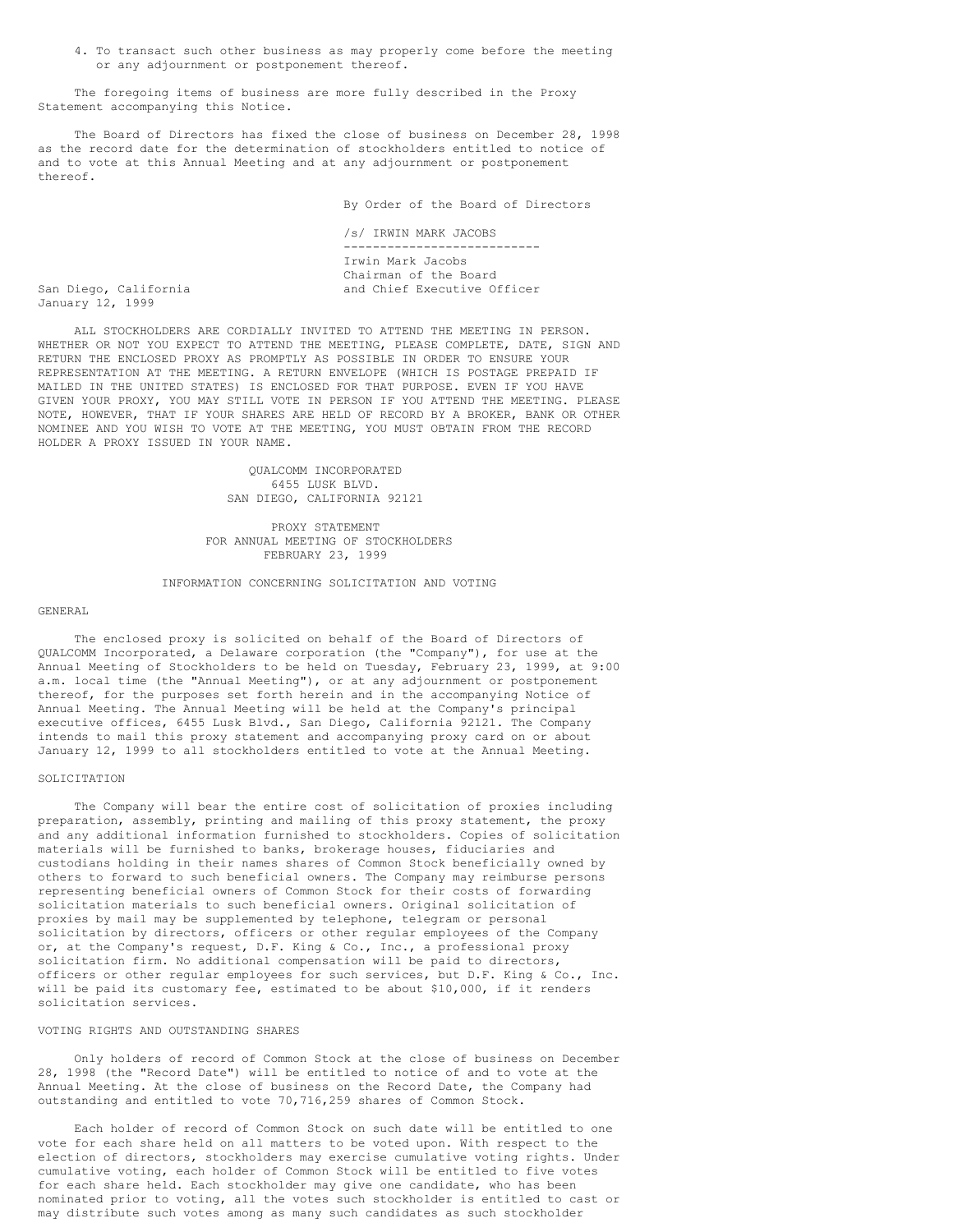4. To transact such other business as may properly come before the meeting or any adjournment or postponement thereof.

The foregoing items of business are more fully described in the Proxy Statement accompanying this Notice.

The Board of Directors has fixed the close of business on December 28, 1998 as the record date for the determination of stockholders entitled to notice of and to vote at this Annual Meeting and at any adjournment or postponement thereof.

By Order of the Board of Directors

/s/ IRWIN MARK JACOBS --------------------------- Irwin Mark Jacobs Chairman of the Board San Diego, California and Chief Executive Officer

January 12, 1999

ALL STOCKHOLDERS ARE CORDIALLY INVITED TO ATTEND THE MEETING IN PERSON. WHETHER OR NOT YOU EXPECT TO ATTEND THE MEETING, PLEASE COMPLETE, DATE, SIGN AND RETURN THE ENCLOSED PROXY AS PROMPTLY AS POSSIBLE IN ORDER TO ENSURE YOUR REPRESENTATION AT THE MEETING. A RETURN ENVELOPE (WHICH IS POSTAGE PREPAID IF MAILED IN THE UNITED STATES) IS ENCLOSED FOR THAT PURPOSE. EVEN IF YOU HAVE GIVEN YOUR PROXY, YOU MAY STILL VOTE IN PERSON IF YOU ATTEND THE MEETING. PLEASE NOTE, HOWEVER, THAT IF YOUR SHARES ARE HELD OF RECORD BY A BROKER, BANK OR OTHER NOMINEE AND YOU WISH TO VOTE AT THE MEETING, YOU MUST OBTAIN FROM THE RECORD HOLDER A PROXY ISSUED IN YOUR NAME.

> QUALCOMM INCORPORATED 6455 LUSK BLVD. SAN DIEGO, CALIFORNIA 92121

PROXY STATEMENT FOR ANNUAL MEETING OF STOCKHOLDERS FEBRUARY 23, 1999

INFORMATION CONCERNING SOLICITATION AND VOTING

#### GENERAL

The enclosed proxy is solicited on behalf of the Board of Directors of QUALCOMM Incorporated, a Delaware corporation (the "Company"), for use at the Annual Meeting of Stockholders to be held on Tuesday, February 23, 1999, at 9:00 a.m. local time (the "Annual Meeting"), or at any adjournment or postponement thereof, for the purposes set forth herein and in the accompanying Notice of Annual Meeting. The Annual Meeting will be held at the Company's principal executive offices, 6455 Lusk Blvd., San Diego, California 92121. The Company intends to mail this proxy statement and accompanying proxy card on or about January 12, 1999 to all stockholders entitled to vote at the Annual Meeting.

### SOLICITATION

The Company will bear the entire cost of solicitation of proxies including preparation, assembly, printing and mailing of this proxy statement, the proxy and any additional information furnished to stockholders. Copies of solicitation materials will be furnished to banks, brokerage houses, fiduciaries and custodians holding in their names shares of Common Stock beneficially owned by others to forward to such beneficial owners. The Company may reimburse persons representing beneficial owners of Common Stock for their costs of forwarding solicitation materials to such beneficial owners. Original solicitation of proxies by mail may be supplemented by telephone, telegram or personal solicitation by directors, officers or other regular employees of the Company or, at the Company's request, D.F. King & Co., Inc., a professional proxy solicitation firm. No additional compensation will be paid to directors, officers or other regular employees for such services, but D.F. King & Co., Inc. will be paid its customary fee, estimated to be about \$10,000, if it renders solicitation services.

### VOTING RIGHTS AND OUTSTANDING SHARES

Only holders of record of Common Stock at the close of business on December 28, 1998 (the "Record Date") will be entitled to notice of and to vote at the Annual Meeting. At the close of business on the Record Date, the Company had outstanding and entitled to vote 70,716,259 shares of Common Stock.

Each holder of record of Common Stock on such date will be entitled to one vote for each share held on all matters to be voted upon. With respect to the election of directors, stockholders may exercise cumulative voting rights. Under cumulative voting, each holder of Common Stock will be entitled to five votes for each share held. Each stockholder may give one candidate, who has been nominated prior to voting, all the votes such stockholder is entitled to cast or may distribute such votes among as many such candidates as such stockholder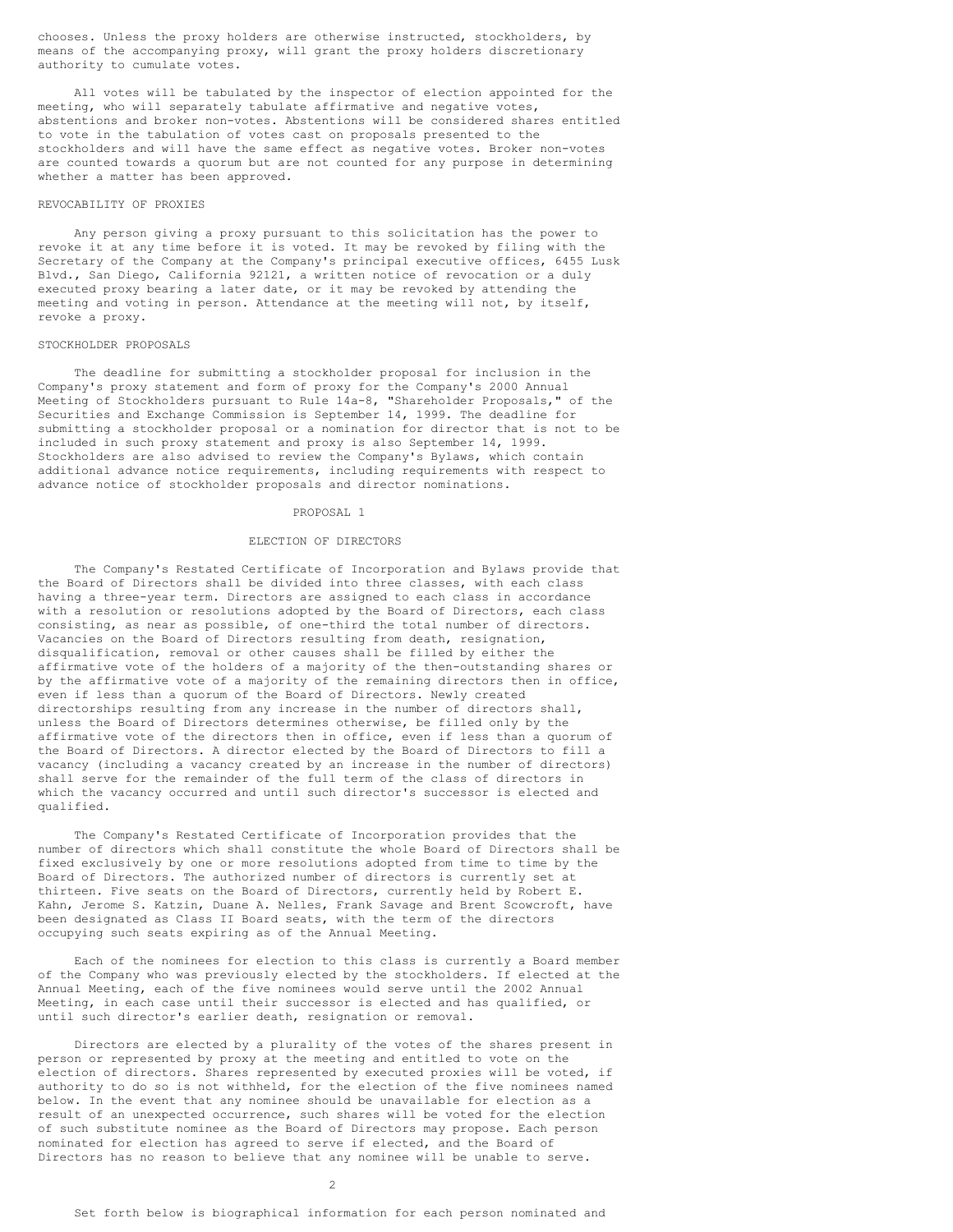chooses. Unless the proxy holders are otherwise instructed, stockholders, by means of the accompanying proxy, will grant the proxy holders discretionary authority to cumulate votes.

All votes will be tabulated by the inspector of election appointed for the meeting, who will separately tabulate affirmative and negative votes, abstentions and broker non-votes. Abstentions will be considered shares entitled to vote in the tabulation of votes cast on proposals presented to the stockholders and will have the same effect as negative votes. Broker non-votes are counted towards a quorum but are not counted for any purpose in determining whether a matter has been approved.

### REVOCABILITY OF PROXIES

Any person giving a proxy pursuant to this solicitation has the power to revoke it at any time before it is voted. It may be revoked by filing with the Secretary of the Company at the Company's principal executive offices, 6455 Lusk Blvd., San Diego, California 92121, a written notice of revocation or a duly executed proxy bearing a later date, or it may be revoked by attending the meeting and voting in person. Attendance at the meeting will not, by itself, revoke a proxy.

### STOCKHOLDER PROPOSALS

The deadline for submitting a stockholder proposal for inclusion in the Company's proxy statement and form of proxy for the Company's 2000 Annual Meeting of Stockholders pursuant to Rule 14a-8, "Shareholder Proposals," of the Securities and Exchange Commission is September 14, 1999. The deadline for submitting a stockholder proposal or a nomination for director that is not to be included in such proxy statement and proxy is also September 14, 1999. Stockholders are also advised to review the Company's Bylaws, which contain additional advance notice requirements, including requirements with respect to advance notice of stockholder proposals and director nominations.

### PROPOSAL 1

### ELECTION OF DIRECTORS

The Company's Restated Certificate of Incorporation and Bylaws provide that the Board of Directors shall be divided into three classes, with each class having a three-year term. Directors are assigned to each class in accordance with a resolution or resolutions adopted by the Board of Directors, each class consisting, as near as possible, of one-third the total number of directors. Vacancies on the Board of Directors resulting from death, resignation, disqualification, removal or other causes shall be filled by either the affirmative vote of the holders of a majority of the then-outstanding shares or by the affirmative vote of a majority of the remaining directors then in office, even if less than a quorum of the Board of Directors. Newly created directorships resulting from any increase in the number of directors shall, unless the Board of Directors determines otherwise, be filled only by the affirmative vote of the directors then in office, even if less than a quorum of the Board of Directors. A director elected by the Board of Directors to fill a vacancy (including a vacancy created by an increase in the number of directors) shall serve for the remainder of the full term of the class of directors in which the vacancy occurred and until such director's successor is elected and qualified.

The Company's Restated Certificate of Incorporation provides that the number of directors which shall constitute the whole Board of Directors shall be fixed exclusively by one or more resolutions adopted from time to time by the Board of Directors. The authorized number of directors is currently set at thirteen. Five seats on the Board of Directors, currently held by Robert E. Kahn, Jerome S. Katzin, Duane A. Nelles, Frank Savage and Brent Scowcroft, have been designated as Class II Board seats, with the term of the directors occupying such seats expiring as of the Annual Meeting.

Each of the nominees for election to this class is currently a Board member of the Company who was previously elected by the stockholders. If elected at the Annual Meeting, each of the five nominees would serve until the 2002 Annual Meeting, in each case until their successor is elected and has qualified, or until such director's earlier death, resignation or removal.

Directors are elected by a plurality of the votes of the shares present in person or represented by proxy at the meeting and entitled to vote on the election of directors. Shares represented by executed proxies will be voted, if authority to do so is not withheld, for the election of the five nominees named below. In the event that any nominee should be unavailable for election as a result of an unexpected occurrence, such shares will be voted for the election of such substitute nominee as the Board of Directors may propose. Each person nominated for election has agreed to serve if elected, and the Board of Directors has no reason to believe that any nominee will be unable to serve.

 $\mathcal{P}$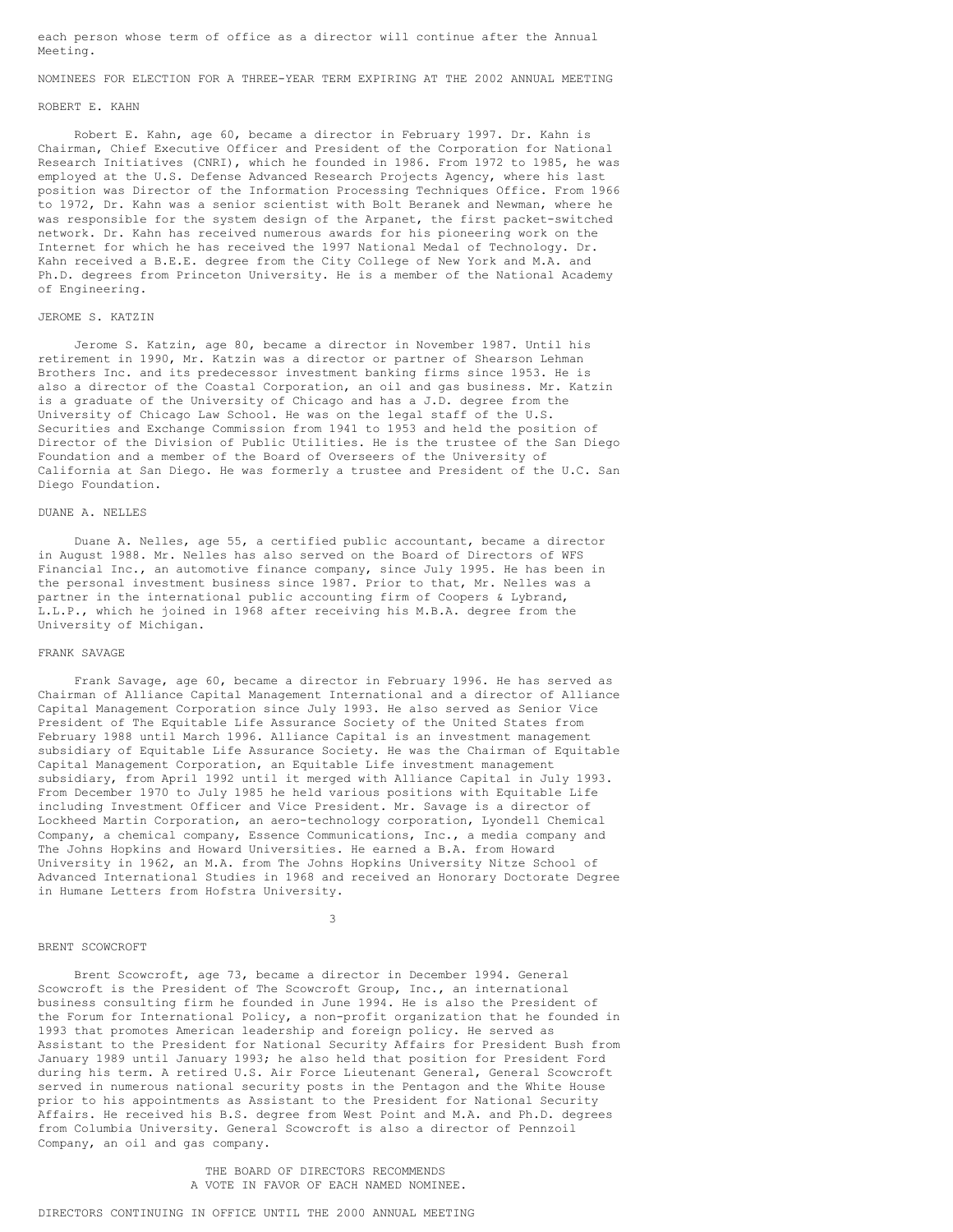each person whose term of office as a director will continue after the Annual Meeting.

## NOMINEES FOR ELECTION FOR A THREE-YEAR TERM EXPIRING AT THE 2002 ANNUAL MEETING

### ROBERT E. KAHN

Robert E. Kahn, age 60, became a director in February 1997. Dr. Kahn is Chairman, Chief Executive Officer and President of the Corporation for National Research Initiatives (CNRI), which he founded in 1986. From 1972 to 1985, he was employed at the U.S. Defense Advanced Research Projects Agency, where his last position was Director of the Information Processing Techniques Office. From 1966 to 1972, Dr. Kahn was a senior scientist with Bolt Beranek and Newman, where he was responsible for the system design of the Arpanet, the first packet-switched network. Dr. Kahn has received numerous awards for his pioneering work on the Internet for which he has received the 1997 National Medal of Technology. Dr. Kahn received a B.E.E. degree from the City College of New York and M.A. and Ph.D. degrees from Princeton University. He is a member of the National Academy of Engineering.

### JEROME S. KATZIN

Jerome S. Katzin, age 80, became a director in November 1987. Until his retirement in 1990, Mr. Katzin was a director or partner of Shearson Lehman Brothers Inc. and its predecessor investment banking firms since 1953. He is also a director of the Coastal Corporation, an oil and gas business. Mr. Katzin is a graduate of the University of Chicago and has a J.D. degree from the University of Chicago Law School. He was on the legal staff of the U.S. Securities and Exchange Commission from 1941 to 1953 and held the position of Director of the Division of Public Utilities. He is the trustee of the San Diego Foundation and a member of the Board of Overseers of the University of California at San Diego. He was formerly a trustee and President of the U.C. San Diego Foundation.

## DUANE A. NELLES

Duane A. Nelles, age 55, a certified public accountant, became a director in August 1988. Mr. Nelles has also served on the Board of Directors of WFS Financial Inc., an automotive finance company, since July 1995. He has been in the personal investment business since 1987. Prior to that, Mr. Nelles was a partner in the international public accounting firm of Coopers & Lybrand, L.L.P., which he joined in 1968 after receiving his M.B.A. degree from the University of Michigan.

### FRANK SAVAGE

Frank Savage, age 60, became a director in February 1996. He has served as Chairman of Alliance Capital Management International and a director of Alliance Capital Management Corporation since July 1993. He also served as Senior Vice President of The Equitable Life Assurance Society of the United States from February 1988 until March 1996. Alliance Capital is an investment management subsidiary of Equitable Life Assurance Society. He was the Chairman of Equitable Capital Management Corporation, an Equitable Life investment management subsidiary, from April 1992 until it merged with Alliance Capital in July 1993. From December 1970 to July 1985 he held various positions with Equitable Life including Investment Officer and Vice President. Mr. Savage is a director of Lockheed Martin Corporation, an aero-technology corporation, Lyondell Chemical Company, a chemical company, Essence Communications, Inc., a media company and The Johns Hopkins and Howard Universities. He earned a B.A. from Howard University in 1962, an M.A. from The Johns Hopkins University Nitze School of Advanced International Studies in 1968 and received an Honorary Doctorate Degree in Humane Letters from Hofstra University.

#### 3

### BRENT SCOWCROFT

Brent Scowcroft, age 73, became a director in December 1994. General Scowcroft is the President of The Scowcroft Group, Inc., an international business consulting firm he founded in June 1994. He is also the President of the Forum for International Policy, a non-profit organization that he founded in 1993 that promotes American leadership and foreign policy. He served as Assistant to the President for National Security Affairs for President Bush from January 1989 until January 1993; he also held that position for President Ford during his term. A retired U.S. Air Force Lieutenant General, General Scowcroft served in numerous national security posts in the Pentagon and the White House prior to his appointments as Assistant to the President for National Security Affairs. He received his B.S. degree from West Point and M.A. and Ph.D. degrees from Columbia University. General Scowcroft is also a director of Pennzoil Company, an oil and gas company.

> THE BOARD OF DIRECTORS RECOMMENDS A VOTE IN FAVOR OF EACH NAMED NOMINEE.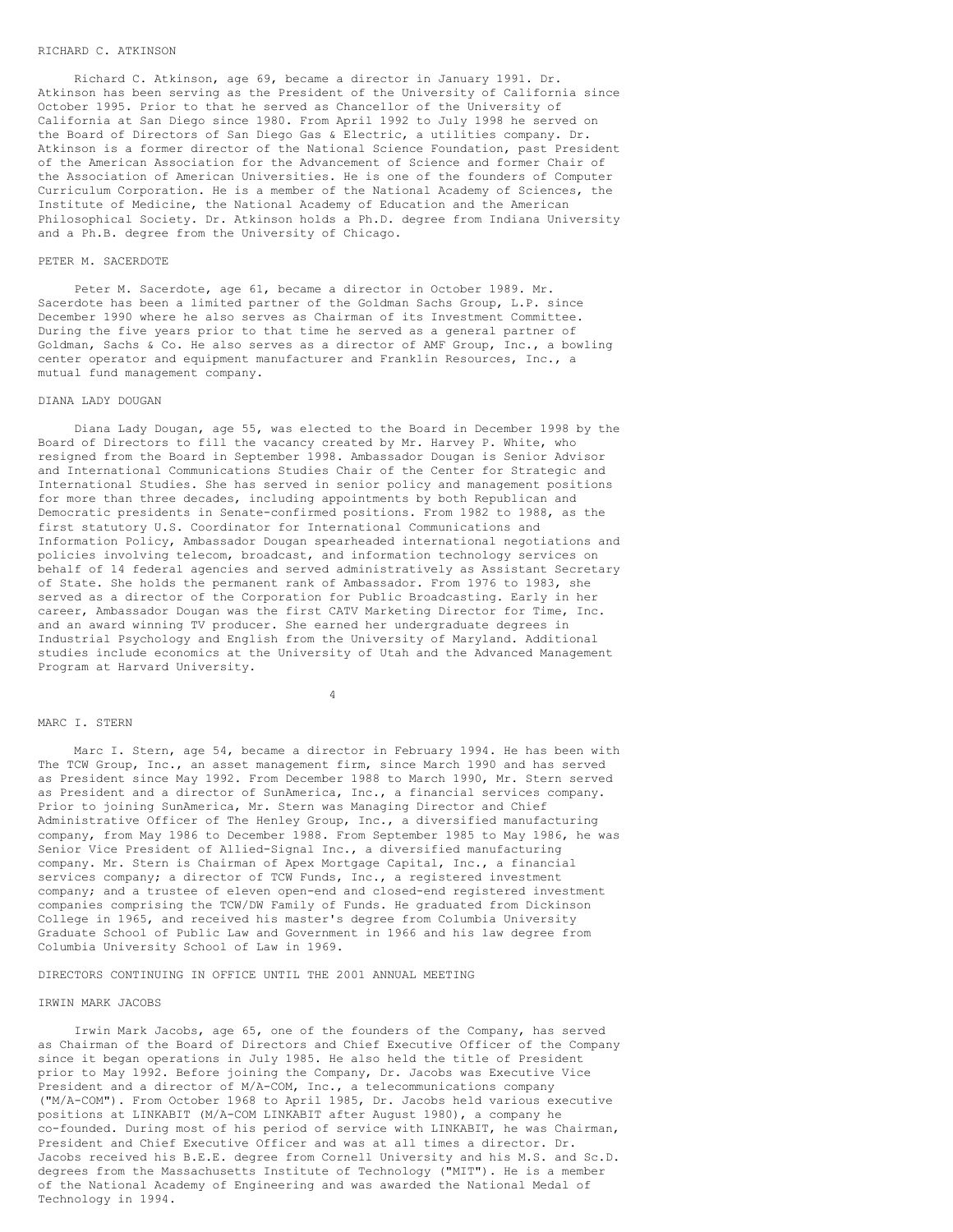### RICHARD C. ATKINSON

Richard C. Atkinson, age 69, became a director in January 1991. Dr. Atkinson has been serving as the President of the University of California since October 1995. Prior to that he served as Chancellor of the University of California at San Diego since 1980. From April 1992 to July 1998 he served on the Board of Directors of San Diego Gas & Electric, a utilities company. Dr. Atkinson is a former director of the National Science Foundation, past President of the American Association for the Advancement of Science and former Chair of the Association of American Universities. He is one of the founders of Computer Curriculum Corporation. He is a member of the National Academy of Sciences, the Institute of Medicine, the National Academy of Education and the American Philosophical Society. Dr. Atkinson holds a Ph.D. degree from Indiana University and a Ph.B. degree from the University of Chicago.

#### PETER M. SACERDOTE

Peter M. Sacerdote, age 61, became a director in October 1989. Mr. Sacerdote has been a limited partner of the Goldman Sachs Group, L.P. since December 1990 where he also serves as Chairman of its Investment Committee. During the five years prior to that time he served as a general partner of Goldman, Sachs & Co. He also serves as a director of AMF Group, Inc., a bowling center operator and equipment manufacturer and Franklin Resources, Inc., a mutual fund management company.

#### DIANA LADY DOUGAN

Diana Lady Dougan, age 55, was elected to the Board in December 1998 by the Board of Directors to fill the vacancy created by Mr. Harvey P. White, who resigned from the Board in September 1998. Ambassador Dougan is Senior Advisor and International Communications Studies Chair of the Center for Strategic and International Studies. She has served in senior policy and management positions for more than three decades, including appointments by both Republican and Democratic presidents in Senate-confirmed positions. From 1982 to 1988, as the first statutory U.S. Coordinator for International Communications and Information Policy, Ambassador Dougan spearheaded international negotiations and policies involving telecom, broadcast, and information technology services on behalf of 14 federal agencies and served administratively as Assistant Secretary of State. She holds the permanent rank of Ambassador. From 1976 to 1983, she served as a director of the Corporation for Public Broadcasting. Early in her career, Ambassador Dougan was the first CATV Marketing Director for Time, Inc. and an award winning TV producer. She earned her undergraduate degrees in Industrial Psychology and English from the University of Maryland. Additional studies include economics at the University of Utah and the Advanced Management Program at Harvard University.

## 4

#### MARC I. STERN

Marc I. Stern, age 54, became a director in February 1994. He has been with The TCW Group, Inc., an asset management firm, since March 1990 and has served as President since May 1992. From December 1988 to March 1990, Mr. Stern served as President and a director of SunAmerica, Inc., a financial services company. Prior to joining SunAmerica, Mr. Stern was Managing Director and Chief Administrative Officer of The Henley Group, Inc., a diversified manufacturing company, from May 1986 to December 1988. From September 1985 to May 1986, he was Senior Vice President of Allied-Signal Inc., a diversified manufacturing company. Mr. Stern is Chairman of Apex Mortgage Capital, Inc., a financial services company; a director of TCW Funds, Inc., a registered investment company; and a trustee of eleven open-end and closed-end registered investment companies comprising the TCW/DW Family of Funds. He graduated from Dickinson College in 1965, and received his master's degree from Columbia University Graduate School of Public Law and Government in 1966 and his law degree from Columbia University School of Law in 1969.

DIRECTORS CONTINUING IN OFFICE UNTIL THE 2001 ANNUAL MEETING

### IRWIN MARK JACOBS

Irwin Mark Jacobs, age 65, one of the founders of the Company, has served as Chairman of the Board of Directors and Chief Executive Officer of the Company since it began operations in July 1985. He also held the title of President prior to May 1992. Before joining the Company, Dr. Jacobs was Executive Vice President and a director of M/A-COM, Inc., a telecommunications company ("M/A-COM"). From October 1968 to April 1985, Dr. Jacobs held various executive positions at LINKABIT (M/A-COM LINKABIT after August 1980), a company he co-founded. During most of his period of service with LINKABIT, he was Chairman, President and Chief Executive Officer and was at all times a director. Dr. Jacobs received his B.E.E. degree from Cornell University and his M.S. and Sc.D. degrees from the Massachusetts Institute of Technology ("MIT"). He is a member of the National Academy of Engineering and was awarded the National Medal of Technology in 1994.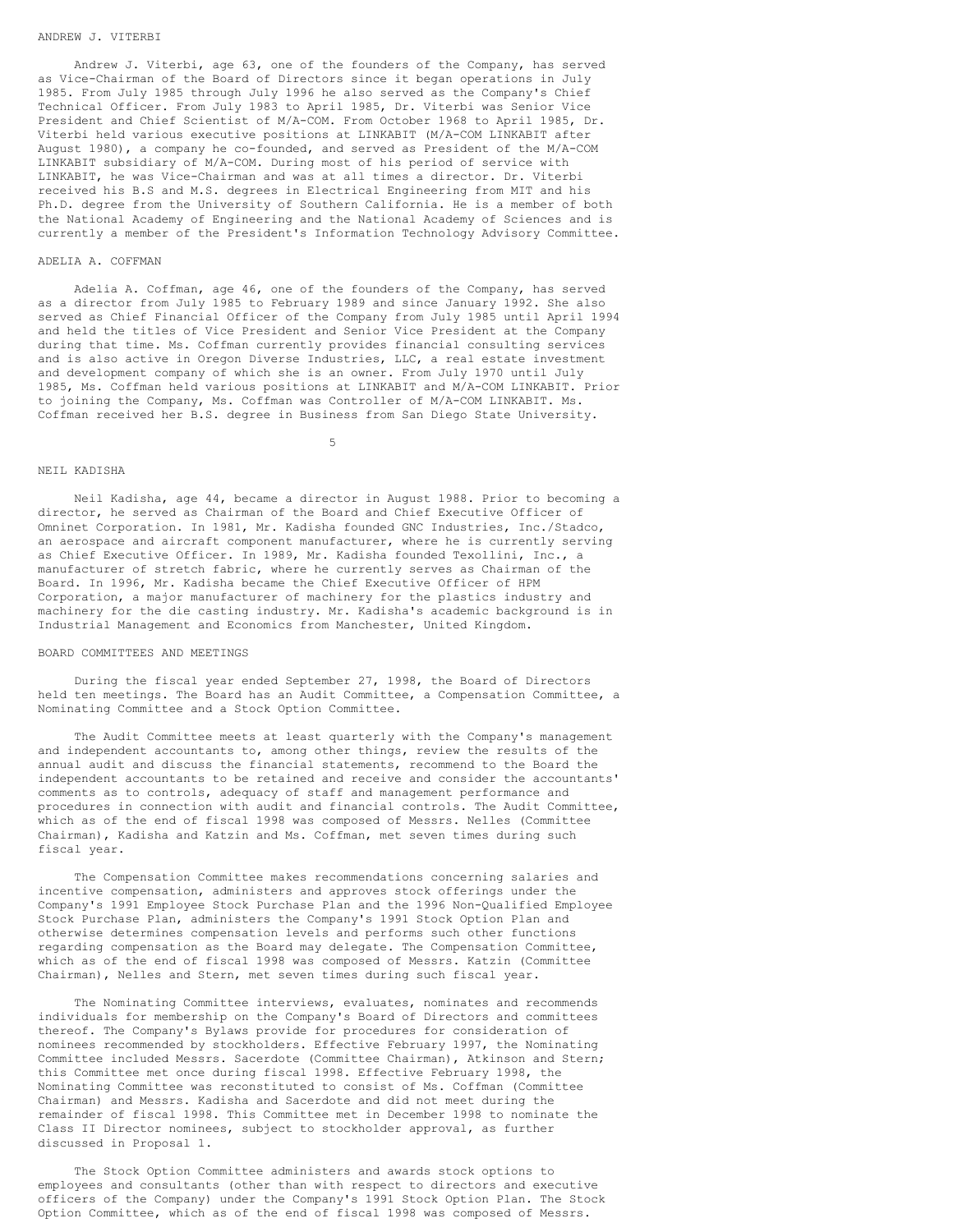### ANDREW J. VITERBI

Andrew J. Viterbi, age 63, one of the founders of the Company, has served as Vice-Chairman of the Board of Directors since it began operations in July 1985. From July 1985 through July 1996 he also served as the Company's Chief Technical Officer. From July 1983 to April 1985, Dr. Viterbi was Senior Vice President and Chief Scientist of M/A-COM. From October 1968 to April 1985, Dr. Viterbi held various executive positions at LINKABIT (M/A-COM LINKABIT after August 1980), a company he co-founded, and served as President of the M/A-COM LINKABIT subsidiary of M/A-COM. During most of his period of service with LINKABIT, he was Vice-Chairman and was at all times a director. Dr. Viterbi received his B.S and M.S. degrees in Electrical Engineering from MIT and his Ph.D. degree from the University of Southern California. He is a member of both the National Academy of Engineering and the National Academy of Sciences and is currently a member of the President's Information Technology Advisory Committee.

#### ADELIA A. COFFMAN

Adelia A. Coffman, age 46, one of the founders of the Company, has served as a director from July 1985 to February 1989 and since January 1992. She also served as Chief Financial Officer of the Company from July 1985 until April 1994 and held the titles of Vice President and Senior Vice President at the Company during that time. Ms. Coffman currently provides financial consulting services and is also active in Oregon Diverse Industries, LLC, a real estate investment and development company of which she is an owner. From July 1970 until July 1985, Ms. Coffman held various positions at LINKABIT and M/A-COM LINKABIT. Prior to joining the Company, Ms. Coffman was Controller of M/A-COM LINKABIT. Ms. Coffman received her B.S. degree in Business from San Diego State University.

5

### NEIL KADISHA

Neil Kadisha, age 44, became a director in August 1988. Prior to becoming a director, he served as Chairman of the Board and Chief Executive Officer of Omninet Corporation. In 1981, Mr. Kadisha founded GNC Industries, Inc./Stadco, an aerospace and aircraft component manufacturer, where he is currently serving as Chief Executive Officer. In 1989, Mr. Kadisha founded Texollini, Inc., a manufacturer of stretch fabric, where he currently serves as Chairman of the Board. In 1996, Mr. Kadisha became the Chief Executive Officer of HPM Corporation, a major manufacturer of machinery for the plastics industry and machinery for the die casting industry. Mr. Kadisha's academic background is in Industrial Management and Economics from Manchester, United Kingdom.

### BOARD COMMITTEES AND MEETINGS

During the fiscal year ended September 27, 1998, the Board of Directors held ten meetings. The Board has an Audit Committee, a Compensation Committee, a Nominating Committee and a Stock Option Committee.

The Audit Committee meets at least quarterly with the Company's management and independent accountants to, among other things, review the results of the annual audit and discuss the financial statements, recommend to the Board the independent accountants to be retained and receive and consider the accountants' comments as to controls, adequacy of staff and management performance and procedures in connection with audit and financial controls. The Audit Committee, which as of the end of fiscal 1998 was composed of Messrs. Nelles (Committee Chairman), Kadisha and Katzin and Ms. Coffman, met seven times during such fiscal year.

The Compensation Committee makes recommendations concerning salaries and incentive compensation, administers and approves stock offerings under the Company's 1991 Employee Stock Purchase Plan and the 1996 Non-Qualified Employee Stock Purchase Plan, administers the Company's 1991 Stock Option Plan and otherwise determines compensation levels and performs such other functions regarding compensation as the Board may delegate. The Compensation Committee, which as of the end of fiscal 1998 was composed of Messrs. Katzin (Committee Chairman), Nelles and Stern, met seven times during such fiscal year.

The Nominating Committee interviews, evaluates, nominates and recommends individuals for membership on the Company's Board of Directors and committees thereof. The Company's Bylaws provide for procedures for consideration of nominees recommended by stockholders. Effective February 1997, the Nominating Committee included Messrs. Sacerdote (Committee Chairman), Atkinson and Stern; this Committee met once during fiscal 1998. Effective February 1998, the Nominating Committee was reconstituted to consist of Ms. Coffman (Committee Chairman) and Messrs. Kadisha and Sacerdote and did not meet during the remainder of fiscal 1998. This Committee met in December 1998 to nominate the Class II Director nominees, subject to stockholder approval, as further discussed in Proposal 1.

The Stock Option Committee administers and awards stock options to employees and consultants (other than with respect to directors and executive officers of the Company) under the Company's 1991 Stock Option Plan. The Stock Option Committee, which as of the end of fiscal 1998 was composed of Messrs.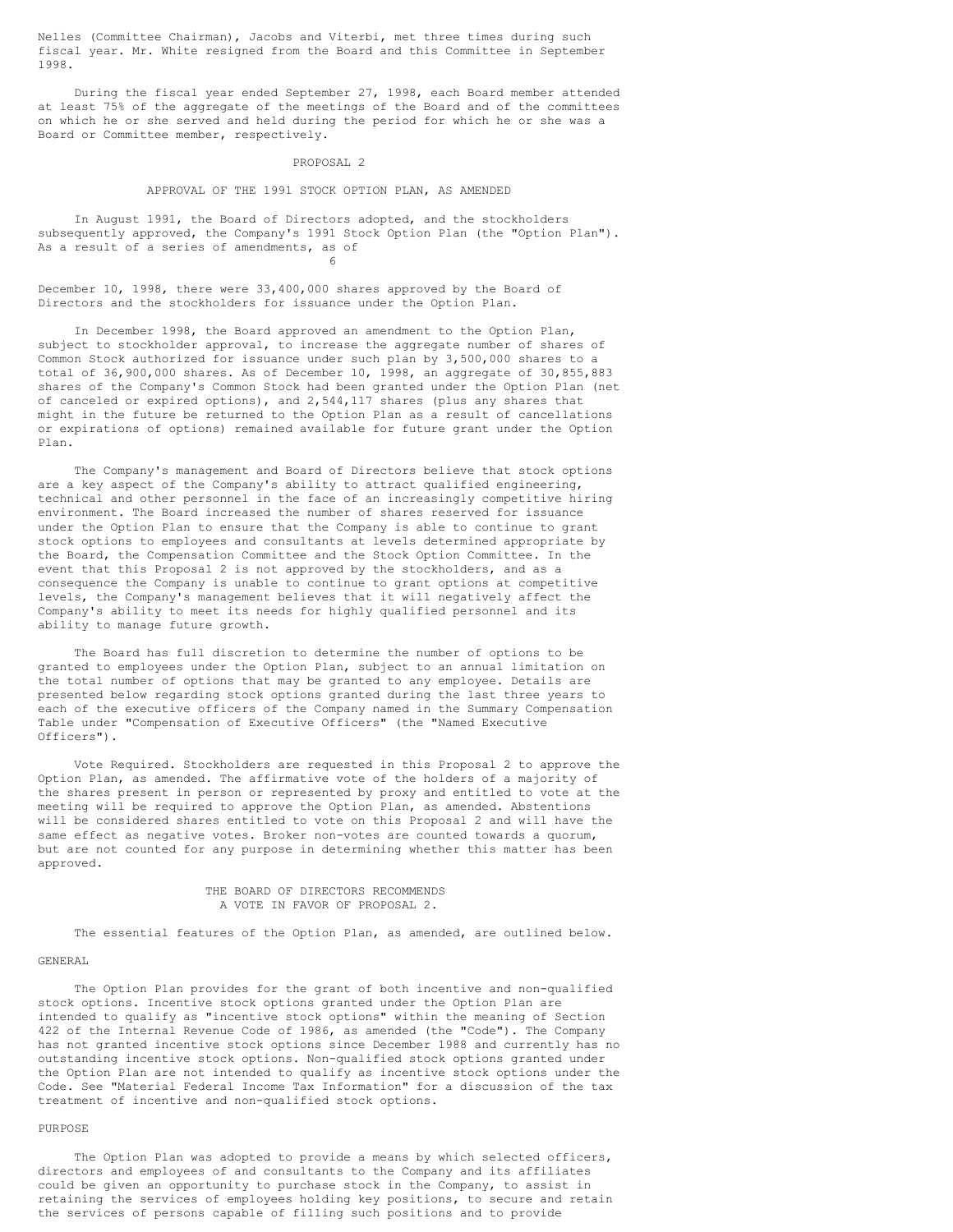Nelles (Committee Chairman), Jacobs and Viterbi, met three times during such fiscal year. Mr. White resigned from the Board and this Committee in September 1998.

During the fiscal year ended September 27, 1998, each Board member attended at least 75% of the aggregate of the meetings of the Board and of the committees on which he or she served and held during the period for which he or she was a Board or Committee member, respectively.

#### PROPOSAL 2

#### APPROVAL OF THE 1991 STOCK OPTION PLAN, AS AMENDED

In August 1991, the Board of Directors adopted, and the stockholders subsequently approved, the Company's 1991 Stock Option Plan (the "Option Plan"). As a result of a series of amendments, as of 6

December 10, 1998, there were 33,400,000 shares approved by the Board of Directors and the stockholders for issuance under the Option Plan.

In December 1998, the Board approved an amendment to the Option Plan, subject to stockholder approval, to increase the aggregate number of shares of Common Stock authorized for issuance under such plan by 3,500,000 shares to a total of 36,900,000 shares. As of December 10, 1998, an aggregate of 30,855,883 shares of the Company's Common Stock had been granted under the Option Plan (net of canceled or expired options), and 2,544,117 shares (plus any shares that might in the future be returned to the Option Plan as a result of cancellations or expirations of options) remained available for future grant under the Option Plan.

The Company's management and Board of Directors believe that stock options are a key aspect of the Company's ability to attract qualified engineering, technical and other personnel in the face of an increasingly competitive hiring environment. The Board increased the number of shares reserved for issuance under the Option Plan to ensure that the Company is able to continue to grant stock options to employees and consultants at levels determined appropriate by the Board, the Compensation Committee and the Stock Option Committee. In the event that this Proposal 2 is not approved by the stockholders, and as a consequence the Company is unable to continue to grant options at competitive levels, the Company's management believes that it will negatively affect the Company's ability to meet its needs for highly qualified personnel and its ability to manage future growth.

The Board has full discretion to determine the number of options to be granted to employees under the Option Plan, subject to an annual limitation on the total number of options that may be granted to any employee. Details are presented below regarding stock options granted during the last three years to each of the executive officers of the Company named in the Summary Compensation Table under "Compensation of Executive Officers" (the "Named Executive Officers").

Vote Required. Stockholders are requested in this Proposal 2 to approve the Option Plan, as amended. The affirmative vote of the holders of a majority of the shares present in person or represented by proxy and entitled to vote at the meeting will be required to approve the Option Plan, as amended. Abstentions will be considered shares entitled to vote on this Proposal 2 and will have the same effect as negative votes. Broker non-votes are counted towards a quorum, but are not counted for any purpose in determining whether this matter has been approved.

> THE BOARD OF DIRECTORS RECOMMENDS A VOTE IN FAVOR OF PROPOSAL 2.

The essential features of the Option Plan, as amended, are outlined below.

#### GENERAL

The Option Plan provides for the grant of both incentive and non-qualified stock options. Incentive stock options granted under the Option Plan are intended to qualify as "incentive stock options" within the meaning of Section 422 of the Internal Revenue Code of 1986, as amended (the "Code"). The Company has not granted incentive stock options since December 1988 and currently has no outstanding incentive stock options. Non-qualified stock options granted under the Option Plan are not intended to qualify as incentive stock options under the Code. See "Material Federal Income Tax Information" for a discussion of the tax treatment of incentive and non-qualified stock options.

#### PURPOSE

The Option Plan was adopted to provide a means by which selected officers, directors and employees of and consultants to the Company and its affiliates could be given an opportunity to purchase stock in the Company, to assist in retaining the services of employees holding key positions, to secure and retain the services of persons capable of filling such positions and to provide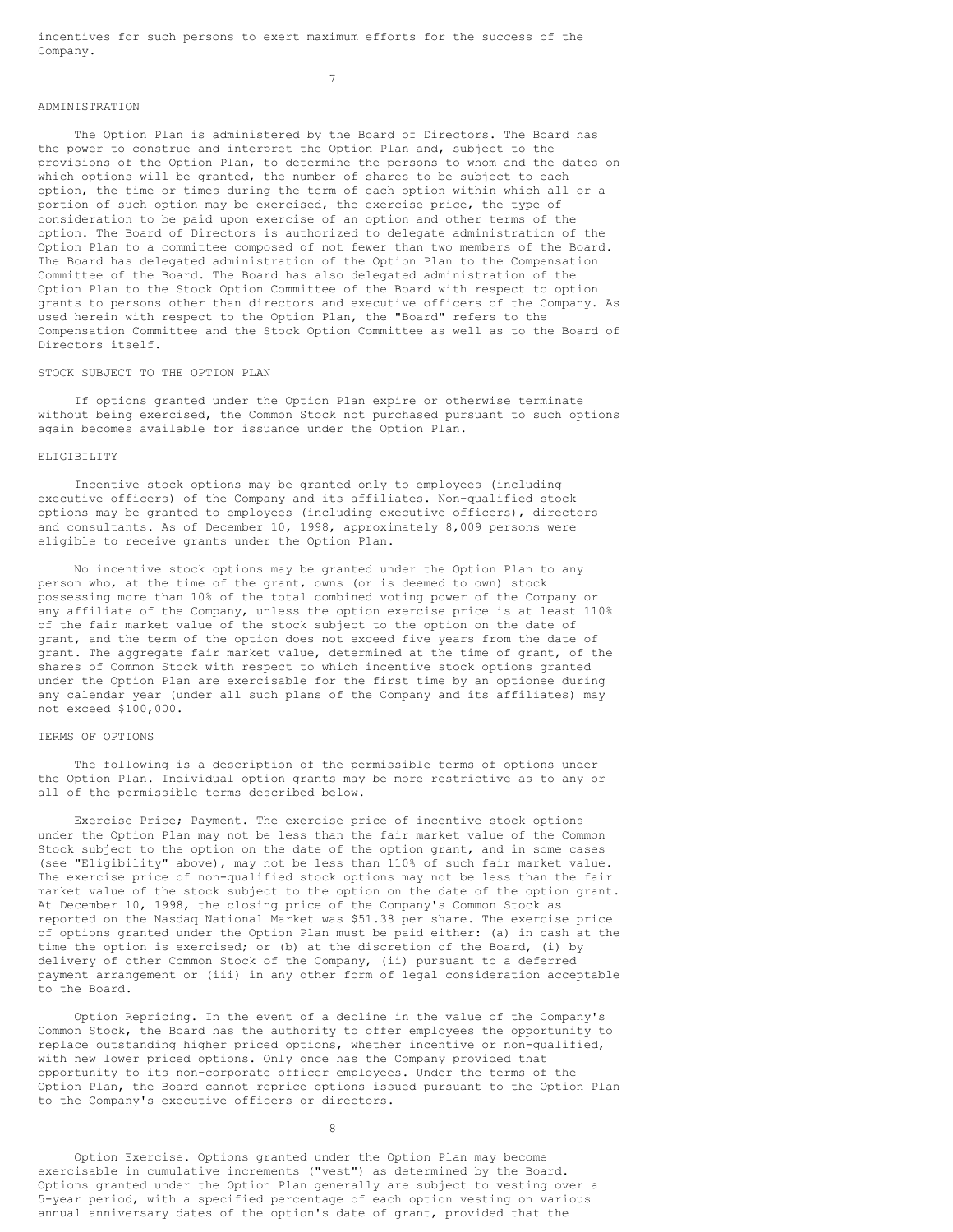incentives for such persons to exert maximum efforts for the success of the Company.

7

# ADMINISTRATION

The Option Plan is administered by the Board of Directors. The Board has the power to construe and interpret the Option Plan and, subject to the provisions of the Option Plan, to determine the persons to whom and the dates on which options will be granted, the number of shares to be subject to each option, the time or times during the term of each option within which all or a portion of such option may be exercised, the exercise price, the type of consideration to be paid upon exercise of an option and other terms of the option. The Board of Directors is authorized to delegate administration of the Option Plan to a committee composed of not fewer than two members of the Board. The Board has delegated administration of the Option Plan to the Compensation Committee of the Board. The Board has also delegated administration of the Option Plan to the Stock Option Committee of the Board with respect to option grants to persons other than directors and executive officers of the Company. As used herein with respect to the Option Plan, the "Board" refers to the Compensation Committee and the Stock Option Committee as well as to the Board of Directors itself.

### STOCK SUBJECT TO THE OPTION PLAN

If options granted under the Option Plan expire or otherwise terminate without being exercised, the Common Stock not purchased pursuant to such options again becomes available for issuance under the Option Plan.

### ELIGIBILITY

Incentive stock options may be granted only to employees (including executive officers) of the Company and its affiliates. Non-qualified stock options may be granted to employees (including executive officers), directors and consultants. As of December 10, 1998, approximately 8,009 persons were eligible to receive grants under the Option Plan.

No incentive stock options may be granted under the Option Plan to any person who, at the time of the grant, owns (or is deemed to own) stock possessing more than 10% of the total combined voting power of the Company or any affiliate of the Company, unless the option exercise price is at least 110% of the fair market value of the stock subject to the option on the date of grant, and the term of the option does not exceed five years from the date of grant. The aggregate fair market value, determined at the time of grant, of the shares of Common Stock with respect to which incentive stock options granted under the Option Plan are exercisable for the first time by an optionee during any calendar year (under all such plans of the Company and its affiliates) may not exceed \$100,000.

## TERMS OF OPTIONS

The following is a description of the permissible terms of options under the Option Plan. Individual option grants may be more restrictive as to any or all of the permissible terms described below.

Exercise Price; Payment. The exercise price of incentive stock options under the Option Plan may not be less than the fair market value of the Common Stock subject to the option on the date of the option grant, and in some cases (see "Eligibility" above), may not be less than 110% of such fair market value. The exercise price of non-qualified stock options may not be less than the fair market value of the stock subject to the option on the date of the option grant. At December 10, 1998, the closing price of the Company's Common Stock as reported on the Nasdaq National Market was \$51.38 per share. The exercise price of options granted under the Option Plan must be paid either: (a) in cash at the time the option is exercised; or (b) at the discretion of the Board, (i) by delivery of other Common Stock of the Company, (ii) pursuant to a deferred payment arrangement or (iii) in any other form of legal consideration acceptable to the Board.

Option Repricing. In the event of a decline in the value of the Company's Common Stock, the Board has the authority to offer employees the opportunity to replace outstanding higher priced options, whether incentive or non-qualified, with new lower priced options. Only once has the Company provided that opportunity to its non-corporate officer employees. Under the terms of the Option Plan, the Board cannot reprice options issued pursuant to the Option Plan to the Company's executive officers or directors.

8

Option Exercise. Options granted under the Option Plan may become exercisable in cumulative increments ("vest") as determined by the Board. Options granted under the Option Plan generally are subject to vesting over a 5-year period, with a specified percentage of each option vesting on various annual anniversary dates of the option's date of grant, provided that the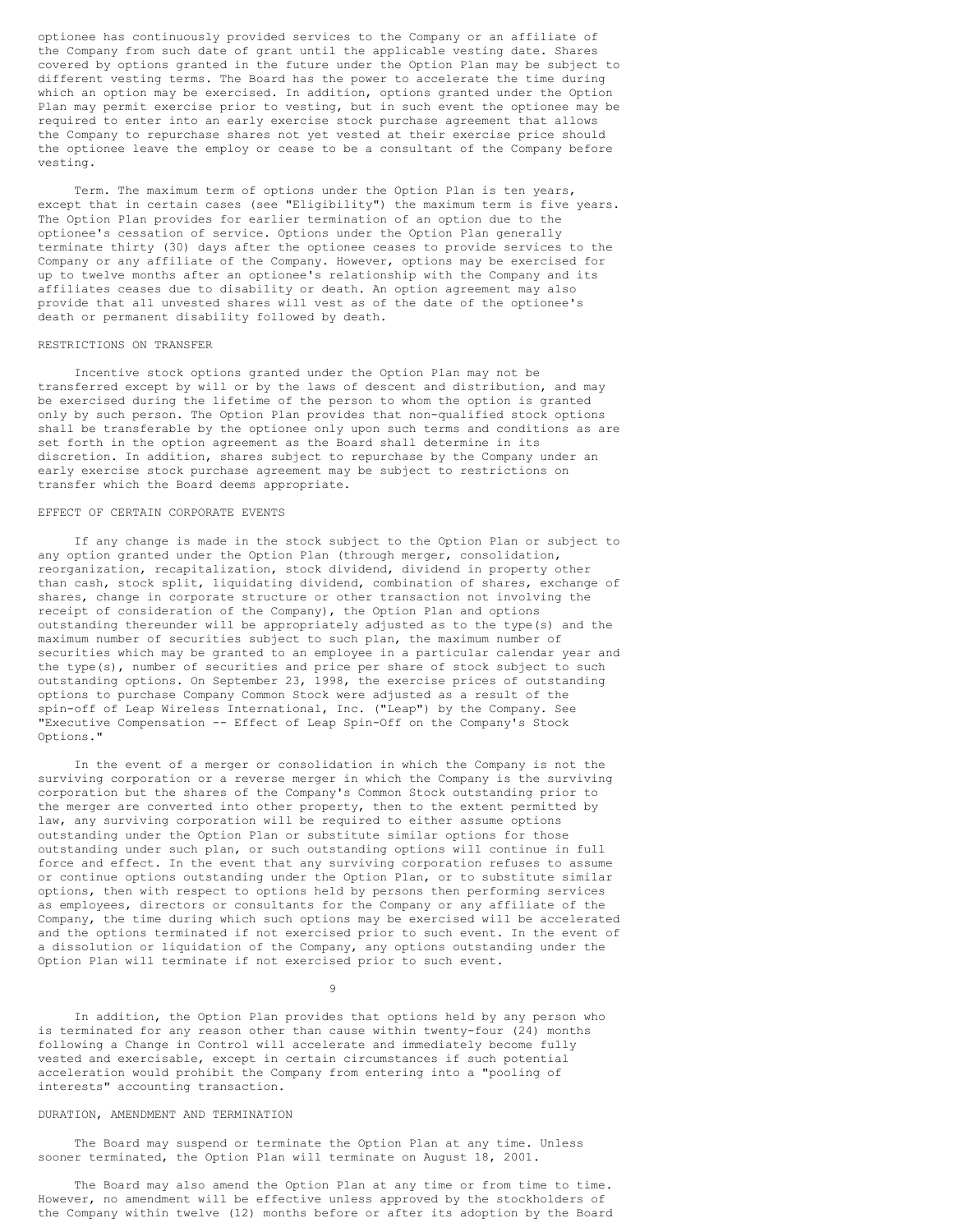optionee has continuously provided services to the Company or an affiliate of the Company from such date of grant until the applicable vesting date. Shares covered by options granted in the future under the Option Plan may be subject to different vesting terms. The Board has the power to accelerate the time during which an option may be exercised. In addition, options granted under the Option Plan may permit exercise prior to vesting, but in such event the optionee may be required to enter into an early exercise stock purchase agreement that allows the Company to repurchase shares not yet vested at their exercise price should the optionee leave the employ or cease to be a consultant of the Company before vesting.

Term. The maximum term of options under the Option Plan is ten years, except that in certain cases (see "Eligibility") the maximum term is five years. The Option Plan provides for earlier termination of an option due to the optionee's cessation of service. Options under the Option Plan generally terminate thirty (30) days after the optionee ceases to provide services to the Company or any affiliate of the Company. However, options may be exercised for up to twelve months after an optionee's relationship with the Company and its affiliates ceases due to disability or death. An option agreement may also provide that all unvested shares will vest as of the date of the optionee's death or permanent disability followed by death.

### RESTRICTIONS ON TRANSFER

Incentive stock options granted under the Option Plan may not be transferred except by will or by the laws of descent and distribution, and may be exercised during the lifetime of the person to whom the option is granted only by such person. The Option Plan provides that non-qualified stock options shall be transferable by the optionee only upon such terms and conditions as are set forth in the option agreement as the Board shall determine in its discretion. In addition, shares subject to repurchase by the Company under an early exercise stock purchase agreement may be subject to restrictions on transfer which the Board deems appropriate.

## EFFECT OF CERTAIN CORPORATE EVENTS

If any change is made in the stock subject to the Option Plan or subject to any option granted under the Option Plan (through merger, consolidation, reorganization, recapitalization, stock dividend, dividend in property other than cash, stock split, liquidating dividend, combination of shares, exchange of shares, change in corporate structure or other transaction not involving the receipt of consideration of the Company), the Option Plan and options outstanding thereunder will be appropriately adjusted as to the type(s) and the maximum number of securities subject to such plan, the maximum number of securities which may be granted to an employee in a particular calendar year and the type(s), number of securities and price per share of stock subject to such outstanding options. On September 23, 1998, the exercise prices of outstanding options to purchase Company Common Stock were adjusted as a result of the spin-off of Leap Wireless International, Inc. ("Leap") by the Company. See "Executive Compensation -- Effect of Leap Spin-Off on the Company's Stock Options."

In the event of a merger or consolidation in which the Company is not the surviving corporation or a reverse merger in which the Company is the surviving corporation but the shares of the Company's Common Stock outstanding prior to the merger are converted into other property, then to the extent permitted by law, any surviving corporation will be required to either assume options outstanding under the Option Plan or substitute similar options for those outstanding under such plan, or such outstanding options will continue in full force and effect. In the event that any surviving corporation refuses to assume or continue options outstanding under the Option Plan, or to substitute similar options, then with respect to options held by persons then performing services as employees, directors or consultants for the Company or any affiliate of the Company, the time during which such options may be exercised will be accelerated and the options terminated if not exercised prior to such event. In the event of a dissolution or liquidation of the Company, any options outstanding under the Option Plan will terminate if not exercised prior to such event.

9

In addition, the Option Plan provides that options held by any person who is terminated for any reason other than cause within twenty-four (24) months following a Change in Control will accelerate and immediately become fully vested and exercisable, except in certain circumstances if such potential acceleration would prohibit the Company from entering into a "pooling of interests" accounting transaction.

#### DURATION, AMENDMENT AND TERMINATION

The Board may suspend or terminate the Option Plan at any time. Unless sooner terminated, the Option Plan will terminate on August 18, 2001.

The Board may also amend the Option Plan at any time or from time to time. However, no amendment will be effective unless approved by the stockholders of the Company within twelve (12) months before or after its adoption by the Board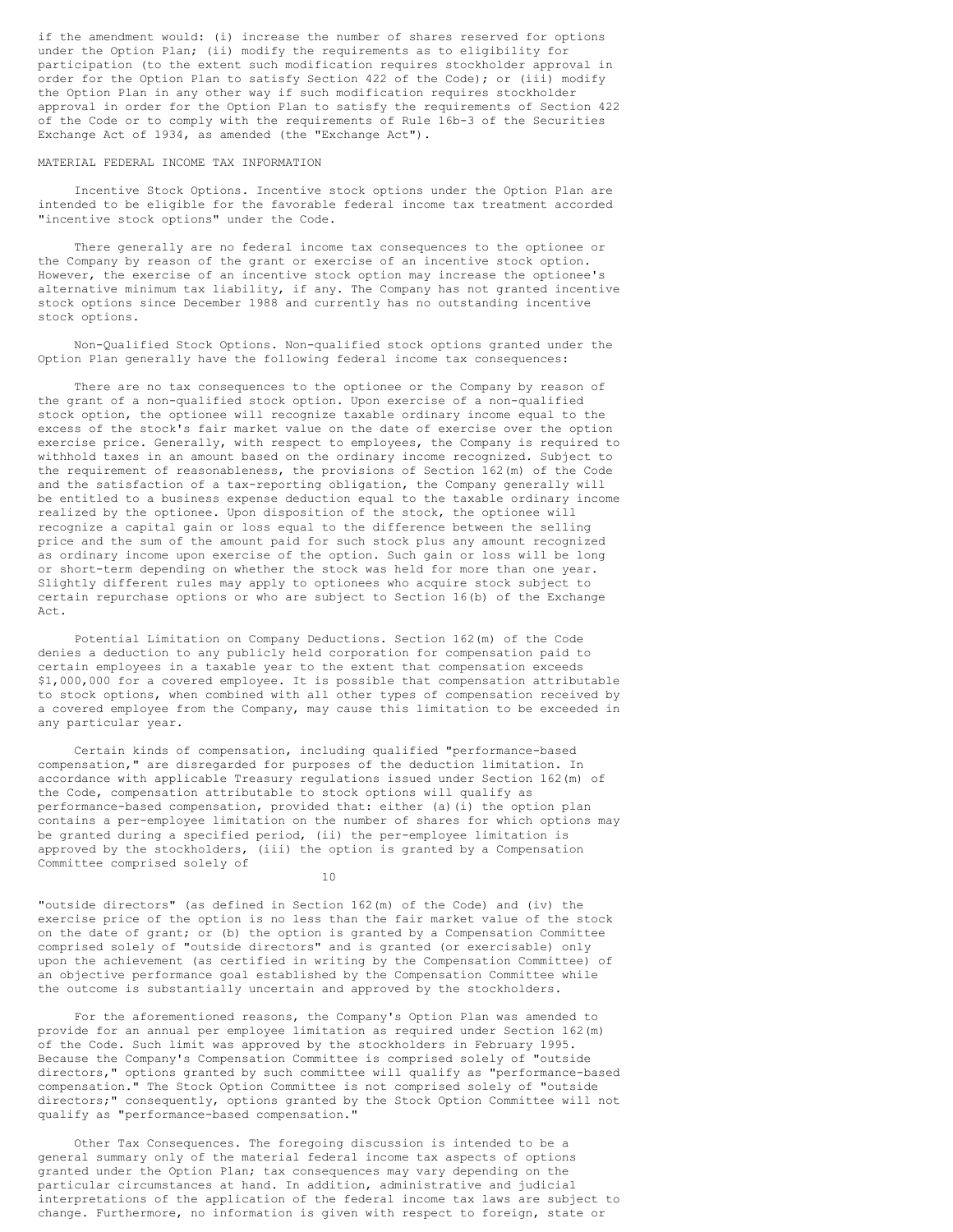if the amendment would: (i) increase the number of shares reserved for options under the Option Plan; (ii) modify the requirements as to eligibility for participation (to the extent such modification requires stockholder approval in order for the Option Plan to satisfy Section 422 of the Code); or (iii) modify the Option Plan in any other way if such modification requires stockholder approval in order for the Option Plan to satisfy the requirements of Section 422 of the Code or to comply with the requirements of Rule 16b-3 of the Securities Exchange Act of 1934, as amended (the "Exchange Act").

#### MATERIAL FEDERAL INCOME TAX INFORMATION

Incentive Stock Options. Incentive stock options under the Option Plan are intended to be eligible for the favorable federal income tax treatment accorded "incentive stock options" under the Code.

There generally are no federal income tax consequences to the optionee or the Company by reason of the grant or exercise of an incentive stock option. However, the exercise of an incentive stock option may increase the optionee's alternative minimum tax liability, if any. The Company has not granted incentive stock options since December 1988 and currently has no outstanding incentive stock options.

Non-Qualified Stock Options. Non-qualified stock options granted under the Option Plan generally have the following federal income tax consequences:

There are no tax consequences to the optionee or the Company by reason of the grant of a non-qualified stock option. Upon exercise of a non-qualified stock option, the optionee will recognize taxable ordinary income equal to the excess of the stock's fair market value on the date of exercise over the option exercise price. Generally, with respect to employees, the Company is required to withhold taxes in an amount based on the ordinary income recognized. Subject to the requirement of reasonableness, the provisions of Section 162(m) of the Code and the satisfaction of a tax-reporting obligation, the Company generally will be entitled to a business expense deduction equal to the taxable ordinary income realized by the optionee. Upon disposition of the stock, the optionee will recognize a capital gain or loss equal to the difference between the selling price and the sum of the amount paid for such stock plus any amount recognized as ordinary income upon exercise of the option. Such gain or loss will be long or short-term depending on whether the stock was held for more than one year. Slightly different rules may apply to optionees who acquire stock subject to certain repurchase options or who are subject to Section 16(b) of the Exchange Act.

Potential Limitation on Company Deductions. Section 162(m) of the Code denies a deduction to any publicly held corporation for compensation paid to certain employees in a taxable year to the extent that compensation exceeds \$1,000,000 for a covered employee. It is possible that compensation attributable to stock options, when combined with all other types of compensation received by a covered employee from the Company, may cause this limitation to be exceeded in any particular year.

Certain kinds of compensation, including qualified "performance-based compensation," are disregarded for purposes of the deduction limitation. In accordance with applicable Treasury regulations issued under Section 162(m) of the Code, compensation attributable to stock options will qualify as performance-based compensation, provided that: either (a)(i) the option plan contains a per-employee limitation on the number of shares for which options may be granted during a specified period, (ii) the per-employee limitation is approved by the stockholders, (iii) the option is granted by a Compensation Committee comprised solely of

10

"outside directors" (as defined in Section 162(m) of the Code) and (iv) the exercise price of the option is no less than the fair market value of the stock on the date of grant; or (b) the option is granted by a Compensation Committee comprised solely of "outside directors" and is granted (or exercisable) only upon the achievement (as certified in writing by the Compensation Committee) of an objective performance goal established by the Compensation Committee while the outcome is substantially uncertain and approved by the stockholders.

For the aforementioned reasons, the Company's Option Plan was amended to provide for an annual per employee limitation as required under Section 162(m) of the Code. Such limit was approved by the stockholders in February 1995. Because the Company's Compensation Committee is comprised solely of "outside directors," options granted by such committee will qualify as "performance-based compensation." The Stock Option Committee is not comprised solely of "outside directors;" consequently, options granted by the Stock Option Committee will not qualify as "performance-based compensation."

Other Tax Consequences. The foregoing discussion is intended to be a general summary only of the material federal income tax aspects of options granted under the Option Plan; tax consequences may vary depending on the particular circumstances at hand. In addition, administrative and judicial interpretations of the application of the federal income tax laws are subject to change. Furthermore, no information is given with respect to foreign, state or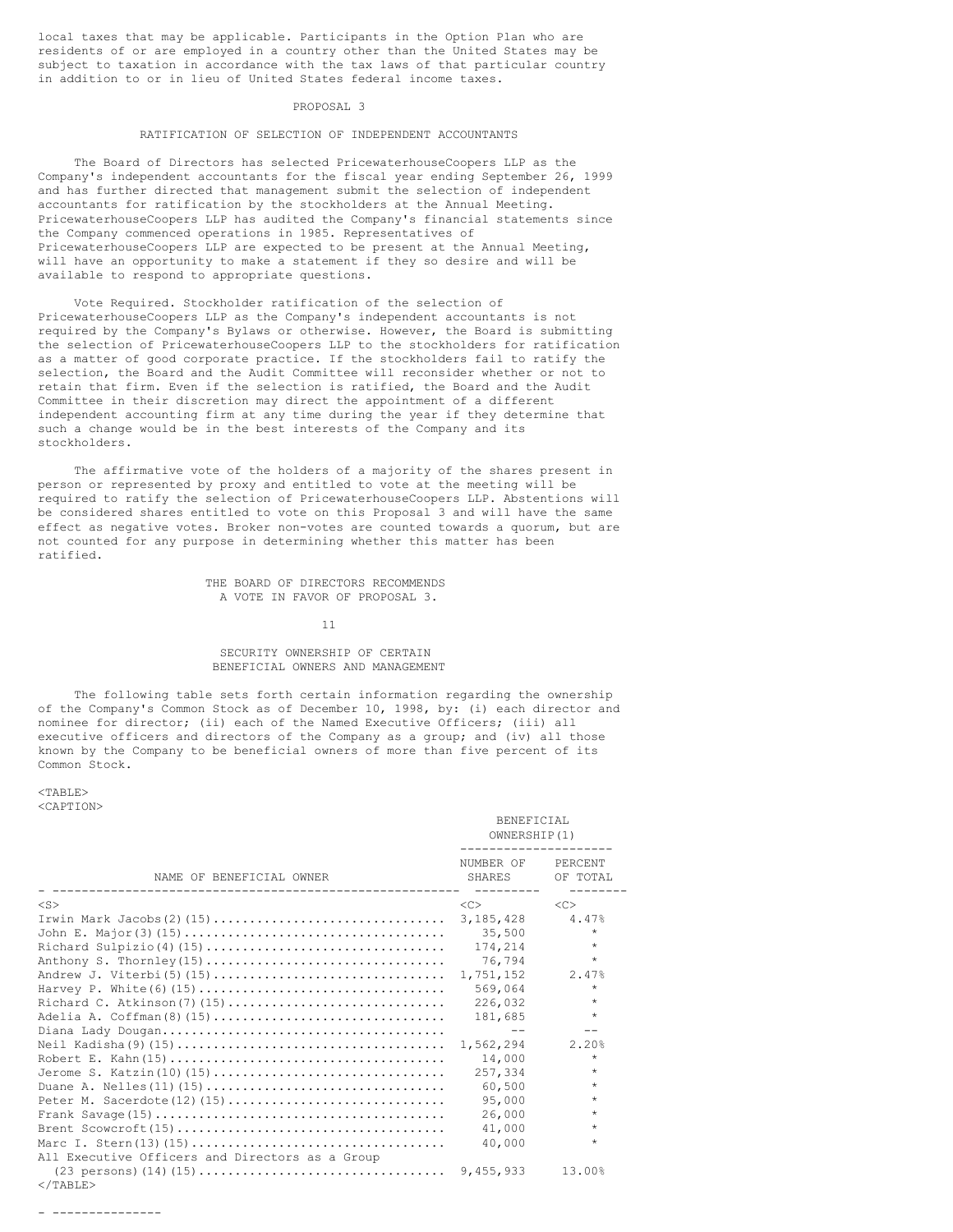local taxes that may be applicable. Participants in the Option Plan who are residents of or are employed in a country other than the United States may be subject to taxation in accordance with the tax laws of that particular country in addition to or in lieu of United States federal income taxes.

#### PROPOSAL 3

### RATIFICATION OF SELECTION OF INDEPENDENT ACCOUNTANTS

The Board of Directors has selected PricewaterhouseCoopers LLP as the Company's independent accountants for the fiscal year ending September 26, 1999 and has further directed that management submit the selection of independent accountants for ratification by the stockholders at the Annual Meeting. PricewaterhouseCoopers LLP has audited the Company's financial statements since the Company commenced operations in 1985. Representatives of PricewaterhouseCoopers LLP are expected to be present at the Annual Meeting, will have an opportunity to make a statement if they so desire and will be available to respond to appropriate questions.

Vote Required. Stockholder ratification of the selection of PricewaterhouseCoopers LLP as the Company's independent accountants is not required by the Company's Bylaws or otherwise. However, the Board is submitting the selection of PricewaterhouseCoopers LLP to the stockholders for ratification as a matter of good corporate practice. If the stockholders fail to ratify the selection, the Board and the Audit Committee will reconsider whether or not to retain that firm. Even if the selection is ratified, the Board and the Audit Committee in their discretion may direct the appointment of a different independent accounting firm at any time during the year if they determine that such a change would be in the best interests of the Company and its stockholders.

The affirmative vote of the holders of a majority of the shares present in person or represented by proxy and entitled to vote at the meeting will be required to ratify the selection of PricewaterhouseCoopers LLP. Abstentions will be considered shares entitled to vote on this Proposal 3 and will have the same effect as negative votes. Broker non-votes are counted towards a quorum, but are not counted for any purpose in determining whether this matter has been ratified.

> THE BOARD OF DIRECTORS RECOMMENDS A VOTE IN FAVOR OF PROPOSAL 3.

> > 11

## SECURITY OWNERSHIP OF CERTAIN BENEFICIAL OWNERS AND MANAGEMENT

The following table sets forth certain information regarding the ownership of the Company's Common Stock as of December 10, 1998, by: (i) each director and nominee for director; (ii) each of the Named Executive Officers; (iii) all executive officers and directors of the Company as a group; and (iv) all those known by the Company to be beneficial owners of more than five percent of its Common Stock.

### $<$ TABLE> <CAPTION>

|                                                             | BENEFICIAL<br>OWNERSHIP(1)     |                     |  |
|-------------------------------------------------------------|--------------------------------|---------------------|--|
| NAME OF BENEFICIAL OWNER                                    | NUMBER OF<br>SHARES<br>------- | PERCENT<br>OF TOTAL |  |
| $<$ S $>$                                                   | <<                             | < <sub></sub>       |  |
|                                                             | 3,185,428                      | 4.47%               |  |
|                                                             | 35,500                         | $\star$             |  |
|                                                             | 174,214                        | $\star$             |  |
|                                                             | 76,794                         | $\star$             |  |
|                                                             | 1,751,152                      | 2.47%               |  |
|                                                             | 569,064                        | $\star$             |  |
|                                                             | 226,032                        | $\star$             |  |
| Adelia A. Coffman(8)(15)                                    | 181,685                        | $\star$             |  |
|                                                             | $- -$                          |                     |  |
|                                                             | 1,562,294                      | 2.20%               |  |
|                                                             | 14,000                         | $\star$             |  |
| Jerome S. Katzin(10)(15)                                    | 257,334                        | $\star$             |  |
|                                                             | 60,500                         | $\star$             |  |
|                                                             | 95,000                         | $\star$             |  |
|                                                             | 26,000                         | $\star$             |  |
|                                                             | 41,000                         | $\star$             |  |
|                                                             | 40,000                         | $\star$             |  |
| All Executive Officers and Directors as a Group             |                                |                     |  |
| $(23 \text{ persons}) (14) (15) \dots (23 \text{ persons})$ | 9,455,933                      | 13.00%              |  |
| $\langle$ /TABLE>                                           |                                |                     |  |

- ---------------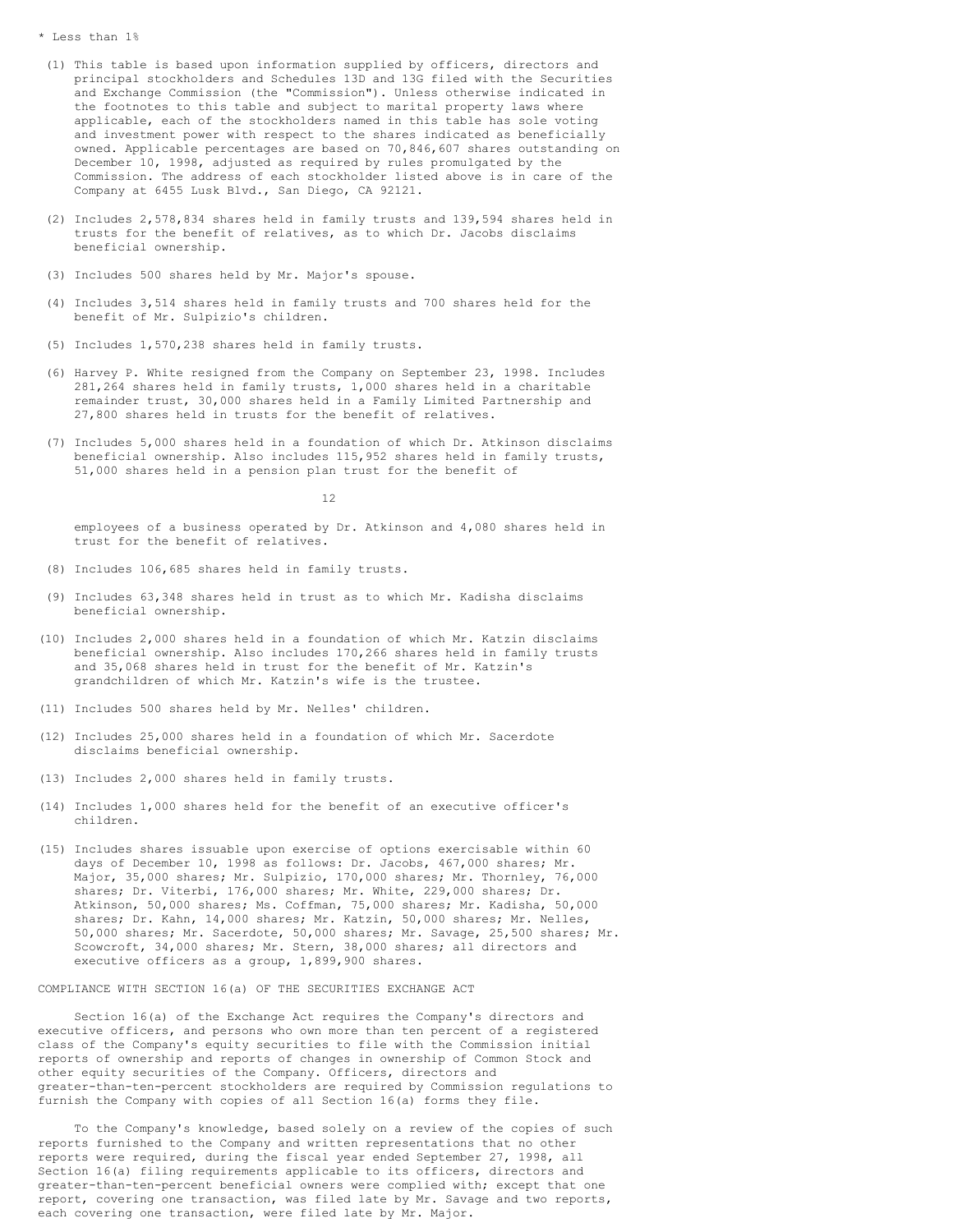#### \* Less than 1%

- (1) This table is based upon information supplied by officers, directors and principal stockholders and Schedules 13D and 13G filed with the Securities and Exchange Commission (the "Commission"). Unless otherwise indicated in the footnotes to this table and subject to marital property laws where applicable, each of the stockholders named in this table has sole voting and investment power with respect to the shares indicated as beneficially owned. Applicable percentages are based on 70,846,607 shares outstanding on December 10, 1998, adjusted as required by rules promulgated by the Commission. The address of each stockholder listed above is in care of the Company at 6455 Lusk Blvd., San Diego, CA 92121.
- (2) Includes 2,578,834 shares held in family trusts and 139,594 shares held in trusts for the benefit of relatives, as to which Dr. Jacobs disclaims beneficial ownership.
- (3) Includes 500 shares held by Mr. Major's spouse.
- (4) Includes 3,514 shares held in family trusts and 700 shares held for the benefit of Mr. Sulpizio's children.
- (5) Includes 1,570,238 shares held in family trusts.
- (6) Harvey P. White resigned from the Company on September 23, 1998. Includes 281,264 shares held in family trusts, 1,000 shares held in a charitable remainder trust, 30,000 shares held in a Family Limited Partnership and 27,800 shares held in trusts for the benefit of relatives.
- (7) Includes 5,000 shares held in a foundation of which Dr. Atkinson disclaims beneficial ownership. Also includes 115,952 shares held in family trusts, 51,000 shares held in a pension plan trust for the benefit of

12

employees of a business operated by Dr. Atkinson and 4,080 shares held in trust for the benefit of relatives.

- (8) Includes 106,685 shares held in family trusts.
- (9) Includes 63,348 shares held in trust as to which Mr. Kadisha disclaims beneficial ownership.
- (10) Includes 2,000 shares held in a foundation of which Mr. Katzin disclaims beneficial ownership. Also includes 170,266 shares held in family trusts and 35,068 shares held in trust for the benefit of Mr. Katzin's grandchildren of which Mr. Katzin's wife is the trustee.
- (11) Includes 500 shares held by Mr. Nelles' children.
- (12) Includes 25,000 shares held in a foundation of which Mr. Sacerdote disclaims beneficial ownership.
- (13) Includes 2,000 shares held in family trusts.
- (14) Includes 1,000 shares held for the benefit of an executive officer's children.
- (15) Includes shares issuable upon exercise of options exercisable within 60 days of December 10, 1998 as follows: Dr. Jacobs, 467,000 shares; Mr. Major, 35,000 shares; Mr. Sulpizio, 170,000 shares; Mr. Thornley, 76,000 shares; Dr. Viterbi, 176,000 shares; Mr. White, 229,000 shares; Dr. Atkinson, 50,000 shares; Ms. Coffman, 75,000 shares; Mr. Kadisha, 50,000 shares; Dr. Kahn, 14,000 shares; Mr. Katzin, 50,000 shares; Mr. Nelles, 50,000 shares; Mr. Sacerdote, 50,000 shares; Mr. Savage, 25,500 shares; Mr. Scowcroft, 34,000 shares; Mr. Stern, 38,000 shares; all directors and executive officers as a group, 1,899,900 shares.

COMPLIANCE WITH SECTION 16(a) OF THE SECURITIES EXCHANGE ACT

Section 16(a) of the Exchange Act requires the Company's directors and executive officers, and persons who own more than ten percent of a registered class of the Company's equity securities to file with the Commission initial reports of ownership and reports of changes in ownership of Common Stock and other equity securities of the Company. Officers, directors and greater-than-ten-percent stockholders are required by Commission regulations to furnish the Company with copies of all Section 16(a) forms they file.

To the Company's knowledge, based solely on a review of the copies of such reports furnished to the Company and written representations that no other reports were required, during the fiscal year ended September 27, 1998, all Section 16(a) filing requirements applicable to its officers, directors and greater-than-ten-percent beneficial owners were complied with; except that one report, covering one transaction, was filed late by Mr. Savage and two reports, each covering one transaction, were filed late by Mr. Major.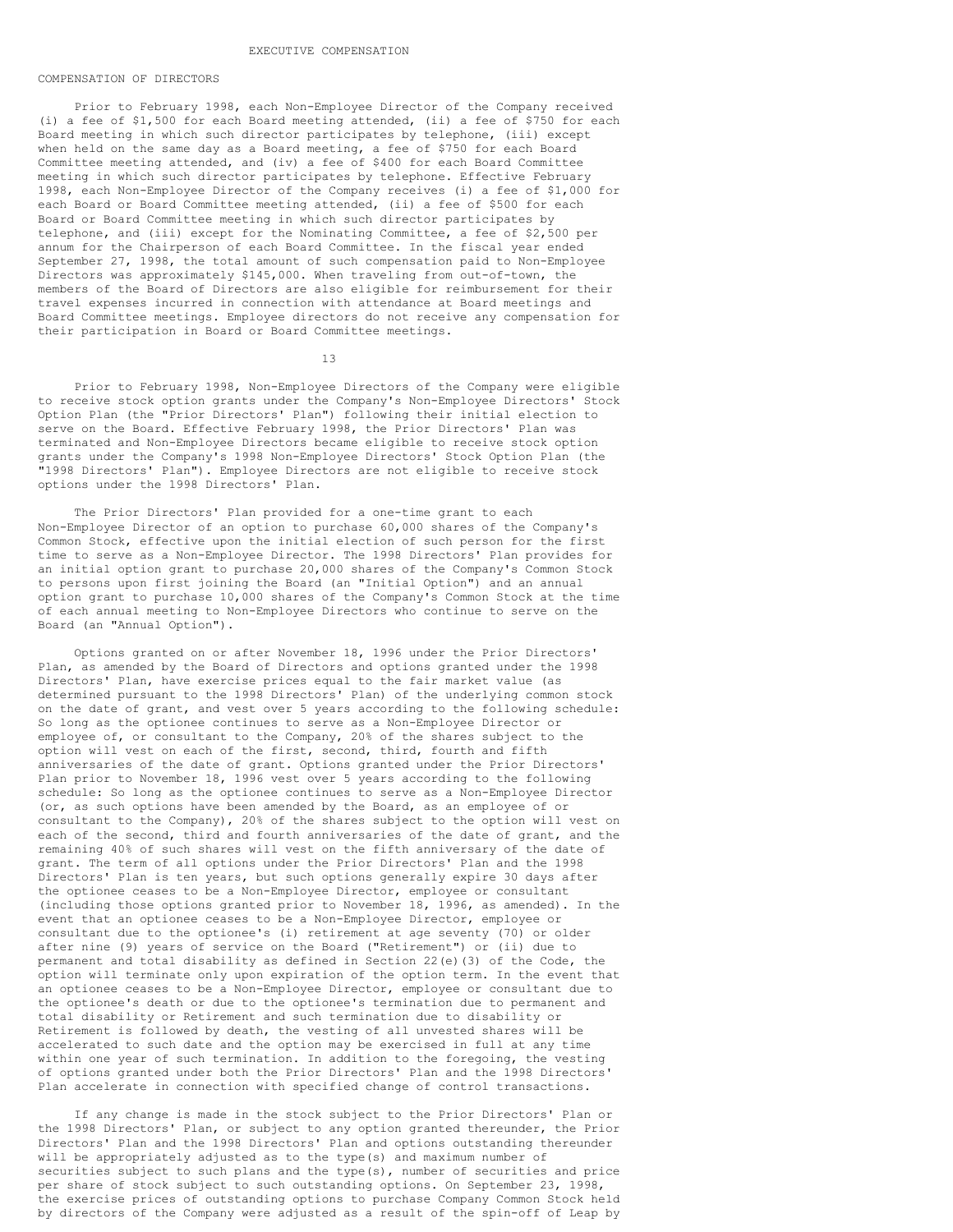#### EXECUTIVE COMPENSATION

### COMPENSATION OF DIRECTORS

Prior to February 1998, each Non-Employee Director of the Company received (i) a fee of \$1,500 for each Board meeting attended, (ii) a fee of \$750 for each Board meeting in which such director participates by telephone, (iii) except when held on the same day as a Board meeting, a fee of \$750 for each Board Committee meeting attended, and (iv) a fee of \$400 for each Board Committee meeting in which such director participates by telephone. Effective February 1998, each Non-Employee Director of the Company receives (i) a fee of \$1,000 for each Board or Board Committee meeting attended, (ii) a fee of \$500 for each Board or Board Committee meeting in which such director participates by telephone, and (iii) except for the Nominating Committee, a fee of \$2,500 per annum for the Chairperson of each Board Committee. In the fiscal year ended September 27, 1998, the total amount of such compensation paid to Non-Employee Directors was approximately \$145,000. When traveling from out-of-town, the members of the Board of Directors are also eligible for reimbursement for their travel expenses incurred in connection with attendance at Board meetings and Board Committee meetings. Employee directors do not receive any compensation for their participation in Board or Board Committee meetings.

13

Prior to February 1998, Non-Employee Directors of the Company were eligible to receive stock option grants under the Company's Non-Employee Directors' Stock Option Plan (the "Prior Directors' Plan") following their initial election to serve on the Board. Effective February 1998, the Prior Directors' Plan was terminated and Non-Employee Directors became eligible to receive stock option grants under the Company's 1998 Non-Employee Directors' Stock Option Plan (the "1998 Directors' Plan"). Employee Directors are not eligible to receive stock options under the 1998 Directors' Plan.

The Prior Directors' Plan provided for a one-time grant to each Non-Employee Director of an option to purchase 60,000 shares of the Company's Common Stock, effective upon the initial election of such person for the first time to serve as a Non-Employee Director. The 1998 Directors' Plan provides for an initial option grant to purchase 20,000 shares of the Company's Common Stock to persons upon first joining the Board (an "Initial Option") and an annual option grant to purchase 10,000 shares of the Company's Common Stock at the time of each annual meeting to Non-Employee Directors who continue to serve on the Board (an "Annual Option").

Options granted on or after November 18, 1996 under the Prior Directors' Plan, as amended by the Board of Directors and options granted under the 1998 Directors' Plan, have exercise prices equal to the fair market value (as determined pursuant to the 1998 Directors' Plan) of the underlying common stock on the date of grant, and vest over 5 years according to the following schedule: So long as the optionee continues to serve as a Non-Employee Director or employee of, or consultant to the Company, 20% of the shares subject to the option will vest on each of the first, second, third, fourth and fifth anniversaries of the date of grant. Options granted under the Prior Directors' Plan prior to November 18, 1996 vest over 5 years according to the following schedule: So long as the optionee continues to serve as a Non-Employee Director (or, as such options have been amended by the Board, as an employee of or consultant to the Company), 20% of the shares subject to the option will vest on each of the second, third and fourth anniversaries of the date of grant, and the remaining 40% of such shares will vest on the fifth anniversary of the date of grant. The term of all options under the Prior Directors' Plan and the 1998 Directors' Plan is ten years, but such options generally expire 30 days after the optionee ceases to be a Non-Employee Director, employee or consultant (including those options granted prior to November 18, 1996, as amended). In the event that an optionee ceases to be a Non-Employee Director, employee or consultant due to the optionee's (i) retirement at age seventy (70) or older after nine (9) years of service on the Board ("Retirement") or (ii) due to permanent and total disability as defined in Section 22(e)(3) of the Code, the option will terminate only upon expiration of the option term. In the event that an optionee ceases to be a Non-Employee Director, employee or consultant due to the optionee's death or due to the optionee's termination due to permanent and total disability or Retirement and such termination due to disability or Retirement is followed by death, the vesting of all unvested shares will be accelerated to such date and the option may be exercised in full at any time within one year of such termination. In addition to the foregoing, the vesting of options granted under both the Prior Directors' Plan and the 1998 Directors' Plan accelerate in connection with specified change of control transactions.

If any change is made in the stock subject to the Prior Directors' Plan or the 1998 Directors' Plan, or subject to any option granted thereunder, the Prior Directors' Plan and the 1998 Directors' Plan and options outstanding thereunder will be appropriately adjusted as to the type(s) and maximum number of securities subject to such plans and the type(s), number of securities and price per share of stock subject to such outstanding options. On September 23, 1998, the exercise prices of outstanding options to purchase Company Common Stock held by directors of the Company were adjusted as a result of the spin-off of Leap by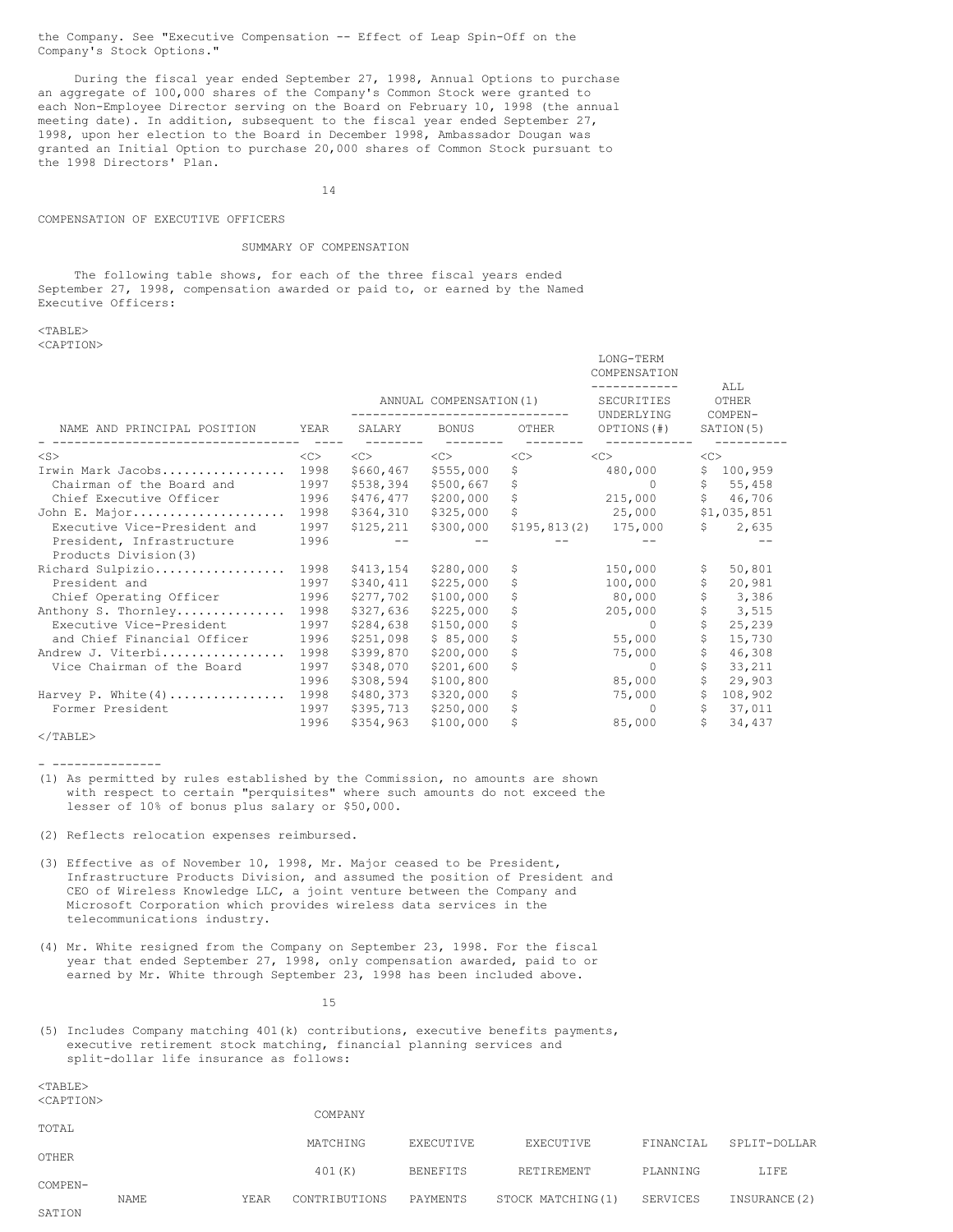the Company. See "Executive Compensation -- Effect of Leap Spin-Off on the Company's Stock Options."

During the fiscal year ended September 27, 1998, Annual Options to purchase an aggregate of 100,000 shares of the Company's Common Stock were granted to each Non-Employee Director serving on the Board on February 10, 1998 (the annual meeting date). In addition, subsequent to the fiscal year ended September 27, 1998, upon her election to the Board in December 1998, Ambassador Dougan was granted an Initial Option to purchase 20,000 shares of Common Stock pursuant to the 1998 Directors' Plan.

14

### COMPENSATION OF EXECUTIVE OFFICERS

## SUMMARY OF COMPENSATION

The following table shows, for each of the three fiscal years ended September 27, 1998, compensation awarded or paid to, or earned by the Named Executive Officers:

 $<sub>TAPER></sub>$ </sub> <CAPTION>

|                              |      |           |                        |       | COMPENSATION             |              |                  |
|------------------------------|------|-----------|------------------------|-------|--------------------------|--------------|------------------|
|                              |      |           |                        |       |                          |              | ALL              |
|                              |      |           | ANNUAL COMPENSATION(1) |       | SECURITIES<br>UNDERLYING |              | OTHER<br>COMPEN- |
| NAME AND PRINCIPAL POSITION  | YEAR | SALARY    | BONUS                  | OTHER | OPTIONS (#)              |              | SATION(5)        |
| $<$ S $>$                    | <<   | <<        | <<                     | <<>   | <<                       | $<$ C $>$    |                  |
| Irwin Mark Jacobs            | 1998 | \$660,467 | \$555,000              | \$    | 480,000                  |              | \$100,959        |
| Chairman of the Board and    | 1997 | \$538,394 | \$500,667              | \$    | $\Omega$                 |              | \$5,458          |
| Chief Executive Officer      | 1996 | \$476,477 | \$200,000              | \$    | 215,000                  |              | \$ 46, 706       |
| John E. Major                | 1998 | \$364,310 | \$325,000              | \$    | 25,000                   |              | \$1,035,851      |
| Executive Vice-President and | 1997 | \$125,211 | \$300,000              |       | \$195,813(2) 175,000     |              | \$2,635          |
| President, Infrastructure    | 1996 |           |                        |       |                          |              |                  |
| Products Division (3)        |      |           |                        |       |                          |              |                  |
| Richard Sulpizio             | 1998 | \$413,154 | \$280,000              | \$    | 150,000                  | \$           | 50,801           |
| President and                | 1997 | \$340,411 | \$225,000              | \$    | 100,000                  | \$           | 20,981           |
| Chief Operating Officer      | 1996 | \$277,702 | \$100,000              | \$    | 80,000                   | \$           | 3,386            |
| Anthony S. Thornley          | 1998 | \$327,636 | \$225,000              | \$    | 205,000                  | \$           | 3,515            |
| Executive Vice-President     | 1997 | \$284,638 | \$150,000              | \$    | $\Omega$                 | S            | 25,239           |
| and Chief Financial Officer  | 1996 | \$251,098 | \$85,000               | \$    | 55,000                   | \$           | 15,730           |
| Andrew J. Viterbi            | 1998 | \$399,870 | \$200,000              | \$    | 75,000                   | \$           | 46,308           |
| Vice Chairman of the Board   | 1997 | \$348,070 | \$201,600              | \$    | $\Omega$                 | \$           | 33,211           |
|                              | 1996 | \$308,594 | \$100,800              |       | 85,000                   | Ŝ.           | 29,903           |
| Harvey P. White $(4)$        | 1998 | \$480,373 | \$320,000              | \$    | 75,000                   | \$           | 108,902          |
| Former President             | 1997 | \$395,713 | \$250,000              | \$    | $\Omega$                 | $\mathsf{S}$ | 37,011           |
|                              | 1996 | \$354,963 | \$100,000              | \$    | 85,000                   |              | \$34,437         |

LONG-TERM

 $\langle$ /TABLE>

- ---------------

(1) As permitted by rules established by the Commission, no amounts are shown with respect to certain "perquisites" where such amounts do not exceed the lesser of 10% of bonus plus salary or \$50,000.

(2) Reflects relocation expenses reimbursed.

- (3) Effective as of November 10, 1998, Mr. Major ceased to be President, Infrastructure Products Division, and assumed the position of President and CEO of Wireless Knowledge LLC, a joint venture between the Company and Microsoft Corporation which provides wireless data services in the telecommunications industry.
- (4) Mr. White resigned from the Company on September 23, 1998. For the fiscal year that ended September 27, 1998, only compensation awarded, paid to or earned by Mr. White through September 23, 1998 has been included above.

15

(5) Includes Company matching 401(k) contributions, executive benefits payments, executive retirement stock matching, financial planning services and split-dollar life insurance as follows:

 $<$ TABLE>  $\sim$ CADTIONS

| NUAL LIUNZ |      |      | COMPANY       |                 |                   |           |               |
|------------|------|------|---------------|-----------------|-------------------|-----------|---------------|
| TOTAL      |      |      |               |                 |                   |           |               |
|            |      |      | MATCHING      | EXECUTIVE       | EXECUTIVE         | FINANCIAL | SPLIT-DOLLAR  |
| OTHER      |      |      |               |                 |                   |           |               |
|            |      |      | 401(K)        | <b>BENEFITS</b> | RETIREMENT        | PLANNING  | LIFE          |
| COMPEN-    |      |      |               |                 |                   |           |               |
|            | NAME | YEAR | CONTRIBUTIONS | PAYMENTS        | STOCK MATCHING(1) | SERVICES  | INSURANCE (2) |
| SATION     |      |      |               |                 |                   |           |               |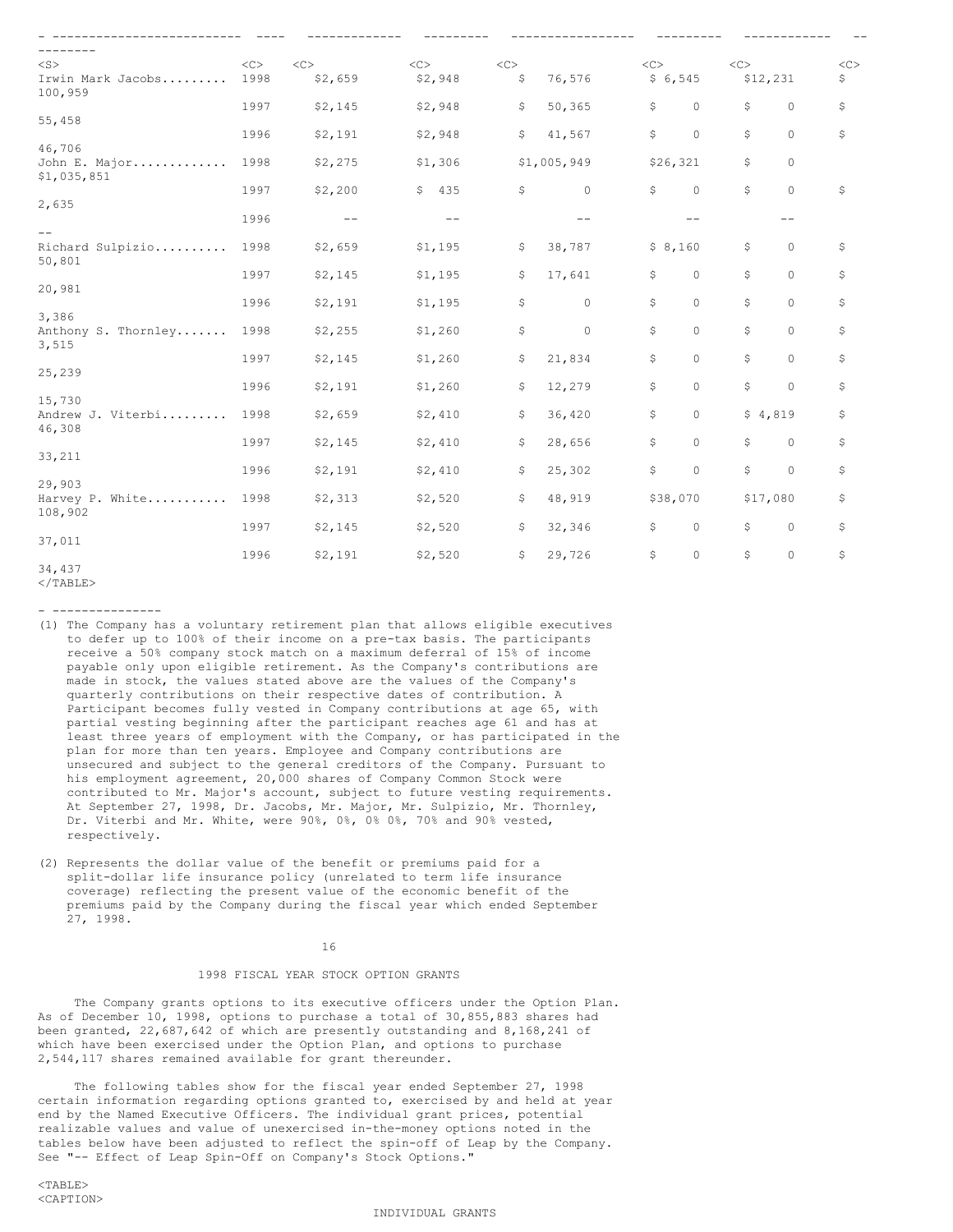| $<$ S>                            | $<\infty$ | $<\infty$ | $<\infty$ | $<\infty$ |             | $<\infty$ |          | $<\infty$ |          | << |
|-----------------------------------|-----------|-----------|-----------|-----------|-------------|-----------|----------|-----------|----------|----|
| Irwin Mark Jacobs<br>100,959      | 1998      | \$2,659   | \$2,948   | \$        | 76,576      | \$6,545   |          | \$12,231  |          | \$ |
|                                   | 1997      | \$2,145   | \$2,948   | \$        | 50,365      | \$        | $\circ$  | \$.       | $\circ$  | \$ |
| 55,458                            |           |           |           |           |             |           |          |           |          |    |
| 46,706                            | 1996      | \$2,191   | \$2,948   | \$        | 41,567      | \$        | $\circ$  | \$        | $\circ$  | \$ |
| John E. Major<br>\$1,035,851      | 1998      | \$2,275   | \$1,306   |           | \$1,005,949 | \$26,321  |          | \$        | $\circ$  |    |
|                                   | 1997      | \$2,200   | \$435     | \$        | $\circ$     | \$        | $\circ$  | \$        | $\Omega$ | \$ |
| 2,635<br>$\qquad \qquad -$        | 1996      | $- -$     | $- -$     |           | $ -$        |           | $-$      |           | $- -$    |    |
| Richard Sulpizio                  | 1998      | \$2,659   | \$1,195   | \$        | 38,787      | \$8,160   |          | \$        | $\circ$  | \$ |
| 50,801                            |           |           |           |           |             |           |          |           |          |    |
|                                   | 1997      | \$2,145   | \$1,195   | \$        | 17,641      | \$        | $\circ$  | \$        | $\circ$  | \$ |
| 20,981                            |           |           |           |           |             |           |          |           |          |    |
|                                   | 1996      | \$2,191   | \$1,195   | \$        | $\circ$     | \$        | $\Omega$ | \$        | $\Omega$ | \$ |
| 3,386                             |           |           | \$1,260   | \$        | $\circ$     | \$        | $\Omega$ | \$        | $\circ$  | \$ |
| Anthony S. Thornley 1998<br>3,515 |           | \$2,255   |           |           |             |           |          |           |          |    |
|                                   | 1997      | \$2,145   | \$1,260   | \$        | 21,834      | \$        | $\circ$  | \$        | $\circ$  | \$ |
| 25,239                            |           |           |           |           |             |           |          |           |          |    |
|                                   | 1996      | \$2,191   | \$1,260   | \$        | 12,279      | \$        | $\Omega$ | \$        | $\circ$  | \$ |
| 15,730<br>Andrew J. Viterbi       | 1998      |           |           | \$        |             | \$        | $\Omega$ |           |          |    |
| 46,308                            |           | \$2,659   | \$2,410   |           | 36,420      |           |          | \$4,819   |          | \$ |
|                                   | 1997      | \$2,145   | \$2,410   | \$        | 28,656      | \$        | $\Omega$ | \$        | $\circ$  | \$ |
| 33,211                            |           |           |           |           |             |           |          |           |          |    |
|                                   | 1996      | \$2,191   | \$2,410   | \$        | 25,302      | \$        | $\Omega$ | \$        | $\circ$  | \$ |
| 29,903                            | 1998      |           |           |           |             |           |          |           |          |    |
| Harvey P. White<br>108,902        |           | \$2,313   | \$2,520   | \$        | 48,919      | \$38,070  |          | \$17,080  |          | \$ |
|                                   | 1997      | \$2,145   | \$2,520   | \$        | 32,346      | \$        | $\circ$  | \$        | $\circ$  | \$ |
| 37,011                            |           |           |           |           |             |           |          |           |          |    |
|                                   | 1996      | \$2,191   | \$2,520   | \$        | 29,726      | \$        | $\circ$  | \$        | $\circ$  | \$ |
| 34,437                            |           |           |           |           |             |           |          |           |          |    |

 $<$ /TABLE>

- (1) The Company has a voluntary retirement plan that allows eligible executives to defer up to 100% of their income on a pre-tax basis. The participants receive a 50% company stock match on a maximum deferral of 15% of income payable only upon eligible retirement. As the Company's contributions are made in stock, the values stated above are the values of the Company's quarterly contributions on their respective dates of contribution. A Participant becomes fully vested in Company contributions at age 65, with partial vesting beginning after the participant reaches age 61 and has at least three years of employment with the Company, or has participated in the plan for more than ten years. Employee and Company contributions are unsecured and subject to the general creditors of the Company. Pursuant to his employment agreement, 20,000 shares of Company Common Stock were contributed to Mr. Major's account, subject to future vesting requirements. At September 27, 1998, Dr. Jacobs, Mr. Major, Mr. Sulpizio, Mr. Thornley, Dr. Viterbi and Mr. White, were 90%, 0%, 0% 0%, 70% and 90% vested, respectively.
- (2) Represents the dollar value of the benefit or premiums paid for a split-dollar life insurance policy (unrelated to term life insurance coverage) reflecting the present value of the economic benefit of the premiums paid by the Company during the fiscal year which ended September 27, 1998.

### 16

# 1998 FISCAL YEAR STOCK OPTION GRANTS

The Company grants options to its executive officers under the Option Plan. As of December 10, 1998, options to purchase a total of 30,855,883 shares had been granted, 22,687,642 of which are presently outstanding and 8,168,241 of which have been exercised under the Option Plan, and options to purchase 2,544,117 shares remained available for grant thereunder.

The following tables show for the fiscal year ended September 27, 1998 certain information regarding options granted to, exercised by and held at year end by the Named Executive Officers. The individual grant prices, potential realizable values and value of unexercised in-the-money options noted in the tables below have been adjusted to reflect the spin-off of Leap by the Company. See "-- Effect of Leap Spin-Off on Company's Stock Options."

# INDIVIDUAL GRANTS

<sup>-</sup> ---------------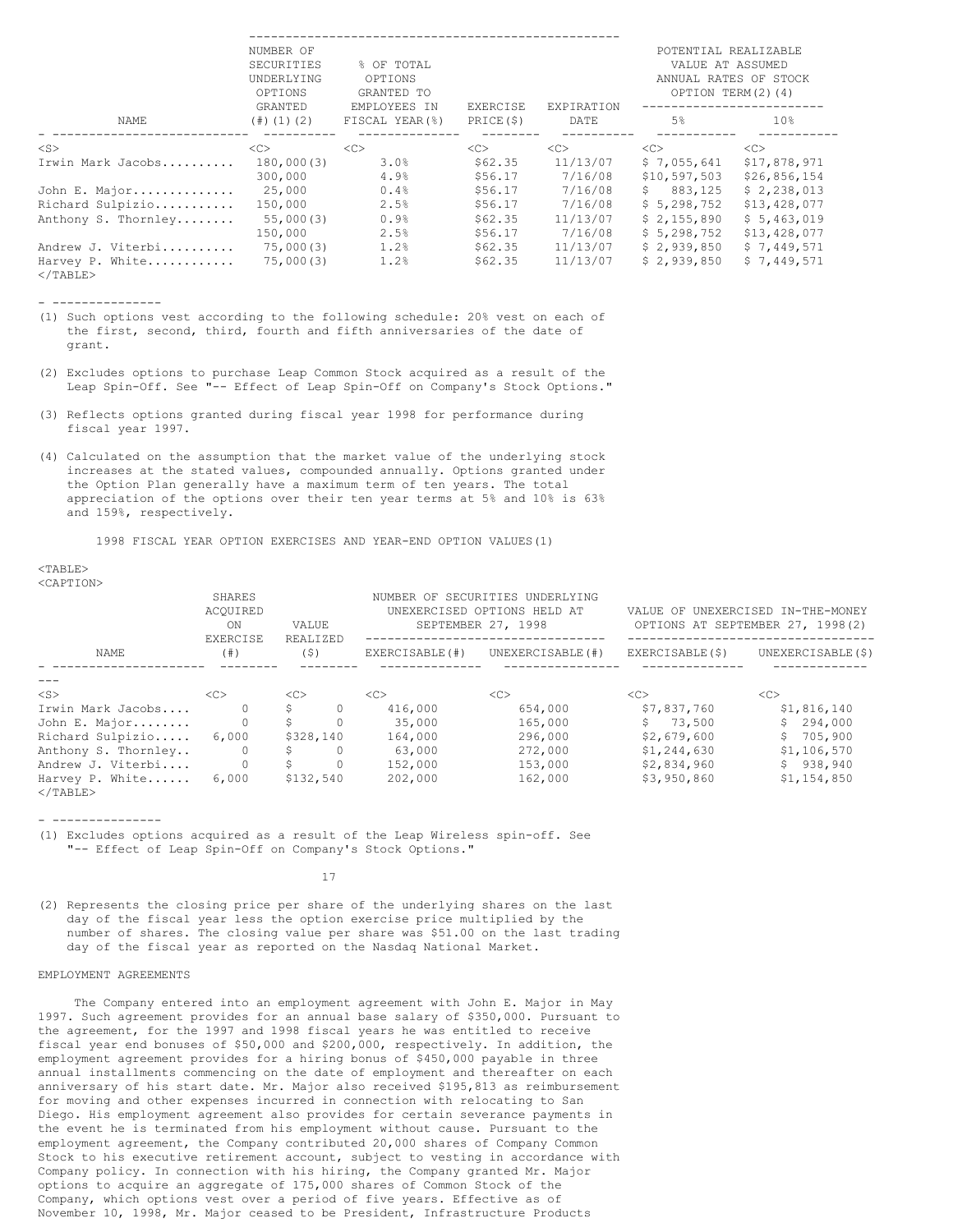|                                         | NUMBER OF<br>SECURITIES<br>UNDERLYING<br>OPTIONS | % OF TOTAL<br>OPTIONS<br>GRANTED TO |                              |                      | POTENTIAL REALIZABLE<br>VALUE AT ASSUMED<br>OPTION TERM(2)(4) | ANNUAL RATES OF STOCK        |
|-----------------------------------------|--------------------------------------------------|-------------------------------------|------------------------------|----------------------|---------------------------------------------------------------|------------------------------|
| NAME                                    | GRANTED<br>$(\#)(1)(2)$                          | EMPLOYEES IN<br>FISCAL YEAR(%)      | <b>EXERCISE</b><br>PRICE(\$) | EXPIRATION<br>DATE   | 5%                                                            | 10 <sup>8</sup>              |
| $<$ S $>$                               | <<                                               | <<>                                 | <<>                          | <<>                  | <<>                                                           | <<                           |
| Irwin Mark Jacobs                       | 180,000(3)<br>300,000                            | 3.0%<br>4.9%                        | \$62.35<br>\$56.17           | 11/13/07<br>7/16/08  | \$7,055,641<br>\$10,597,503                                   | \$17,878,971<br>\$26,856,154 |
| John E. Major                           | 25,000                                           | 0.4%                                | \$56.17                      | 7/16/08              | 883,125<br>S                                                  | \$2,238,013                  |
| Richard Sulpizio<br>Anthony S. Thornley | 150,000<br>55,000(3)                             | 2.5%<br>0.9%                        | \$56.17<br>\$62.35           | 7/16/08<br>11/13/07  | \$5,298,752<br>\$2,155,890                                    | \$13,428,077<br>\$5,463,019  |
|                                         | 150,000                                          | 2.5%                                | \$56.17                      | 7/16/08              | \$5,298,752                                                   | \$13,428,077                 |
| Andrew J. Viterbi<br>Harvey P. White    | 75,000(3)<br>75,000(3)                           | 1.2%<br>1.2%                        | \$62.35<br>\$62.35           | 11/13/07<br>11/13/07 | \$2,939,850<br>\$2,939,850                                    | \$7,449,571<br>\$7,449,571   |
| $\langle$ /TABLE>                       |                                                  |                                     |                              |                      |                                                               |                              |

- ---------------

- (1) Such options vest according to the following schedule: 20% vest on each of the first, second, third, fourth and fifth anniversaries of the date of grant.
- (2) Excludes options to purchase Leap Common Stock acquired as a result of the Leap Spin-Off. See "-- Effect of Leap Spin-Off on Company's Stock Options."
- (3) Reflects options granted during fiscal year 1998 for performance during fiscal year 1997.
- (4) Calculated on the assumption that the market value of the underlying stock increases at the stated values, compounded annually. Options granted under the Option Plan generally have a maximum term of ten years. The total appreciation of the options over their ten year terms at 5% and 10% is 63% and 159%, respectively.

1998 FISCAL YEAR OPTION EXERCISES AND YEAR-END OPTION VALUES(1)

 $<$ TABLE> <CAPTION>

|                                      | SHARES<br>ACOUIRED<br>ON  | VALUE           |          |                 | NUMBER OF SECURITIES UNDERLYING<br>UNEXERCISED OPTIONS HELD AT<br>SEPTEMBER 27, 1998 | VALUE OF UNEXERCISED IN-THE-MONEY<br>OPTIONS AT SEPTEMBER 27, 1998(2) |                    |  |
|--------------------------------------|---------------------------|-----------------|----------|-----------------|--------------------------------------------------------------------------------------|-----------------------------------------------------------------------|--------------------|--|
| NAME                                 | <b>EXERCISE</b><br>(  # ) | REALIZED<br>(S) |          | EXERCISABLE (#) | UNEXERCISABLE (#)                                                                    | EXERCISABLE(\$)                                                       | UNEXERCISABLE (\$) |  |
|                                      |                           |                 |          |                 |                                                                                      |                                                                       |                    |  |
| $<$ S $>$                            | <<                        | <<              |          | < <sub></sub>   | < <sub></sub>                                                                        | < <sub></sub>                                                         | < <sub></sub>      |  |
| Irwin Mark Jacobs                    | $\Omega$                  | \$.             | $\Omega$ | 416,000         | 654,000                                                                              | \$7,837,760                                                           | \$1,816,140        |  |
| John E. Major                        | $\Omega$                  | Ŝ.              |          | 35,000          | 165,000                                                                              | \$73.500                                                              | \$294.000          |  |
| Richard Sulpizio                     | 6,000                     | \$328,140       |          | 164,000         | 296,000                                                                              | \$2,679,600                                                           | \$705,900          |  |
| Anthony S. Thornley                  | 0                         | \$.             |          | 63,000          | 272,000                                                                              | \$1,244,630                                                           | \$1,106,570        |  |
| Andrew J. Viterbi                    | 0                         | S.              | $\Omega$ | 152,000         | 153,000                                                                              | \$2,834,960                                                           | \$938,940          |  |
| Harvey P. White<br>$\langle$ /TABLE> | 6,000                     | \$132,540       |          | 202,000         | 162,000                                                                              | \$3,950,860                                                           | \$1,154,850        |  |

- ---------------

(1) Excludes options acquired as a result of the Leap Wireless spin-off. See "-- Effect of Leap Spin-Off on Company's Stock Options."

17

(2) Represents the closing price per share of the underlying shares on the last day of the fiscal year less the option exercise price multiplied by the number of shares. The closing value per share was \$51.00 on the last trading day of the fiscal year as reported on the Nasdaq National Market.

## EMPLOYMENT AGREEMENTS

The Company entered into an employment agreement with John E. Major in May 1997. Such agreement provides for an annual base salary of \$350,000. Pursuant to the agreement, for the 1997 and 1998 fiscal years he was entitled to receive fiscal year end bonuses of \$50,000 and \$200,000, respectively. In addition, the employment agreement provides for a hiring bonus of \$450,000 payable in three annual installments commencing on the date of employment and thereafter on each anniversary of his start date. Mr. Major also received \$195,813 as reimbursement for moving and other expenses incurred in connection with relocating to San Diego. His employment agreement also provides for certain severance payments in the event he is terminated from his employment without cause. Pursuant to the employment agreement, the Company contributed 20,000 shares of Company Common Stock to his executive retirement account, subject to vesting in accordance with Company policy. In connection with his hiring, the Company granted Mr. Major options to acquire an aggregate of 175,000 shares of Common Stock of the Company, which options vest over a period of five years. Effective as of November 10, 1998, Mr. Major ceased to be President, Infrastructure Products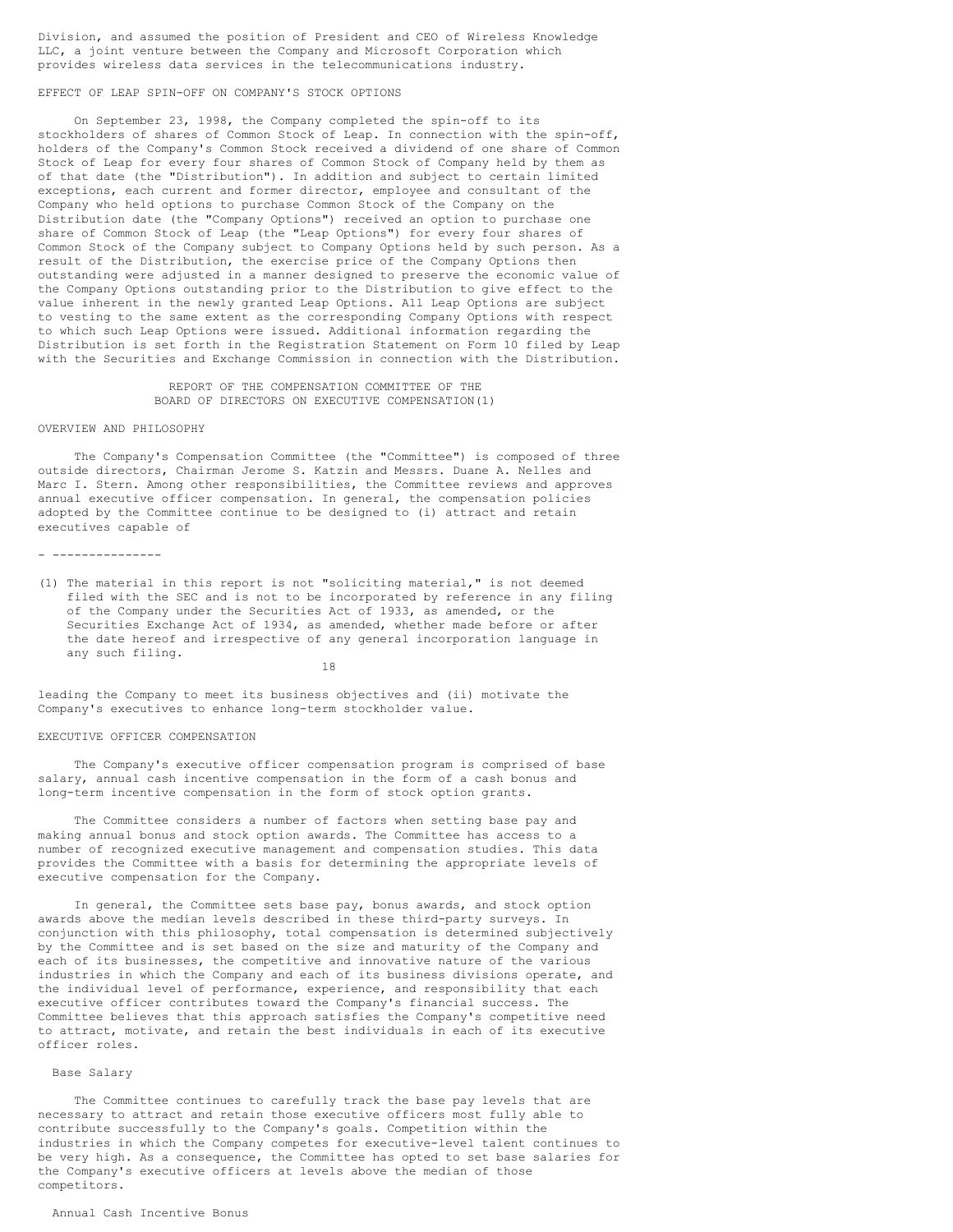Division, and assumed the position of President and CEO of Wireless Knowledge LLC, a joint venture between the Company and Microsoft Corporation which provides wireless data services in the telecommunications industry.

## EFFECT OF LEAP SPIN-OFF ON COMPANY'S STOCK OPTIONS

On September 23, 1998, the Company completed the spin-off to its stockholders of shares of Common Stock of Leap. In connection with the spin-off, holders of the Company's Common Stock received a dividend of one share of Common Stock of Leap for every four shares of Common Stock of Company held by them as of that date (the "Distribution"). In addition and subject to certain limited exceptions, each current and former director, employee and consultant of the Company who held options to purchase Common Stock of the Company on the Distribution date (the "Company Options") received an option to purchase one share of Common Stock of Leap (the "Leap Options") for every four shares of Common Stock of the Company subject to Company Options held by such person. As a result of the Distribution, the exercise price of the Company Options then outstanding were adjusted in a manner designed to preserve the economic value of the Company Options outstanding prior to the Distribution to give effect to the value inherent in the newly granted Leap Options. All Leap Options are subject to vesting to the same extent as the corresponding Company Options with respect to which such Leap Options were issued. Additional information regarding the Distribution is set forth in the Registration Statement on Form 10 filed by Leap with the Securities and Exchange Commission in connection with the Distribution.

# REPORT OF THE COMPENSATION COMMITTEE OF THE BOARD OF DIRECTORS ON EXECUTIVE COMPENSATION(1)

#### OVERVIEW AND PHILOSOPHY

The Company's Compensation Committee (the "Committee") is composed of three outside directors, Chairman Jerome S. Katzin and Messrs. Duane A. Nelles and Marc I. Stern. Among other responsibilities, the Committee reviews and approves annual executive officer compensation. In general, the compensation policies adopted by the Committee continue to be designed to (i) attract and retain executives capable of

#### - ---------------

(1) The material in this report is not "soliciting material," is not deemed filed with the SEC and is not to be incorporated by reference in any filing of the Company under the Securities Act of 1933, as amended, or the Securities Exchange Act of 1934, as amended, whether made before or after the date hereof and irrespective of any general incorporation language in any such filing.

18

leading the Company to meet its business objectives and (ii) motivate the Company's executives to enhance long-term stockholder value.

### EXECUTIVE OFFICER COMPENSATION

The Company's executive officer compensation program is comprised of base salary, annual cash incentive compensation in the form of a cash bonus and long-term incentive compensation in the form of stock option grants.

The Committee considers a number of factors when setting base pay and making annual bonus and stock option awards. The Committee has access to a number of recognized executive management and compensation studies. This data provides the Committee with a basis for determining the appropriate levels of executive compensation for the Company.

In general, the Committee sets base pay, bonus awards, and stock option awards above the median levels described in these third-party surveys. In conjunction with this philosophy, total compensation is determined subjectively by the Committee and is set based on the size and maturity of the Company and each of its businesses, the competitive and innovative nature of the various industries in which the Company and each of its business divisions operate, and the individual level of performance, experience, and responsibility that each executive officer contributes toward the Company's financial success. The Committee believes that this approach satisfies the Company's competitive need to attract, motivate, and retain the best individuals in each of its executive officer roles.

### Base Salary

The Committee continues to carefully track the base pay levels that are necessary to attract and retain those executive officers most fully able to contribute successfully to the Company's goals. Competition within the industries in which the Company competes for executive-level talent continues to be very high. As a consequence, the Committee has opted to set base salaries for the Company's executive officers at levels above the median of those competitors.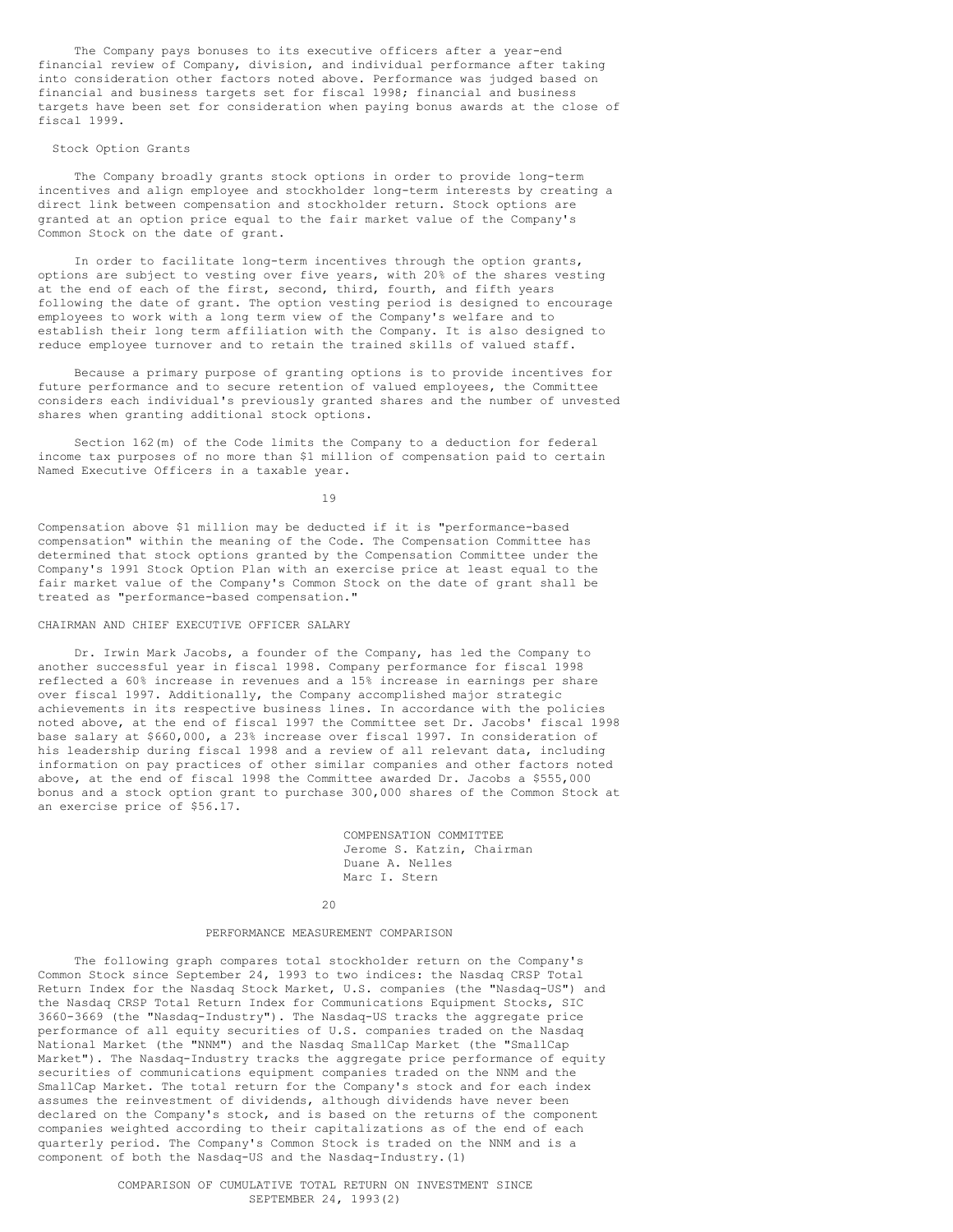The Company pays bonuses to its executive officers after a year-end financial review of Company, division, and individual performance after taking into consideration other factors noted above. Performance was judged based on financial and business targets set for fiscal 1998; financial and business targets have been set for consideration when paying bonus awards at the close of fiscal 1999.

## Stock Option Grants

The Company broadly grants stock options in order to provide long-term incentives and align employee and stockholder long-term interests by creating a direct link between compensation and stockholder return. Stock options are granted at an option price equal to the fair market value of the Company's Common Stock on the date of grant.

In order to facilitate long-term incentives through the option grants, options are subject to vesting over five years, with 20% of the shares vesting at the end of each of the first, second, third, fourth, and fifth years following the date of grant. The option vesting period is designed to encourage employees to work with a long term view of the Company's welfare and to establish their long term affiliation with the Company. It is also designed to reduce employee turnover and to retain the trained skills of valued staff.

Because a primary purpose of granting options is to provide incentives for future performance and to secure retention of valued employees, the Committee considers each individual's previously granted shares and the number of unvested shares when granting additional stock options.

Section 162(m) of the Code limits the Company to a deduction for federal income tax purposes of no more than \$1 million of compensation paid to certain Named Executive Officers in a taxable year.

19

Compensation above \$1 million may be deducted if it is "performance-based compensation" within the meaning of the Code. The Compensation Committee has determined that stock options granted by the Compensation Committee under the Company's 1991 Stock Option Plan with an exercise price at least equal to the fair market value of the Company's Common Stock on the date of grant shall be treated as "performance-based compensation."

### CHAIRMAN AND CHIEF EXECUTIVE OFFICER SALARY

Dr. Irwin Mark Jacobs, a founder of the Company, has led the Company to another successful year in fiscal 1998. Company performance for fiscal 1998 reflected a 60% increase in revenues and a 15% increase in earnings per share over fiscal 1997. Additionally, the Company accomplished major strategic achievements in its respective business lines. In accordance with the policies noted above, at the end of fiscal 1997 the Committee set Dr. Jacobs' fiscal 1998 base salary at \$660,000, a 23% increase over fiscal 1997. In consideration of his leadership during fiscal 1998 and a review of all relevant data, including information on pay practices of other similar companies and other factors noted above, at the end of fiscal 1998 the Committee awarded Dr. Jacobs a \$555,000 bonus and a stock option grant to purchase 300,000 shares of the Common Stock at an exercise price of \$56.17.

> COMPENSATION COMMITTEE Jerome S. Katzin, Chairman Duane A. Nelles Marc I. Stern

 $20$ 

### PERFORMANCE MEASUREMENT COMPARISON

The following graph compares total stockholder return on the Company's Common Stock since September 24, 1993 to two indices: the Nasdaq CRSP Total Return Index for the Nasdaq Stock Market, U.S. companies (the "Nasdaq-US") and the Nasdaq CRSP Total Return Index for Communications Equipment Stocks, SIC 3660-3669 (the "Nasdaq-Industry"). The Nasdaq-US tracks the aggregate price performance of all equity securities of U.S. companies traded on the Nasdaq .<br>National Market (the "NNM") and the Nasdaq SmallCap Market (the "SmallCap Market"). The Nasdaq-Industry tracks the aggregate price performance of equity securities of communications equipment companies traded on the NNM and the SmallCap Market. The total return for the Company's stock and for each index assumes the reinvestment of dividends, although dividends have never been declared on the Company's stock, and is based on the returns of the component companies weighted according to their capitalizations as of the end of each quarterly period. The Company's Common Stock is traded on the NNM and is a component of both the Nasdaq-US and the Nasdaq-Industry.(1)

> COMPARISON OF CUMULATIVE TOTAL RETURN ON INVESTMENT SINCE SEPTEMBER 24, 1993(2)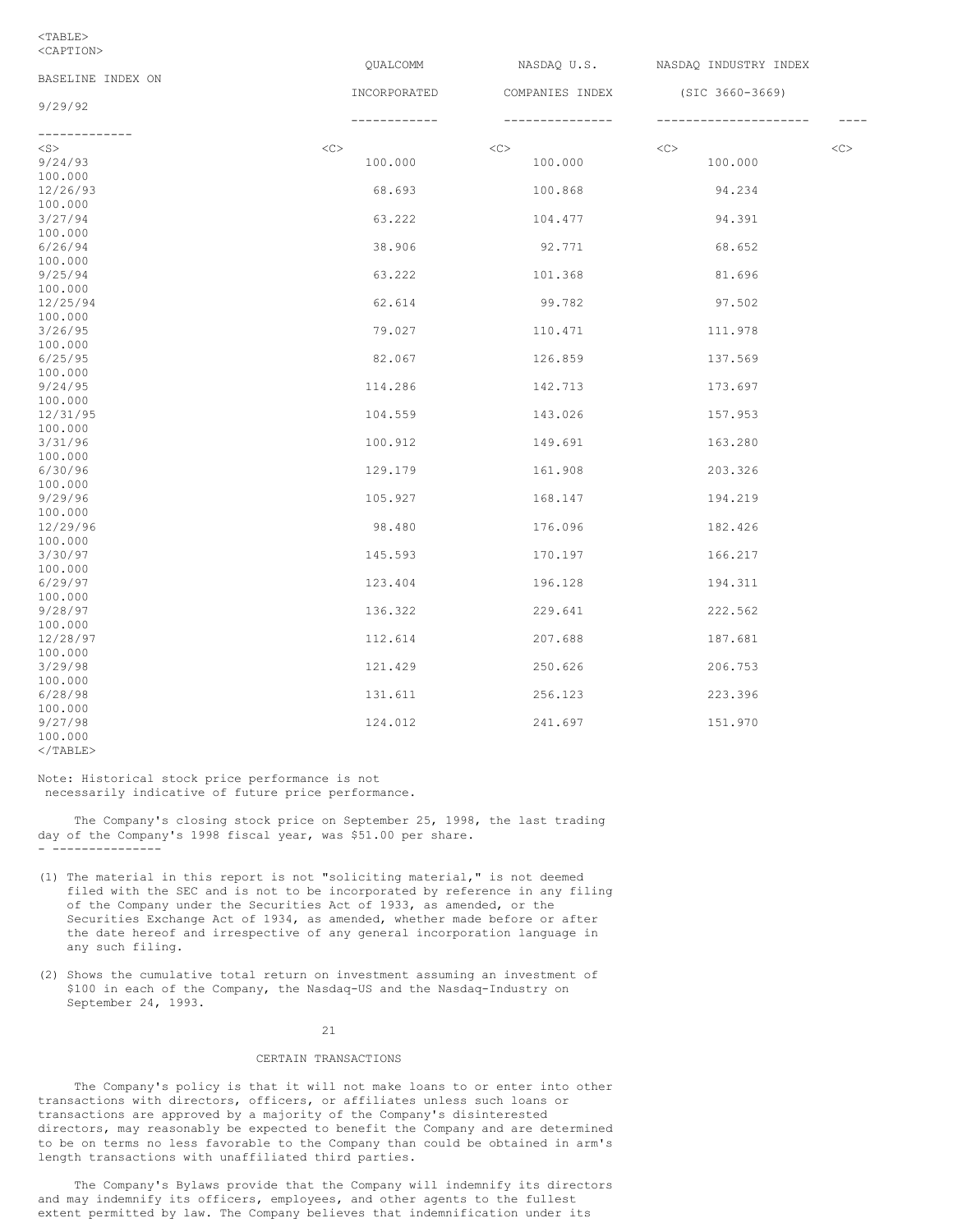### <TABLE> <CAPTION>

|                        | QUALCOMM         | NASDAQ U.S.     | NASDAQ INDUSTRY INDEX |             |
|------------------------|------------------|-----------------|-----------------------|-------------|
| BASELINE INDEX ON      |                  |                 |                       |             |
|                        | INCORPORATED     | COMPANIES INDEX | $(SIC 3660 - 3669)$   |             |
| 9/29/92                |                  |                 |                       |             |
|                        | ----------       |                 |                       | $- - - - -$ |
| -------------          | $<<$ $<$ $<$ $>$ |                 | <<                    |             |
| $<$ S $>$              |                  | <<              |                       | <<          |
| 9/24/93                | 100.000          | 100.000         | 100.000               |             |
| 100.000                | 68.693           |                 | 94.234                |             |
| 12/26/93<br>100.000    |                  | 100.868         |                       |             |
| 3/27/94                | 63.222           | 104.477         | 94.391                |             |
| 100.000                |                  |                 |                       |             |
| 6/26/94                | 38.906           | 92.771          | 68.652                |             |
| 100.000                |                  |                 |                       |             |
| 9/25/94                | 63.222           | 101.368         | 81.696                |             |
| 100.000                |                  |                 |                       |             |
| 12/25/94               | 62.614           | 99.782          | 97.502                |             |
| 100.000                |                  |                 |                       |             |
| 3/26/95                | 79.027           | 110.471         | 111.978               |             |
| 100.000                |                  |                 |                       |             |
| 6/25/95                | 82.067           | 126.859         | 137.569               |             |
| 100.000                |                  |                 |                       |             |
| 9/24/95                | 114.286          | 142.713         | 173.697               |             |
| 100.000                |                  |                 |                       |             |
| 12/31/95               | 104.559          | 143.026         | 157.953               |             |
| 100.000                |                  |                 |                       |             |
| 3/31/96                | 100.912          | 149.691         | 163.280               |             |
| 100.000                |                  |                 |                       |             |
| 6/30/96                | 129.179          | 161.908         | 203.326               |             |
| 100.000                |                  |                 |                       |             |
| 9/29/96                | 105.927          | 168.147         | 194.219               |             |
| 100.000                |                  |                 |                       |             |
| 12/29/96               | 98.480           | 176.096         | 182.426               |             |
| 100.000                |                  |                 |                       |             |
| 3/30/97                | 145.593          | 170.197         | 166.217               |             |
| 100.000                |                  |                 |                       |             |
| 6/29/97                | 123.404          | 196.128         | 194.311               |             |
| 100.000                |                  |                 |                       |             |
| 9/28/97                | 136.322          | 229.641         | 222.562               |             |
| 100.000                |                  |                 |                       |             |
| 12/28/97               | 112.614          | 207.688         | 187.681               |             |
| 100.000                |                  |                 |                       |             |
| 3/29/98                | 121.429          | 250.626         | 206.753               |             |
| 100.000                |                  |                 |                       |             |
| 6/28/98                | 131.611          | 256.123         | 223.396               |             |
| 100.000                |                  |                 |                       |             |
| 9/27/98                | 124.012          | 241.697         | 151.970               |             |
| 100.000<br>$<$ /TABLE> |                  |                 |                       |             |
|                        |                  |                 |                       |             |

Note: Historical stock price performance is not necessarily indicative of future price performance.

The Company's closing stock price on September 25, 1998, the last trading day of the Company's 1998 fiscal year, was \$51.00 per share. - ---------------

- (1) The material in this report is not "soliciting material," is not deemed filed with the SEC and is not to be incorporated by reference in any filing of the Company under the Securities Act of 1933, as amended, or the Securities Exchange Act of 1934, as amended, whether made before or after the date hereof and irrespective of any general incorporation language in any such filing.
- (2) Shows the cumulative total return on investment assuming an investment of \$100 in each of the Company, the Nasdaq-US and the Nasdaq-Industry on September 24, 1993.

# 21

# CERTAIN TRANSACTIONS

The Company's policy is that it will not make loans to or enter into other transactions with directors, officers, or affiliates unless such loans or transactions are approved by a majority of the Company's disinterested directors, may reasonably be expected to benefit the Company and are determined to be on terms no less favorable to the Company than could be obtained in arm's length transactions with unaffiliated third parties.

The Company's Bylaws provide that the Company will indemnify its directors and may indemnify its officers, employees, and other agents to the fullest extent permitted by law. The Company believes that indemnification under its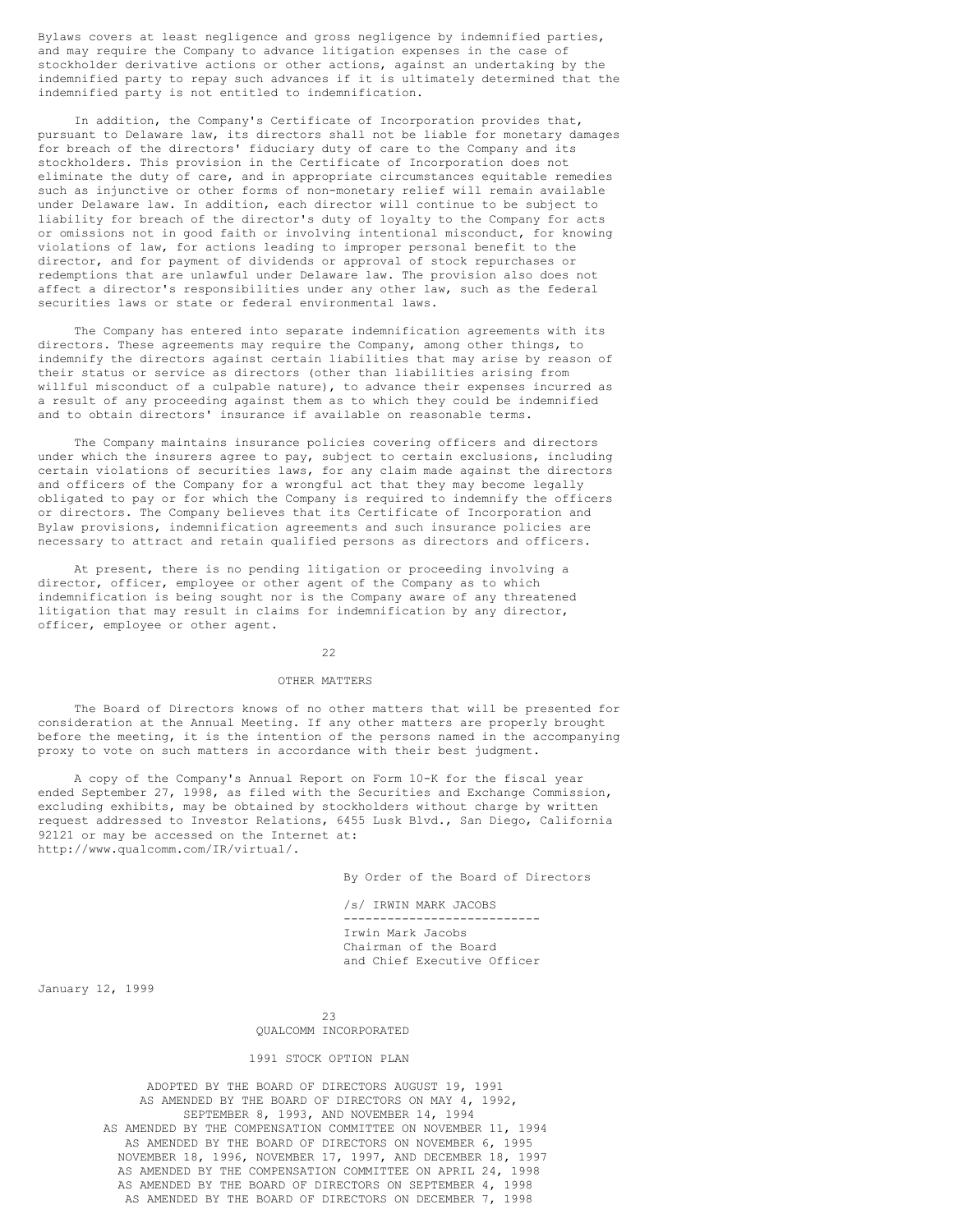Bylaws covers at least negligence and gross negligence by indemnified parties, and may require the Company to advance litigation expenses in the case of stockholder derivative actions or other actions, against an undertaking by the indemnified party to repay such advances if it is ultimately determined that the indemnified party is not entitled to indemnification.

In addition, the Company's Certificate of Incorporation provides that, pursuant to Delaware law, its directors shall not be liable for monetary damages for breach of the directors' fiduciary duty of care to the Company and its stockholders. This provision in the Certificate of Incorporation does not eliminate the duty of care, and in appropriate circumstances equitable remedies such as injunctive or other forms of non-monetary relief will remain available under Delaware law. In addition, each director will continue to be subject to liability for breach of the director's duty of loyalty to the Company for acts or omissions not in good faith or involving intentional misconduct, for knowing violations of law, for actions leading to improper personal benefit to the director, and for payment of dividends or approval of stock repurchases or redemptions that are unlawful under Delaware law. The provision also does not affect a director's responsibilities under any other law, such as the federal securities laws or state or federal environmental laws.

The Company has entered into separate indemnification agreements with its directors. These agreements may require the Company, among other things, to indemnify the directors against certain liabilities that may arise by reason of their status or service as directors (other than liabilities arising from willful misconduct of a culpable nature), to advance their expenses incurred as a result of any proceeding against them as to which they could be indemnified and to obtain directors' insurance if available on reasonable terms.

The Company maintains insurance policies covering officers and directors under which the insurers agree to pay, subject to certain exclusions, including certain violations of securities laws, for any claim made against the directors and officers of the Company for a wrongful act that they may become legally obligated to pay or for which the Company is required to indemnify the officers or directors. The Company believes that its Certificate of Incorporation and Bylaw provisions, indemnification agreements and such insurance policies are necessary to attract and retain qualified persons as directors and officers.

At present, there is no pending litigation or proceeding involving a director, officer, employee or other agent of the Company as to which indemnification is being sought nor is the Company aware of any threatened litigation that may result in claims for indemnification by any director, officer, employee or other agent.

#### 22

#### OTHER MATTERS

The Board of Directors knows of no other matters that will be presented for consideration at the Annual Meeting. If any other matters are properly brought before the meeting, it is the intention of the persons named in the accompanying proxy to vote on such matters in accordance with their best judgment.

A copy of the Company's Annual Report on Form 10-K for the fiscal year ended September 27, 1998, as filed with the Securities and Exchange Commission, excluding exhibits, may be obtained by stockholders without charge by written request addressed to Investor Relations, 6455 Lusk Blvd., San Diego, California 92121 or may be accessed on the Internet at: http://www.qualcomm.com/IR/virtual/.

By Order of the Board of Directors

/s/ IRWIN MARK JACOBS --------------------------- Irwin Mark Jacobs Chairman of the Board and Chief Executive Officer

January 12, 1999

## $23$ QUALCOMM INCORPORATED

# 1991 STOCK OPTION PLAN

ADOPTED BY THE BOARD OF DIRECTORS AUGUST 19, 1991 AS AMENDED BY THE BOARD OF DIRECTORS ON MAY 4, 1992, SEPTEMBER 8, 1993, AND NOVEMBER 14, 1994 AS AMENDED BY THE COMPENSATION COMMITTEE ON NOVEMBER 11, 1994 AS AMENDED BY THE BOARD OF DIRECTORS ON NOVEMBER 6, 1995 NOVEMBER 18, 1996, NOVEMBER 17, 1997, AND DECEMBER 18, 1997 AS AMENDED BY THE COMPENSATION COMMITTEE ON APRIL 24, 1998 AS AMENDED BY THE BOARD OF DIRECTORS ON SEPTEMBER 4, 1998 AS AMENDED BY THE BOARD OF DIRECTORS ON DECEMBER 7, 1998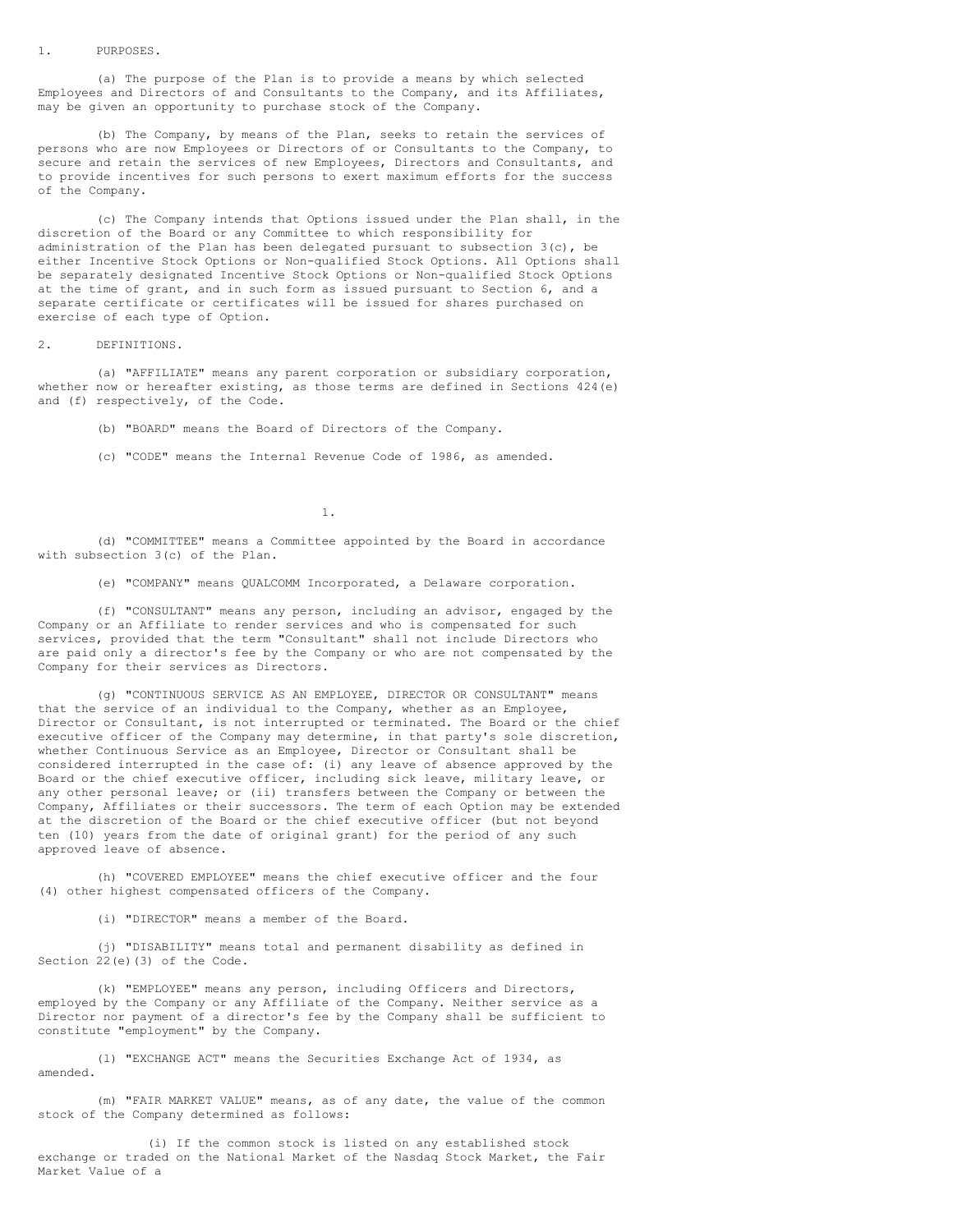#### 1. PURPOSES.

(a) The purpose of the Plan is to provide a means by which selected Employees and Directors of and Consultants to the Company, and its Affiliates, may be given an opportunity to purchase stock of the Company.

(b) The Company, by means of the Plan, seeks to retain the services of persons who are now Employees or Directors of or Consultants to the Company, to secure and retain the services of new Employees, Directors and Consultants, and to provide incentives for such persons to exert maximum efforts for the success of the Company.

(c) The Company intends that Options issued under the Plan shall, in the discretion of the Board or any Committee to which responsibility for administration of the Plan has been delegated pursuant to subsection  $3(c)$ , be either Incentive Stock Options or Non-qualified Stock Options. All Options shall be separately designated Incentive Stock Options or Non-qualified Stock Options at the time of grant, and in such form as issued pursuant to Section 6, and a separate certificate or certificates will be issued for shares purchased on exercise of each type of Option.

### 2. DEFINITIONS.

(a) "AFFILIATE" means any parent corporation or subsidiary corporation, whether now or hereafter existing, as those terms are defined in Sections 424 (e) and (f) respectively, of the Code.

(b) "BOARD" means the Board of Directors of the Company.

(c) "CODE" means the Internal Revenue Code of 1986, as amended.

1.

(d) "COMMITTEE" means a Committee appointed by the Board in accordance with subsection 3(c) of the Plan.

(e) "COMPANY" means QUALCOMM Incorporated, a Delaware corporation.

(f) "CONSULTANT" means any person, including an advisor, engaged by the Company or an Affiliate to render services and who is compensated for such services, provided that the term "Consultant" shall not include Directors who are paid only a director's fee by the Company or who are not compensated by the Company for their services as Directors.

(g) "CONTINUOUS SERVICE AS AN EMPLOYEE, DIRECTOR OR CONSULTANT" means that the service of an individual to the Company, whether as an Employee, Director or Consultant, is not interrupted or terminated. The Board or the chief executive officer of the Company may determine, in that party's sole discretion, whether Continuous Service as an Employee, Director or Consultant shall be considered interrupted in the case of: (i) any leave of absence approved by the Board or the chief executive officer, including sick leave, military leave, or any other personal leave; or (ii) transfers between the Company or between the Company, Affiliates or their successors. The term of each Option may be extended at the discretion of the Board or the chief executive officer (but not beyond ten (10) years from the date of original grant) for the period of any such approved leave of absence.

(h) "COVERED EMPLOYEE" means the chief executive officer and the four (4) other highest compensated officers of the Company.

(i) "DIRECTOR" means a member of the Board.

(j) "DISABILITY" means total and permanent disability as defined in Section 22(e)(3) of the Code.

(k) "EMPLOYEE" means any person, including Officers and Directors, employed by the Company or any Affiliate of the Company. Neither service as a Director nor payment of a director's fee by the Company shall be sufficient to constitute "employment" by the Company.

(l) "EXCHANGE ACT" means the Securities Exchange Act of 1934, as amended.

(m) "FAIR MARKET VALUE" means, as of any date, the value of the common stock of the Company determined as follows:

(i) If the common stock is listed on any established stock exchange or traded on the National Market of the Nasdaq Stock Market, the Fair Market Value of a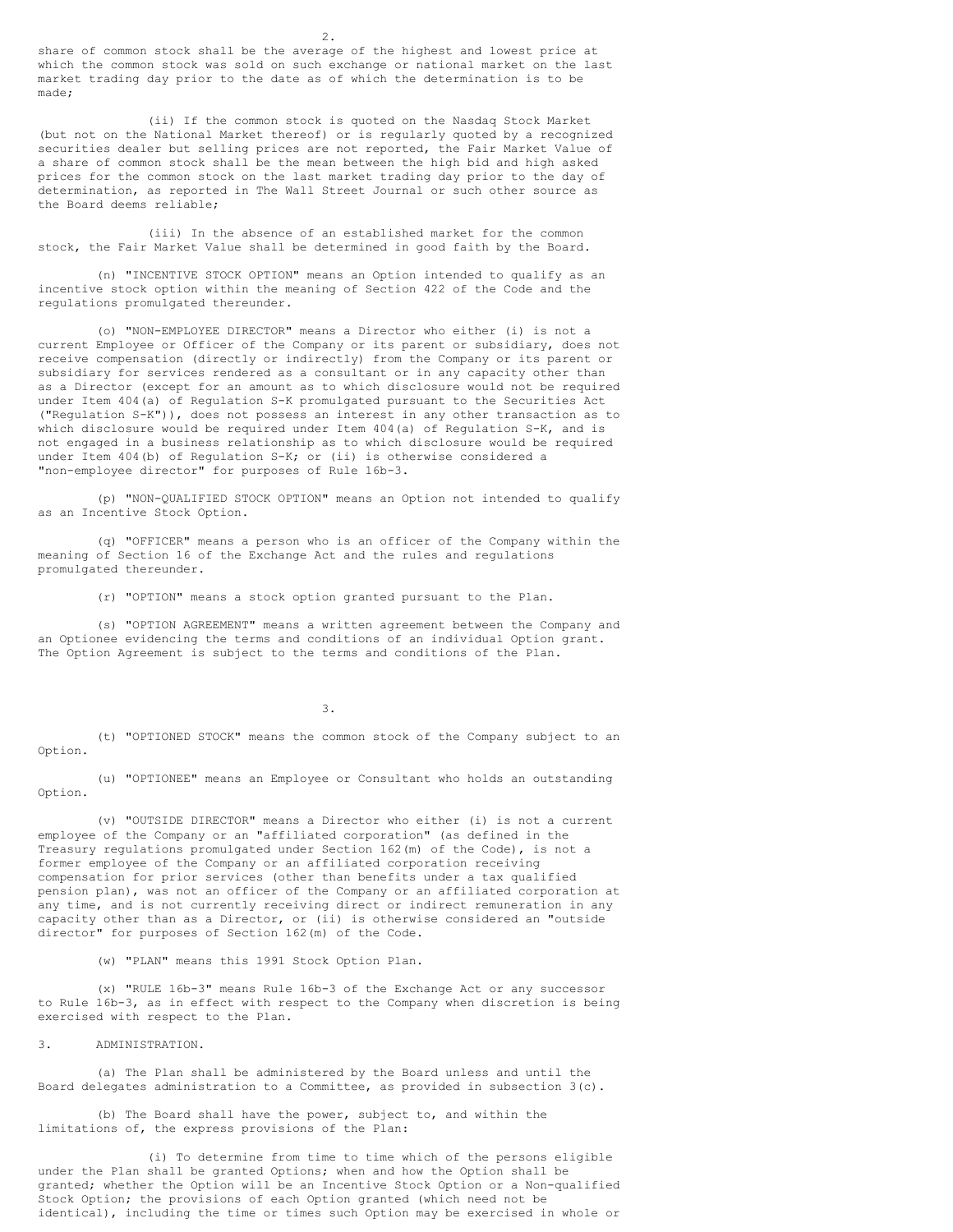share of common stock shall be the average of the highest and lowest price at which the common stock was sold on such exchange or national market on the last market trading day prior to the date as of which the determination is to be made;

(ii) If the common stock is quoted on the Nasdaq Stock Market (but not on the National Market thereof) or is regularly quoted by a recognized securities dealer but selling prices are not reported, the Fair Market Value of a share of common stock shall be the mean between the high bid and high asked prices for the common stock on the last market trading day prior to the day of determination, as reported in The Wall Street Journal or such other source as the Board deems reliable;

(iii) In the absence of an established market for the common stock, the Fair Market Value shall be determined in good faith by the Board.

(n) "INCENTIVE STOCK OPTION" means an Option intended to qualify as an incentive stock option within the meaning of Section 422 of the Code and the regulations promulgated thereunder.

(o) "NON-EMPLOYEE DIRECTOR" means a Director who either (i) is not a current Employee or Officer of the Company or its parent or subsidiary, does not receive compensation (directly or indirectly) from the Company or its parent or subsidiary for services rendered as a consultant or in any capacity other than as a Director (except for an amount as to which disclosure would not be required under Item 404(a) of Regulation S-K promulgated pursuant to the Securities Act ("Regulation S-K")), does not possess an interest in any other transaction as to which disclosure would be required under Item 404(a) of Regulation S-K, and is not engaged in a business relationship as to which disclosure would be required under Item 404(b) of Regulation S-K; or (ii) is otherwise considered a "non-employee director" for purposes of Rule 16b-3.

(p) "NON-QUALIFIED STOCK OPTION" means an Option not intended to qualify as an Incentive Stock Option.

(q) "OFFICER" means a person who is an officer of the Company within the meaning of Section 16 of the Exchange Act and the rules and regulations promulgated thereunder.

(r) "OPTION" means a stock option granted pursuant to the Plan.

(s) "OPTION AGREEMENT" means a written agreement between the Company and an Optionee evidencing the terms and conditions of an individual Option grant. The Option Agreement is subject to the terms and conditions of the Plan.

3.

(t) "OPTIONED STOCK" means the common stock of the Company subject to an Option.

(u) "OPTIONEE" means an Employee or Consultant who holds an outstanding Option.

(v) "OUTSIDE DIRECTOR" means a Director who either (i) is not a current employee of the Company or an "affiliated corporation" (as defined in the Treasury regulations promulgated under Section 162(m) of the Code), is not a former employee of the Company or an affiliated corporation receiving compensation for prior services (other than benefits under a tax qualified pension plan), was not an officer of the Company or an affiliated corporation at any time, and is not currently receiving direct or indirect remuneration in any capacity other than as a Director, or (ii) is otherwise considered an "outside director" for purposes of Section 162(m) of the Code.

(w) "PLAN" means this 1991 Stock Option Plan.

(x) "RULE 16b-3" means Rule 16b-3 of the Exchange Act or any successor to Rule 16b-3, as in effect with respect to the Company when discretion is being exercised with respect to the Plan.

3. ADMINISTRATION.

(a) The Plan shall be administered by the Board unless and until the Board delegates administration to a Committee, as provided in subsection 3(c).

(b) The Board shall have the power, subject to, and within the limitations of, the express provisions of the Plan:

(i) To determine from time to time which of the persons eligible under the Plan shall be granted Options; when and how the Option shall be granted; whether the Option will be an Incentive Stock Option or a Non-qualified Stock Option; the provisions of each Option granted (which need not be identical), including the time or times such Option may be exercised in whole or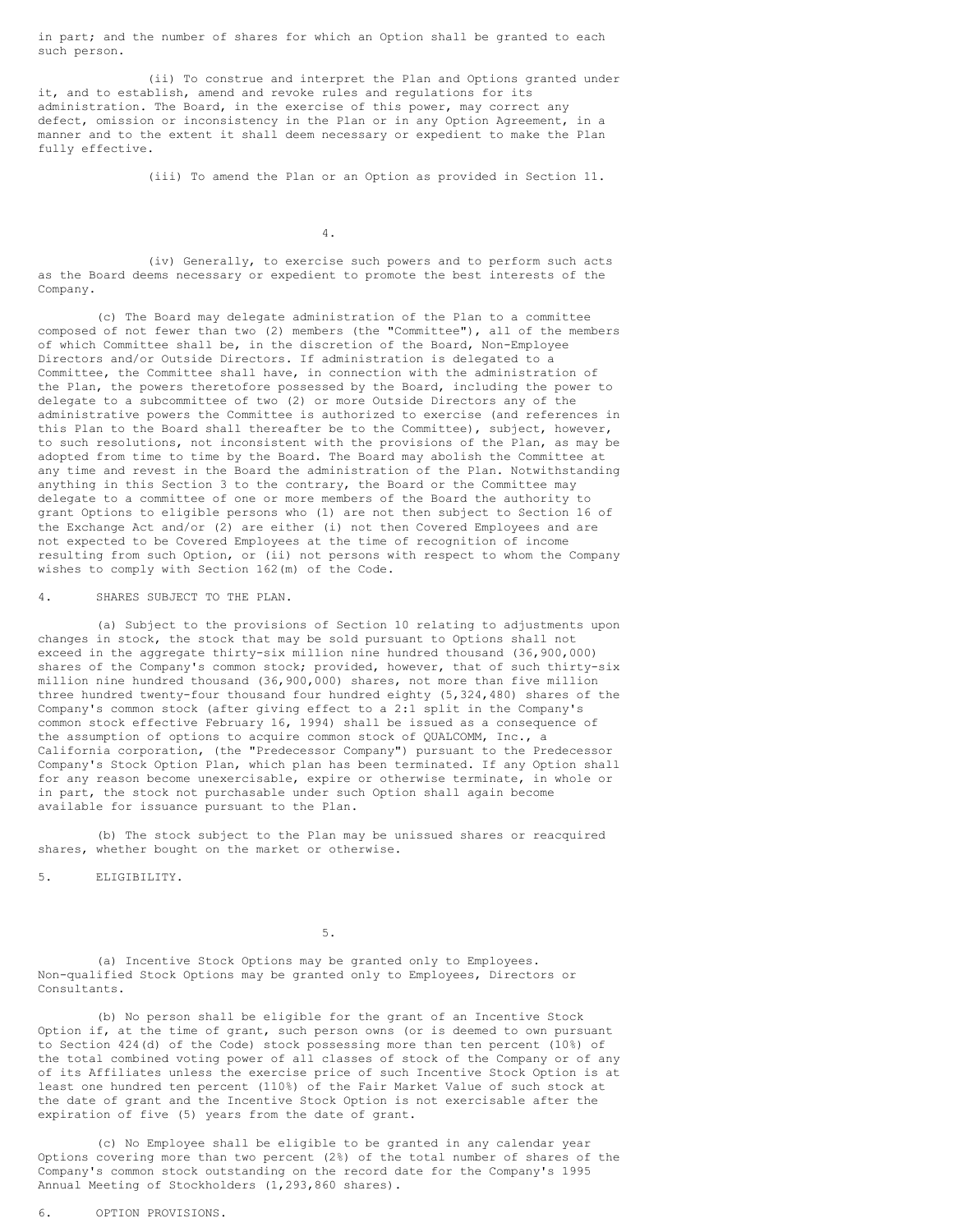in part; and the number of shares for which an Option shall be granted to each such person.

(ii) To construe and interpret the Plan and Options granted under it, and to establish, amend and revoke rules and regulations for its administration. The Board, in the exercise of this power, may correct any defect, omission or inconsistency in the Plan or in any Option Agreement, in a manner and to the extent it shall deem necessary or expedient to make the Plan fully effective.

(iii) To amend the Plan or an Option as provided in Section 11.

4.

(iv) Generally, to exercise such powers and to perform such acts as the Board deems necessary or expedient to promote the best interests of the Company.

(c) The Board may delegate administration of the Plan to a committee composed of not fewer than two (2) members (the "Committee"), all of the members of which Committee shall be, in the discretion of the Board, Non-Employee Directors and/or Outside Directors. If administration is delegated to a Committee, the Committee shall have, in connection with the administration of the Plan, the powers theretofore possessed by the Board, including the power to delegate to a subcommittee of two (2) or more Outside Directors any of the administrative powers the Committee is authorized to exercise (and references in this Plan to the Board shall thereafter be to the Committee), subject, however, to such resolutions, not inconsistent with the provisions of the Plan, as may be adopted from time to time by the Board. The Board may abolish the Committee at any time and revest in the Board the administration of the Plan. Notwithstanding anything in this Section 3 to the contrary, the Board or the Committee may delegate to a committee of one or more members of the Board the authority to grant Options to eligible persons who (1) are not then subject to Section 16 of the Exchange Act and/or (2) are either (i) not then Covered Employees and are not expected to be Covered Employees at the time of recognition of income resulting from such Option, or (ii) not persons with respect to whom the Company wishes to comply with Section 162(m) of the Code.

4. SHARES SUBJECT TO THE PLAN.

(a) Subject to the provisions of Section 10 relating to adjustments upon changes in stock, the stock that may be sold pursuant to Options shall not exceed in the aggregate thirty-six million nine hundred thousand (36,900,000) shares of the Company's common stock; provided, however, that of such thirty-six million nine hundred thousand (36,900,000) shares, not more than five million three hundred twenty-four thousand four hundred eighty (5,324,480) shares of the Company's common stock (after giving effect to a 2:1 split in the Company's common stock effective February 16, 1994) shall be issued as a consequence of the assumption of options to acquire common stock of QUALCOMM, Inc., a California corporation, (the "Predecessor Company") pursuant to the Predecessor Company's Stock Option Plan, which plan has been terminated. If any Option shall for any reason become unexercisable, expire or otherwise terminate, in whole or in part, the stock not purchasable under such Option shall again become available for issuance pursuant to the Plan.

(b) The stock subject to the Plan may be unissued shares or reacquired shares, whether bought on the market or otherwise.

5. ELIGIBILITY.

5.

(a) Incentive Stock Options may be granted only to Employees. Non-qualified Stock Options may be granted only to Employees, Directors or Consultants.

(b) No person shall be eligible for the grant of an Incentive Stock Option if, at the time of grant, such person owns (or is deemed to own pursuant to Section 424(d) of the Code) stock possessing more than ten percent (10%) of the total combined voting power of all classes of stock of the Company or of any of its Affiliates unless the exercise price of such Incentive Stock Option is at least one hundred ten percent (110%) of the Fair Market Value of such stock at the date of grant and the Incentive Stock Option is not exercisable after the expiration of five (5) years from the date of grant.

(c) No Employee shall be eligible to be granted in any calendar year Options covering more than two percent (2%) of the total number of shares of the Company's common stock outstanding on the record date for the Company's 1995 Annual Meeting of Stockholders (1,293,860 shares).

6. OPTION PROVISIONS.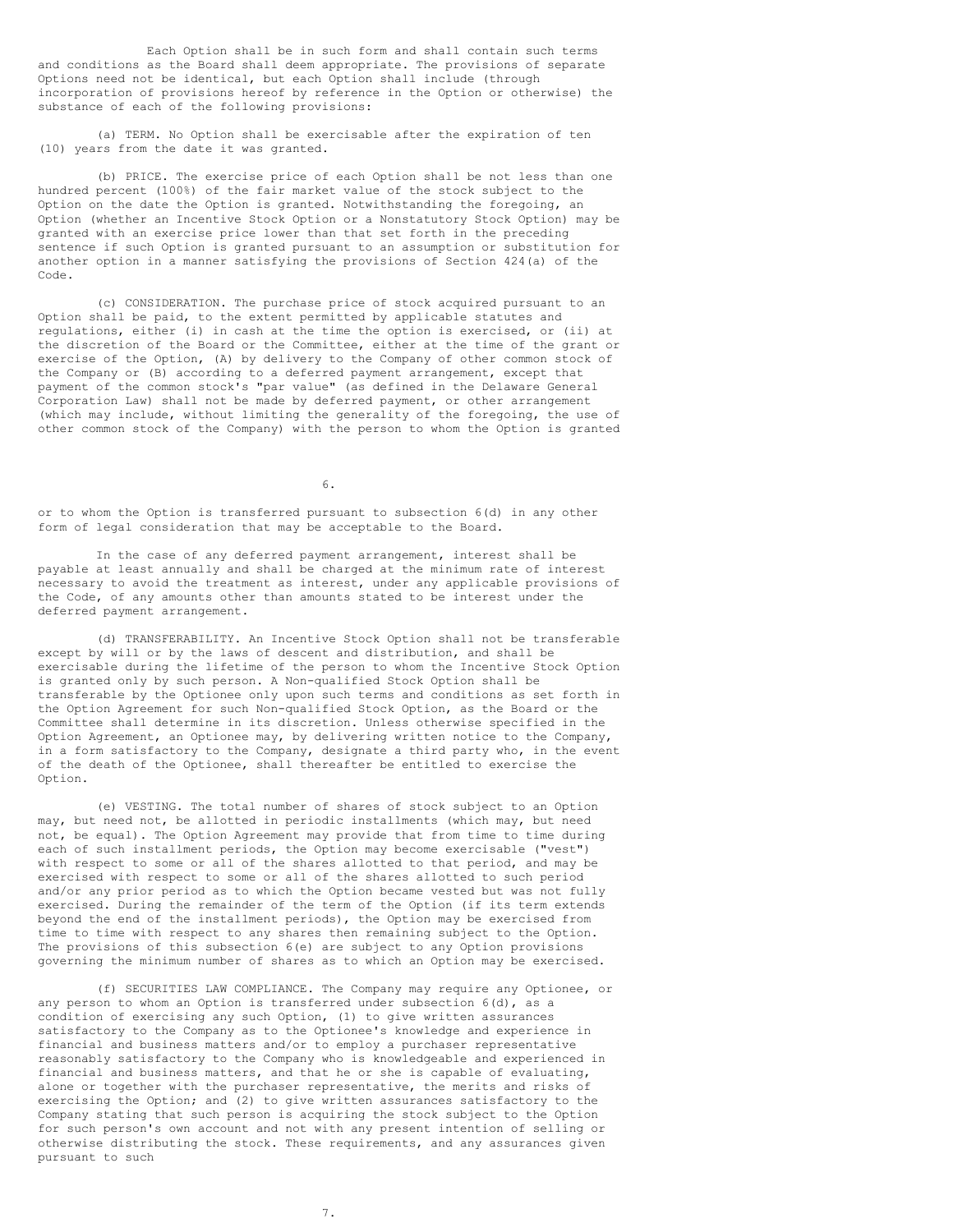Each Option shall be in such form and shall contain such terms and conditions as the Board shall deem appropriate. The provisions of separate Options need not be identical, but each Option shall include (through incorporation of provisions hereof by reference in the Option or otherwise) the substance of each of the following provisions:

(a) TERM. No Option shall be exercisable after the expiration of ten (10) years from the date it was granted.

(b) PRICE. The exercise price of each Option shall be not less than one hundred percent (100%) of the fair market value of the stock subject to the Option on the date the Option is granted. Notwithstanding the foregoing, an Option (whether an Incentive Stock Option or a Nonstatutory Stock Option) may be granted with an exercise price lower than that set forth in the preceding sentence if such Option is granted pursuant to an assumption or substitution for another option in a manner satisfying the provisions of Section 424(a) of the Code.

(c) CONSIDERATION. The purchase price of stock acquired pursuant to an Option shall be paid, to the extent permitted by applicable statutes and regulations, either (i) in cash at the time the option is exercised, or (ii) at the discretion of the Board or the Committee, either at the time of the grant or exercise of the Option, (A) by delivery to the Company of other common stock of the Company or (B) according to a deferred payment arrangement, except that payment of the common stock's "par value" (as defined in the Delaware General Corporation Law) shall not be made by deferred payment, or other arrangement (which may include, without limiting the generality of the foregoing, the use of other common stock of the Company) with the person to whom the Option is granted

6.

or to whom the Option is transferred pursuant to subsection 6(d) in any other form of legal consideration that may be acceptable to the Board.

In the case of any deferred payment arrangement, interest shall be payable at least annually and shall be charged at the minimum rate of interest necessary to avoid the treatment as interest, under any applicable provisions of the Code, of any amounts other than amounts stated to be interest under the deferred payment arrangement.

(d) TRANSFERABILITY. An Incentive Stock Option shall not be transferable except by will or by the laws of descent and distribution, and shall be exercisable during the lifetime of the person to whom the Incentive Stock Option is granted only by such person. A Non-qualified Stock Option shall be transferable by the Optionee only upon such terms and conditions as set forth in the Option Agreement for such Non-qualified Stock Option, as the Board or the Committee shall determine in its discretion. Unless otherwise specified in the Option Agreement, an Optionee may, by delivering written notice to the Company, in a form satisfactory to the Company, designate a third party who, in the event of the death of the Optionee, shall thereafter be entitled to exercise the Option.

(e) VESTING. The total number of shares of stock subject to an Option may, but need not, be allotted in periodic installments (which may, but need not, be equal). The Option Agreement may provide that from time to time during each of such installment periods, the Option may become exercisable ("vest") with respect to some or all of the shares allotted to that period, and may be exercised with respect to some or all of the shares allotted to such period and/or any prior period as to which the Option became vested but was not fully exercised. During the remainder of the term of the Option (if its term extends beyond the end of the installment periods), the Option may be exercised from time to time with respect to any shares then remaining subject to the Option. The provisions of this subsection 6(e) are subject to any Option provisions governing the minimum number of shares as to which an Option may be exercised.

(f) SECURITIES LAW COMPLIANCE. The Company may require any Optionee, or any person to whom an Option is transferred under subsection 6(d), as a condition of exercising any such Option, (1) to give written assurances satisfactory to the Company as to the Optionee's knowledge and experience in financial and business matters and/or to employ a purchaser representative reasonably satisfactory to the Company who is knowledgeable and experienced in financial and business matters, and that he or she is capable of evaluating, alone or together with the purchaser representative, the merits and risks of exercising the Option; and (2) to give written assurances satisfactory to the Company stating that such person is acquiring the stock subject to the Option for such person's own account and not with any present intention of selling or otherwise distributing the stock. These requirements, and any assurances given pursuant to such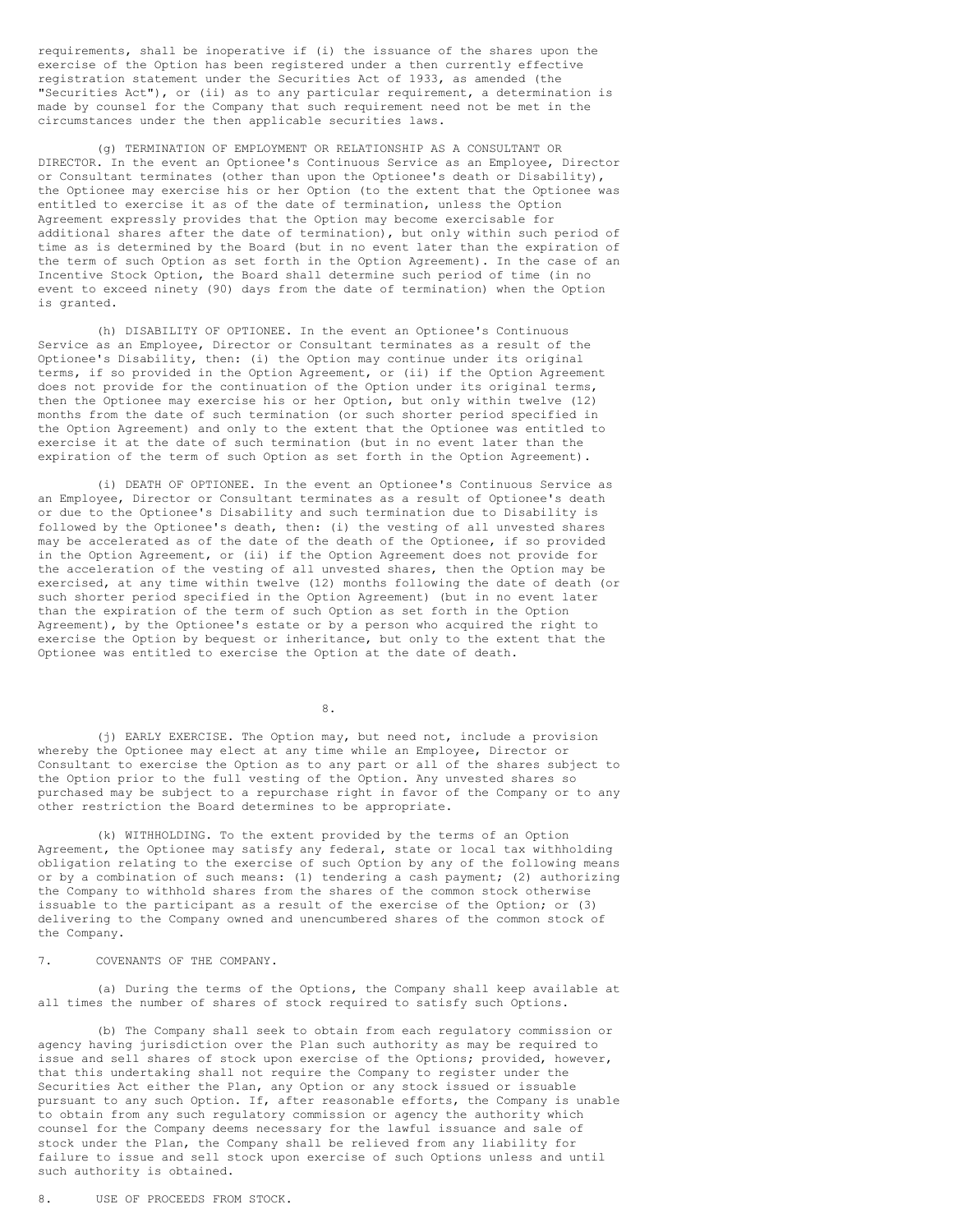requirements, shall be inoperative if (i) the issuance of the shares upon the exercise of the Option has been registered under a then currently effective registration statement under the Securities Act of 1933, as amended (the "Securities Act"), or (ii) as to any particular requirement, a determination is made by counsel for the Company that such requirement need not be met in the circumstances under the then applicable securities laws.

(g) TERMINATION OF EMPLOYMENT OR RELATIONSHIP AS A CONSULTANT OR DIRECTOR. In the event an Optionee's Continuous Service as an Employee, Director or Consultant terminates (other than upon the Optionee's death or Disability), the Optionee may exercise his or her Option (to the extent that the Optionee was entitled to exercise it as of the date of termination, unless the Option Agreement expressly provides that the Option may become exercisable for additional shares after the date of termination), but only within such period of time as is determined by the Board (but in no event later than the expiration of the term of such Option as set forth in the Option Agreement). In the case of an Incentive Stock Option, the Board shall determine such period of time (in no event to exceed ninety (90) days from the date of termination) when the Option is granted.

(h) DISABILITY OF OPTIONEE. In the event an Optionee's Continuous Service as an Employee, Director or Consultant terminates as a result of the Optionee's Disability, then: (i) the Option may continue under its original terms, if so provided in the Option Agreement, or (ii) if the Option Agreement does not provide for the continuation of the Option under its original terms, then the Optionee may exercise his or her Option, but only within twelve (12) months from the date of such termination (or such shorter period specified in the Option Agreement) and only to the extent that the Optionee was entitled to exercise it at the date of such termination (but in no event later than the expiration of the term of such Option as set forth in the Option Agreement).

(i) DEATH OF OPTIONEE. In the event an Optionee's Continuous Service as an Employee, Director or Consultant terminates as a result of Optionee's death or due to the Optionee's Disability and such termination due to Disability is followed by the Optionee's death, then: (i) the vesting of all unvested shares may be accelerated as of the date of the death of the Optionee, if so provided in the Option Agreement, or (ii) if the Option Agreement does not provide for the acceleration of the vesting of all unvested shares, then the Option may be exercised, at any time within twelve (12) months following the date of death (or such shorter period specified in the Option Agreement) (but in no event later than the expiration of the term of such Option as set forth in the Option Agreement), by the Optionee's estate or by a person who acquired the right to exercise the Option by bequest or inheritance, but only to the extent that the Optionee was entitled to exercise the Option at the date of death.

8.

(j) EARLY EXERCISE. The Option may, but need not, include a provision whereby the Optionee may elect at any time while an Employee, Director or Consultant to exercise the Option as to any part or all of the shares subject to the Option prior to the full vesting of the Option. Any unvested shares so purchased may be subject to a repurchase right in favor of the Company or to any other restriction the Board determines to be appropriate.

(k) WITHHOLDING. To the extent provided by the terms of an Option Agreement, the Optionee may satisfy any federal, state or local tax withholding obligation relating to the exercise of such Option by any of the following means or by a combination of such means: (1) tendering a cash payment; (2) authorizing the Company to withhold shares from the shares of the common stock otherwise issuable to the participant as a result of the exercise of the Option; or (3) delivering to the Company owned and unencumbered shares of the common stock of the Company.

7. COVENANTS OF THE COMPANY.

(a) During the terms of the Options, the Company shall keep available at all times the number of shares of stock required to satisfy such Options.

(b) The Company shall seek to obtain from each regulatory commission or agency having jurisdiction over the Plan such authority as may be required to issue and sell shares of stock upon exercise of the Options; provided, however, that this undertaking shall not require the Company to register under the Securities Act either the Plan, any Option or any stock issued or issuable pursuant to any such Option. If, after reasonable efforts, the Company is unable to obtain from any such regulatory commission or agency the authority which counsel for the Company deems necessary for the lawful issuance and sale of stock under the Plan, the Company shall be relieved from any liability for failure to issue and sell stock upon exercise of such Options unless and until such authority is obtained.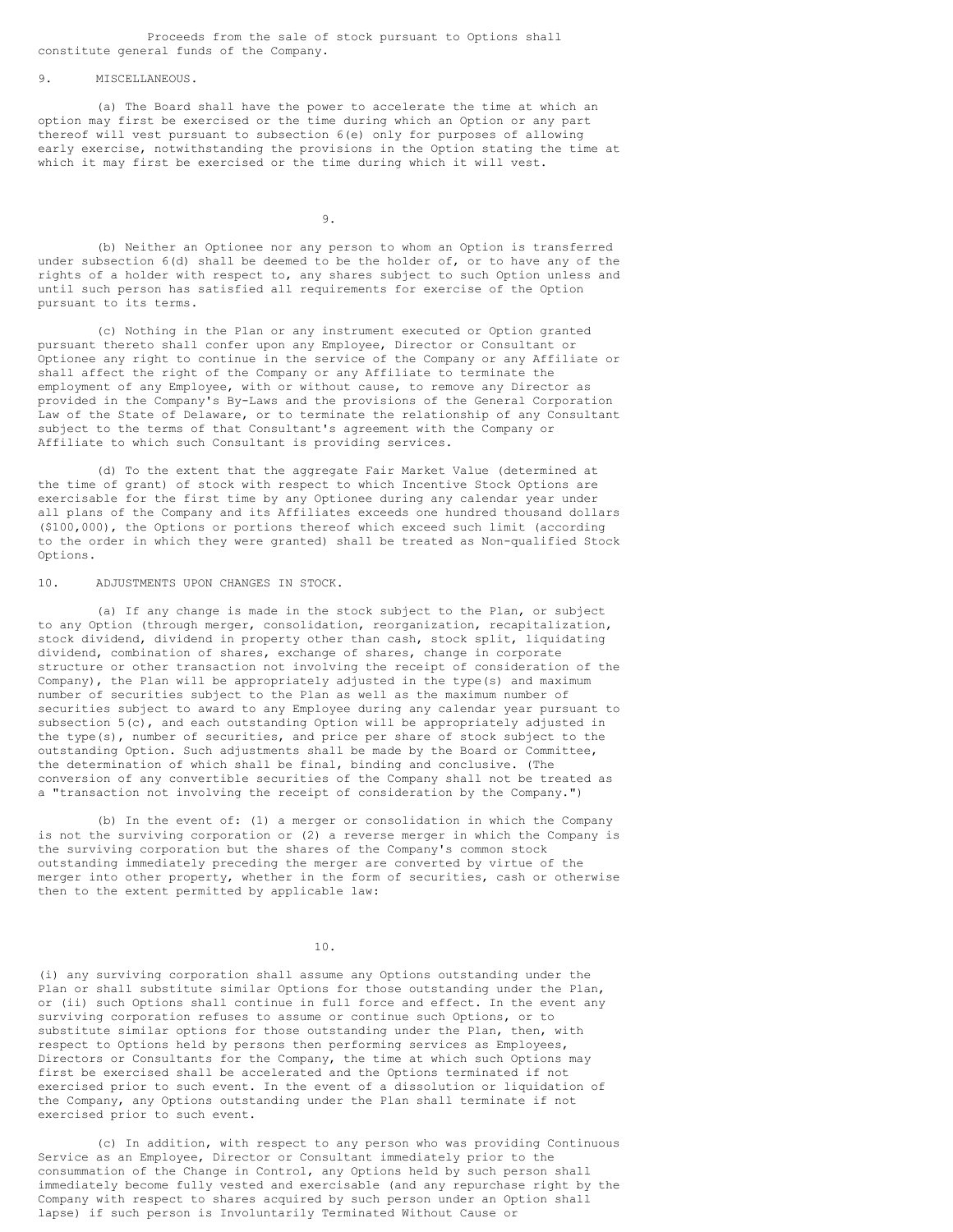Proceeds from the sale of stock pursuant to Options shall constitute general funds of the Company.

9. MISCELLANEOUS.

(a) The Board shall have the power to accelerate the time at which an option may first be exercised or the time during which an Option or any part thereof will vest pursuant to subsection 6(e) only for purposes of allowing early exercise, notwithstanding the provisions in the Option stating the time at which it may first be exercised or the time during which it will vest.

9.

(b) Neither an Optionee nor any person to whom an Option is transferred under subsection 6(d) shall be deemed to be the holder of, or to have any of the rights of a holder with respect to, any shares subject to such Option unless and until such person has satisfied all requirements for exercise of the Option pursuant to its terms.

(c) Nothing in the Plan or any instrument executed or Option granted pursuant thereto shall confer upon any Employee, Director or Consultant or Optionee any right to continue in the service of the Company or any Affiliate or shall affect the right of the Company or any Affiliate to terminate the employment of any Employee, with or without cause, to remove any Director as provided in the Company's By-Laws and the provisions of the General Corporation Law of the State of Delaware, or to terminate the relationship of any Consultant subject to the terms of that Consultant's agreement with the Company or Affiliate to which such Consultant is providing services.

(d) To the extent that the aggregate Fair Market Value (determined at the time of grant) of stock with respect to which Incentive Stock Options are exercisable for the first time by any Optionee during any calendar year under all plans of the Company and its Affiliates exceeds one hundred thousand dollars (\$100,000), the Options or portions thereof which exceed such limit (according to the order in which they were granted) shall be treated as Non-qualified Stock Options.

10. ADJUSTMENTS UPON CHANGES IN STOCK.

(a) If any change is made in the stock subject to the Plan, or subject to any Option (through merger, consolidation, reorganization, recapitalization, stock dividend, dividend in property other than cash, stock split, liquidating dividend, combination of shares, exchange of shares, change in corporate structure or other transaction not involving the receipt of consideration of the Company), the Plan will be appropriately adjusted in the type(s) and maximum number of securities subject to the Plan as well as the maximum number of securities subject to award to any Employee during any calendar year pursuant to subsection  $5(c)$ , and each outstanding Option will be appropriately adjusted in the type(s), number of securities, and price per share of stock subject to the outstanding Option. Such adjustments shall be made by the Board or Committee, the determination of which shall be final, binding and conclusive. (The conversion of any convertible securities of the Company shall not be treated as a "transaction not involving the receipt of consideration by the Company.")

(b) In the event of: (1) a merger or consolidation in which the Company is not the surviving corporation or (2) a reverse merger in which the Company is the surviving corporation but the shares of the Company's common stock outstanding immediately preceding the merger are converted by virtue of the merger into other property, whether in the form of securities, cash or otherwise then to the extent permitted by applicable law:

10.

(i) any surviving corporation shall assume any Options outstanding under the Plan or shall substitute similar Options for those outstanding under the Plan, or (ii) such Options shall continue in full force and effect. In the event any surviving corporation refuses to assume or continue such Options, or to substitute similar options for those outstanding under the Plan, then, with respect to Options held by persons then performing services as Employees, Directors or Consultants for the Company, the time at which such Options may first be exercised shall be accelerated and the Options terminated if not exercised prior to such event. In the event of a dissolution or liquidation of the Company, any Options outstanding under the Plan shall terminate if not exercised prior to such event.

(c) In addition, with respect to any person who was providing Continuous Service as an Employee, Director or Consultant immediately prior to the consummation of the Change in Control, any Options held by such person shall immediately become fully vested and exercisable (and any repurchase right by the Company with respect to shares acquired by such person under an Option shall lapse) if such person is Involuntarily Terminated Without Cause or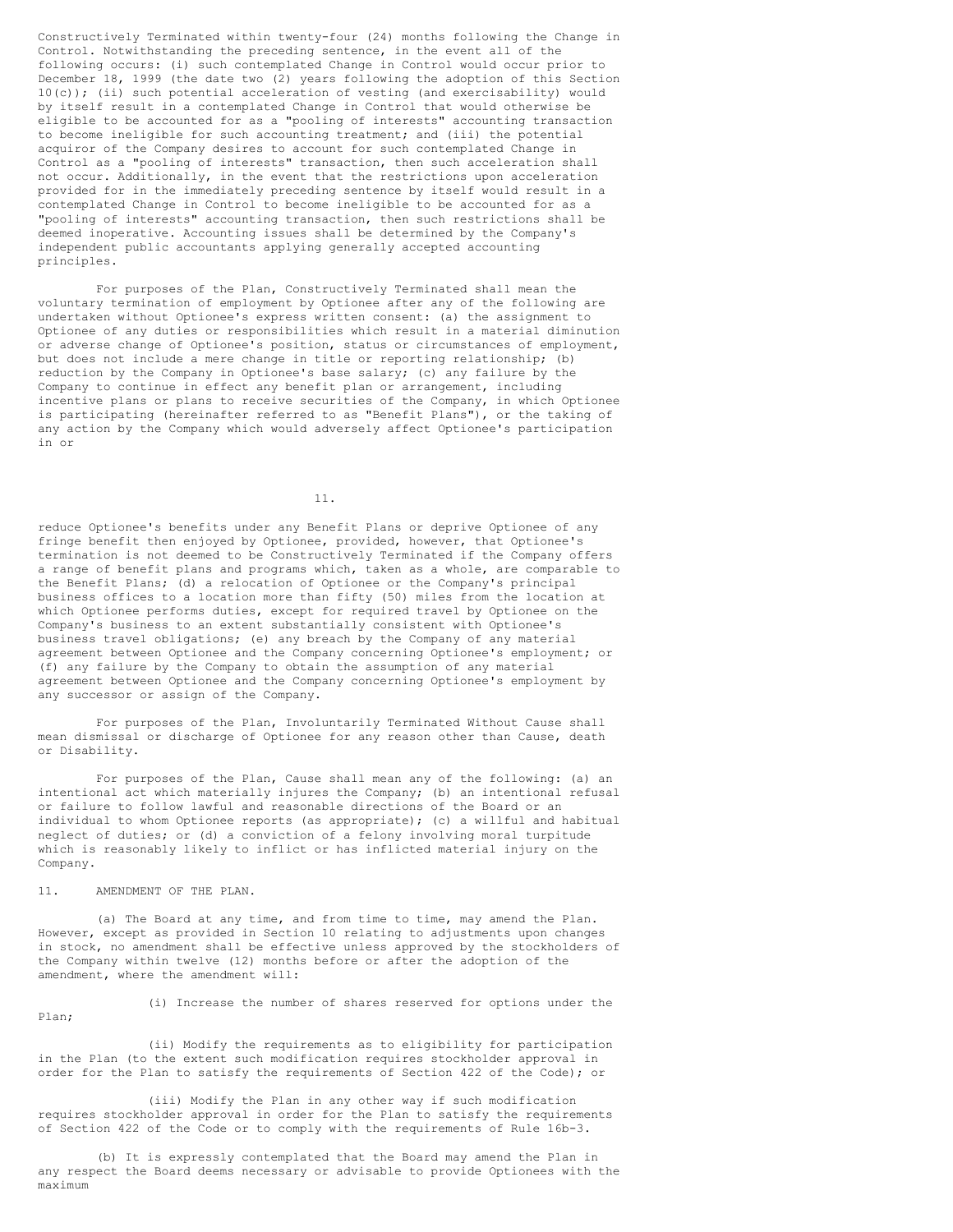Constructively Terminated within twenty-four (24) months following the Change in Control. Notwithstanding the preceding sentence, in the event all of the following occurs: (i) such contemplated Change in Control would occur prior to December 18, 1999 (the date two (2) years following the adoption of this Section 10(c)); (ii) such potential acceleration of vesting (and exercisability) would by itself result in a contemplated Change in Control that would otherwise be eligible to be accounted for as a "pooling of interests" accounting transaction to become ineligible for such accounting treatment; and (iii) the potential acquiror of the Company desires to account for such contemplated Change in Control as a "pooling of interests" transaction, then such acceleration shall not occur. Additionally, in the event that the restrictions upon acceleration provided for in the immediately preceding sentence by itself would result in a contemplated Change in Control to become ineligible to be accounted for as a "pooling of interests" accounting transaction, then such restrictions shall be deemed inoperative. Accounting issues shall be determined by the Company's independent public accountants applying generally accepted accounting principles.

For purposes of the Plan, Constructively Terminated shall mean the voluntary termination of employment by Optionee after any of the following are undertaken without Optionee's express written consent: (a) the assignment to Optionee of any duties or responsibilities which result in a material diminution or adverse change of Optionee's position, status or circumstances of employment, but does not include a mere change in title or reporting relationship; (b) reduction by the Company in Optionee's base salary; (c) any failure by the Company to continue in effect any benefit plan or arrangement, including incentive plans or plans to receive securities of the Company, in which Optionee is participating (hereinafter referred to as "Benefit Plans"), or the taking of any action by the Company which would adversely affect Optionee's participation in or

11.

reduce Optionee's benefits under any Benefit Plans or deprive Optionee of any fringe benefit then enjoyed by Optionee, provided, however, that Optionee's termination is not deemed to be Constructively Terminated if the Company offers a range of benefit plans and programs which, taken as a whole, are comparable to the Benefit Plans; (d) a relocation of Optionee or the Company's principal business offices to a location more than fifty (50) miles from the location at which Optionee performs duties, except for required travel by Optionee on the Company's business to an extent substantially consistent with Optionee's business travel obligations; (e) any breach by the Company of any material agreement between Optionee and the Company concerning Optionee's employment; or (f) any failure by the Company to obtain the assumption of any material agreement between Optionee and the Company concerning Optionee's employment by any successor or assign of the Company.

For purposes of the Plan, Involuntarily Terminated Without Cause shall mean dismissal or discharge of Optionee for any reason other than Cause, death or Disability.

For purposes of the Plan, Cause shall mean any of the following: (a) an intentional act which materially injures the Company; (b) an intentional refusal or failure to follow lawful and reasonable directions of the Board or an individual to whom Optionee reports (as appropriate); (c) a willful and habitual neglect of duties; or (d) a conviction of a felony involving moral turpitude which is reasonably likely to inflict or has inflicted material injury on the Company.

11. AMENDMENT OF THE PLAN.

(a) The Board at any time, and from time to time, may amend the Plan. However, except as provided in Section 10 relating to adjustments upon changes in stock, no amendment shall be effective unless approved by the stockholders of the Company within twelve (12) months before or after the adoption of the amendment, where the amendment will:

#### Plan;

(i) Increase the number of shares reserved for options under the

(ii) Modify the requirements as to eligibility for participation in the Plan (to the extent such modification requires stockholder approval in order for the Plan to satisfy the requirements of Section 422 of the Code); or

(iii) Modify the Plan in any other way if such modification requires stockholder approval in order for the Plan to satisfy the requirements of Section 422 of the Code or to comply with the requirements of Rule 16b-3.

(b) It is expressly contemplated that the Board may amend the Plan in any respect the Board deems necessary or advisable to provide Optionees with the maximum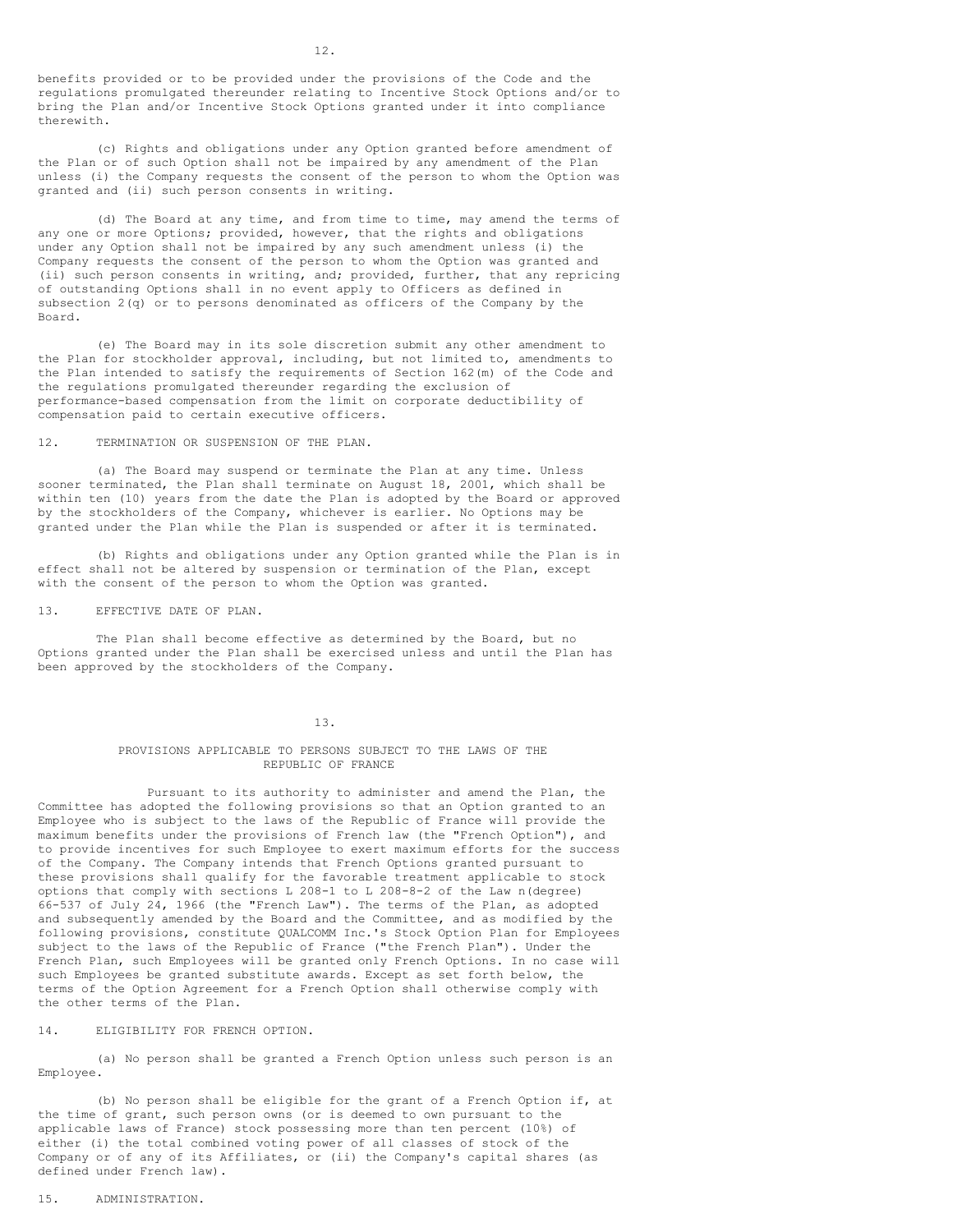benefits provided or to be provided under the provisions of the Code and the regulations promulgated thereunder relating to Incentive Stock Options and/or to bring the Plan and/or Incentive Stock Options granted under it into compliance therewith.

(c) Rights and obligations under any Option granted before amendment of the Plan or of such Option shall not be impaired by any amendment of the Plan unless (i) the Company requests the consent of the person to whom the Option was granted and (ii) such person consents in writing.

(d) The Board at any time, and from time to time, may amend the terms of any one or more Options; provided, however, that the rights and obligations under any Option shall not be impaired by any such amendment unless (i) the Company requests the consent of the person to whom the Option was granted and (ii) such person consents in writing, and; provided, further, that any repricing of outstanding Options shall in no event apply to Officers as defined in subsection 2(q) or to persons denominated as officers of the Company by the Board.

(e) The Board may in its sole discretion submit any other amendment to the Plan for stockholder approval, including, but not limited to, amendments to the Plan intended to satisfy the requirements of Section 162(m) of the Code and the regulations promulgated thereunder regarding the exclusion of performance-based compensation from the limit on corporate deductibility of compensation paid to certain executive officers.

12. TERMINATION OR SUSPENSION OF THE PLAN.

(a) The Board may suspend or terminate the Plan at any time. Unless sooner terminated, the Plan shall terminate on August 18, 2001, which shall be within ten (10) years from the date the Plan is adopted by the Board or approved by the stockholders of the Company, whichever is earlier. No Options may be granted under the Plan while the Plan is suspended or after it is terminated.

(b) Rights and obligations under any Option granted while the Plan is in effect shall not be altered by suspension or termination of the Plan, except with the consent of the person to whom the Option was granted.

13. EFFECTIVE DATE OF PLAN.

The Plan shall become effective as determined by the Board, but no Options granted under the Plan shall be exercised unless and until the Plan has been approved by the stockholders of the Company.

13.

### PROVISIONS APPLICABLE TO PERSONS SUBJECT TO THE LAWS OF THE REPUBLIC OF FRANCE

Pursuant to its authority to administer and amend the Plan, the Committee has adopted the following provisions so that an Option granted to an Employee who is subject to the laws of the Republic of France will provide the maximum benefits under the provisions of French law (the "French Option"), and to provide incentives for such Employee to exert maximum efforts for the success of the Company. The Company intends that French Options granted pursuant to these provisions shall qualify for the favorable treatment applicable to stock options that comply with sections L 208-1 to L 208-8-2 of the Law n(degree) 66-537 of July 24, 1966 (the "French Law"). The terms of the Plan, as adopted and subsequently amended by the Board and the Committee, and as modified by the following provisions, constitute QUALCOMM Inc.'s Stock Option Plan for Employees subject to the laws of the Republic of France ("the French Plan"). Under the French Plan, such Employees will be granted only French Options. In no case will such Employees be granted substitute awards. Except as set forth below, the terms of the Option Agreement for a French Option shall otherwise comply with the other terms of the Plan.

14. ELIGIBILITY FOR FRENCH OPTION.

(a) No person shall be granted a French Option unless such person is an Employee.

(b) No person shall be eligible for the grant of a French Option if, at the time of grant, such person owns (or is deemed to own pursuant to the applicable laws of France) stock possessing more than ten percent (10%) of either (i) the total combined voting power of all classes of stock of the Company or of any of its Affiliates, or (ii) the Company's capital shares (as defined under French law).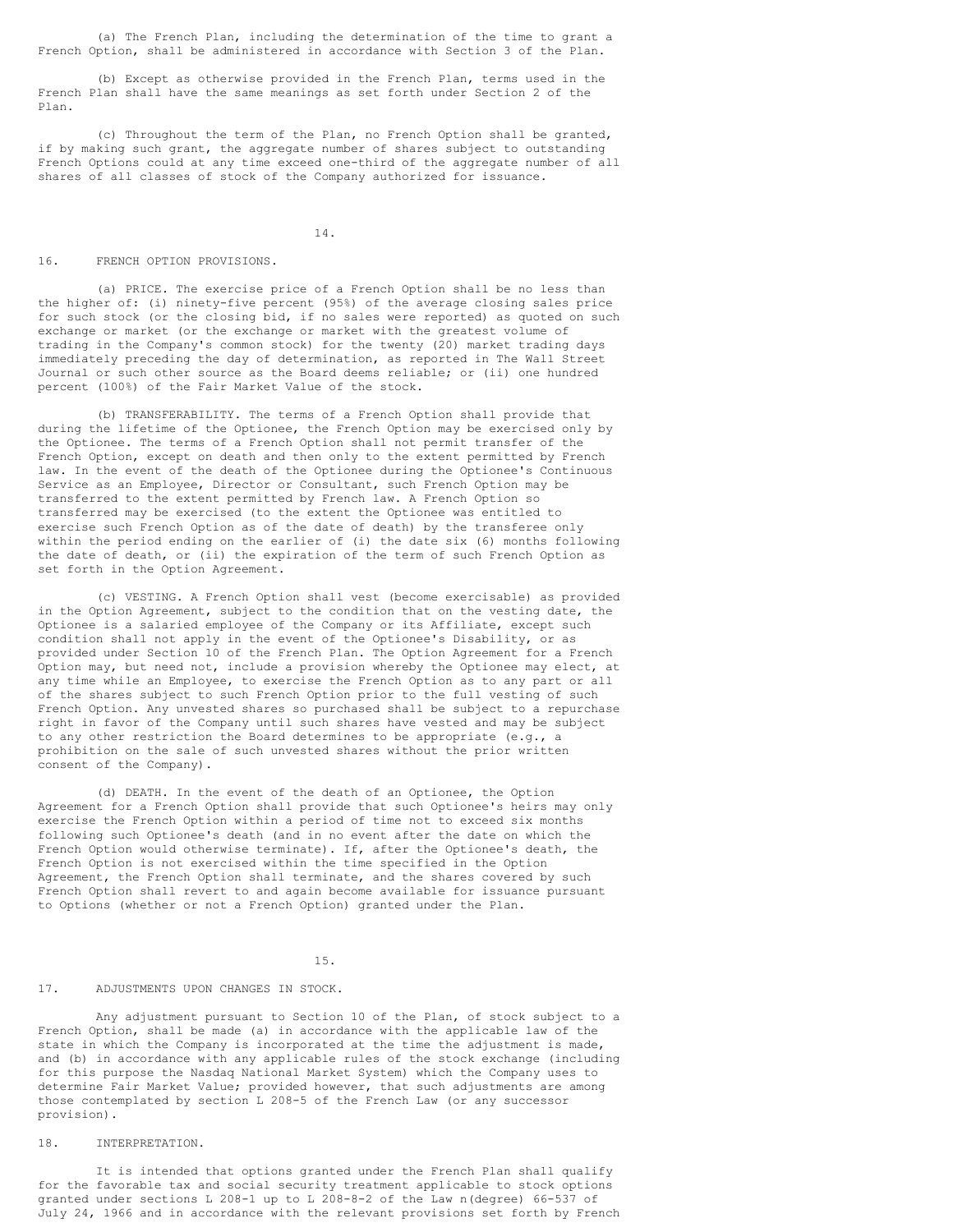(a) The French Plan, including the determination of the time to grant a French Option, shall be administered in accordance with Section 3 of the Plan.

(b) Except as otherwise provided in the French Plan, terms used in the French Plan shall have the same meanings as set forth under Section 2 of the Plan.

(c) Throughout the term of the Plan, no French Option shall be granted, if by making such grant, the aggregate number of shares subject to outstanding French Options could at any time exceed one-third of the aggregate number of all shares of all classes of stock of the Company authorized for issuance.

14.

### 16. FRENCH OPTION PROVISIONS.

(a) PRICE. The exercise price of a French Option shall be no less than the higher of: (i) ninety-five percent (95%) of the average closing sales price for such stock (or the closing bid, if no sales were reported) as quoted on such exchange or market (or the exchange or market with the greatest volume of trading in the Company's common stock) for the twenty (20) market trading days immediately preceding the day of determination, as reported in The Wall Street Journal or such other source as the Board deems reliable; or (ii) one hundred percent (100%) of the Fair Market Value of the stock.

(b) TRANSFERABILITY. The terms of a French Option shall provide that during the lifetime of the Optionee, the French Option may be exercised only by the Optionee. The terms of a French Option shall not permit transfer of the French Option, except on death and then only to the extent permitted by French law. In the event of the death of the Optionee during the Optionee's Continuous Service as an Employee, Director or Consultant, such French Option may be transferred to the extent permitted by French law. A French Option so transferred may be exercised (to the extent the Optionee was entitled to exercise such French Option as of the date of death) by the transferee only within the period ending on the earlier of (i) the date six (6) months following the date of death, or (ii) the expiration of the term of such French Option as set forth in the Option Agreement.

(c) VESTING. A French Option shall vest (become exercisable) as provided in the Option Agreement, subject to the condition that on the vesting date, the Optionee is a salaried employee of the Company or its Affiliate, except such condition shall not apply in the event of the Optionee's Disability, or as provided under Section 10 of the French Plan. The Option Agreement for a French Option may, but need not, include a provision whereby the Optionee may elect, at any time while an Employee, to exercise the French Option as to any part or all of the shares subject to such French Option prior to the full vesting of such French Option. Any unvested shares so purchased shall be subject to a repurchase right in favor of the Company until such shares have vested and may be subject to any other restriction the Board determines to be appropriate (e.g., a prohibition on the sale of such unvested shares without the prior written consent of the Company).

(d) DEATH. In the event of the death of an Optionee, the Option Agreement for a French Option shall provide that such Optionee's heirs may only exercise the French Option within a period of time not to exceed six months following such Optionee's death (and in no event after the date on which the French Option would otherwise terminate). If, after the Optionee's death, the French Option is not exercised within the time specified in the Option Agreement, the French Option shall terminate, and the shares covered by such French Option shall revert to and again become available for issuance pursuant to Options (whether or not a French Option) granted under the Plan.

15.

### 17. ADJUSTMENTS UPON CHANGES IN STOCK.

Any adjustment pursuant to Section 10 of the Plan, of stock subject to a French Option, shall be made (a) in accordance with the applicable law of the state in which the Company is incorporated at the time the adjustment is made, and (b) in accordance with any applicable rules of the stock exchange (including for this purpose the Nasdaq National Market System) which the Company uses to determine Fair Market Value; provided however, that such adjustments are among those contemplated by section L 208-5 of the French Law (or any successor provision).

### 18. INTERPRETATION.

It is intended that options granted under the French Plan shall qualify for the favorable tax and social security treatment applicable to stock options granted under sections L 208-1 up to L 208-8-2 of the Law n(degree) 66-537 of July 24, 1966 and in accordance with the relevant provisions set forth by French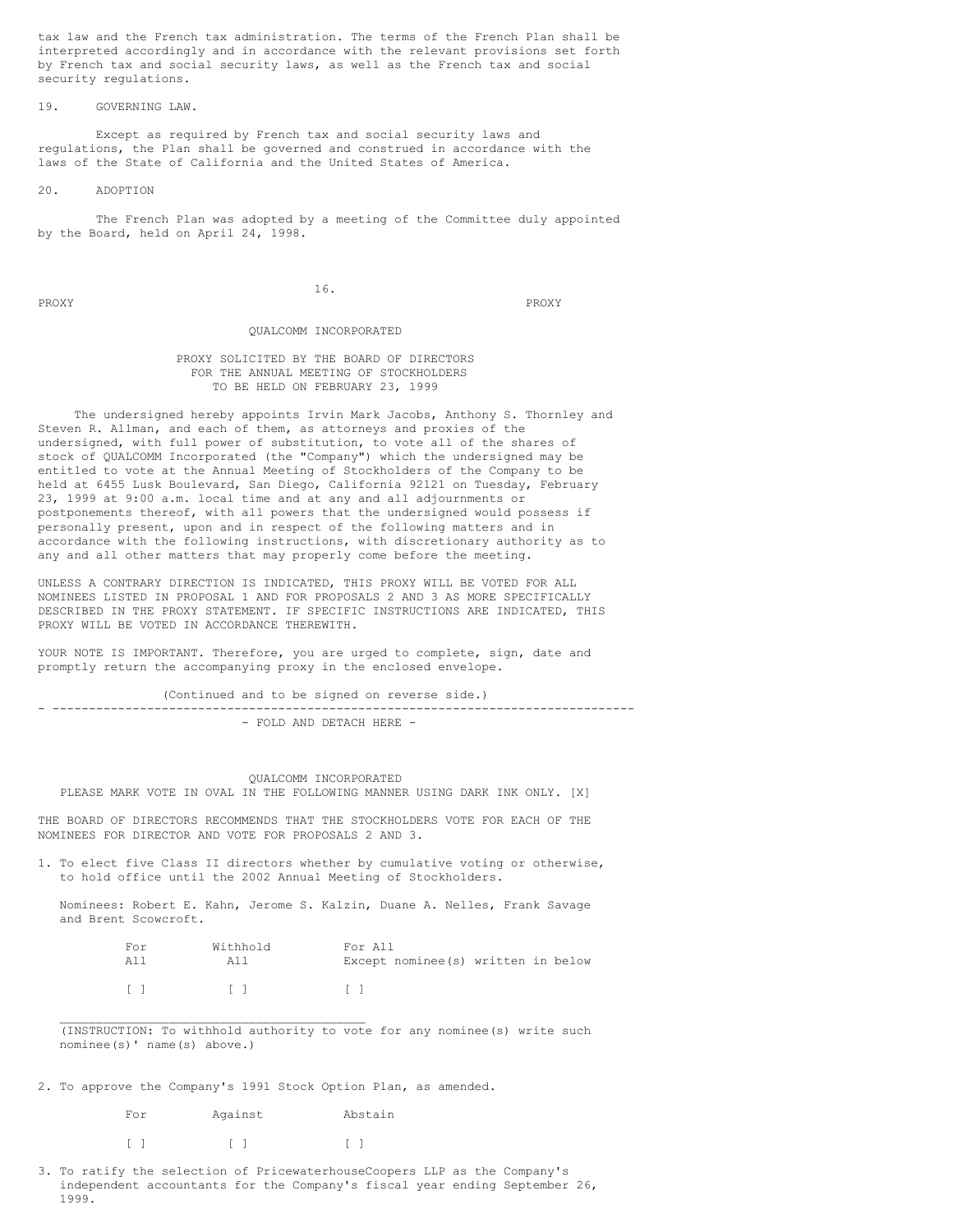tax law and the French tax administration. The terms of the French Plan shall be interpreted accordingly and in accordance with the relevant provisions set forth by French tax and social security laws, as well as the French tax and social security regulations.

### 19. GOVERNING LAW.

Except as required by French tax and social security laws and regulations, the Plan shall be governed and construed in accordance with the laws of the State of California and the United States of America.

## 20. ADOPTION

The French Plan was adopted by a meeting of the Committee duly appointed by the Board, held on April 24, 1998.

PROXY PROXY PROXY

### QUALCOMM INCORPORATED

16.

## PROXY SOLICITED BY THE BOARD OF DIRECTORS FOR THE ANNUAL MEETING OF STOCKHOLDERS TO BE HELD ON FEBRUARY 23, 1999

The undersigned hereby appoints Irvin Mark Jacobs, Anthony S. Thornley and Steven R. Allman, and each of them, as attorneys and proxies of the undersigned, with full power of substitution, to vote all of the shares of stock of QUALCOMM Incorporated (the "Company") which the undersigned may be entitled to vote at the Annual Meeting of Stockholders of the Company to be held at 6455 Lusk Boulevard, San Diego, California 92121 on Tuesday, February 23, 1999 at 9:00 a.m. local time and at any and all adjournments or postponements thereof, with all powers that the undersigned would possess if personally present, upon and in respect of the following matters and in accordance with the following instructions, with discretionary authority as to any and all other matters that may properly come before the meeting.

UNLESS A CONTRARY DIRECTION IS INDICATED, THIS PROXY WILL BE VOTED FOR ALL NOMINEES LISTED IN PROPOSAL 1 AND FOR PROPOSALS 2 AND 3 AS MORE SPECIFICALLY DESCRIBED IN THE PROXY STATEMENT. IF SPECIFIC INSTRUCTIONS ARE INDICATED, THIS PROXY WILL BE VOTED IN ACCORDANCE THEREWITH.

YOUR NOTE IS IMPORTANT. Therefore, you are urged to complete, sign, date and promptly return the accompanying proxy in the enclosed envelope.

(Continued and to be signed on reverse side.) - -------------------------------------------------------------------------------- - FOLD AND DETACH HERE -

### QUALCOMM INCORPORATED PLEASE MARK VOTE IN OVAL IN THE FOLLOWING MANNER USING DARK INK ONLY. [X]

THE BOARD OF DIRECTORS RECOMMENDS THAT THE STOCKHOLDERS VOTE FOR EACH OF THE NOMINEES FOR DIRECTOR AND VOTE FOR PROPOSALS 2 AND 3.

1. To elect five Class II directors whether by cumulative voting or otherwise, to hold office until the 2002 Annual Meeting of Stockholders.

Nominees: Robert E. Kahn, Jerome S. Kalzin, Duane A. Nelles, Frank Savage and Brent Scowcroft.

| For        | Withhold | For All                             |
|------------|----------|-------------------------------------|
| A11        | All      | Except nominee (s) written in below |
| $\lceil$ 1 | $\Box$   | $\sqrt{2}$                          |

(INSTRUCTION: To withhold authority to vote for any nominee(s) write such nominee(s)' name(s) above.)

2. To approve the Company's 1991 Stock Option Plan, as amended.

| For | Against | Abstain |
|-----|---------|---------|
|     |         |         |

\_\_\_\_\_\_\_\_\_\_\_\_\_\_\_\_\_\_\_\_\_\_\_\_\_\_\_\_\_\_\_\_\_\_\_\_\_\_\_\_\_\_

3. To ratify the selection of PricewaterhouseCoopers LLP as the Company's independent accountants for the Company's fiscal year ending September 26, 1999.